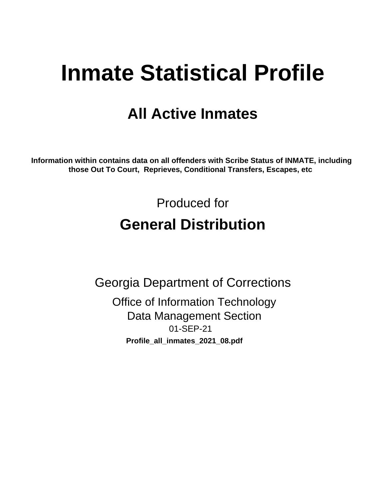# **Inmate Statistical Profile**

## **All Active Inmates**

Information within contains data on all offenders with Scribe Status of INMATE, including those Out To Court, Reprieves, Conditional Transfers, Escapes, etc

> Produced for **General Distribution**

**Georgia Department of Corrections Office of Information Technology Data Management Section** 01-SEP-21 Profile\_all\_inmates\_2021\_08.pdf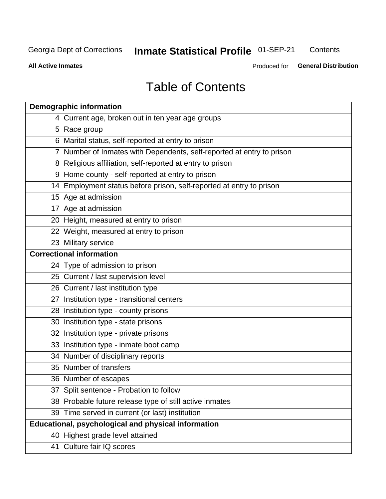### **Inmate Statistical Profile 01-SEP-21** Contents

**All Active Inmates** 

Produced for General Distribution

## **Table of Contents**

| <b>Demographic information</b>                                        |
|-----------------------------------------------------------------------|
| 4 Current age, broken out in ten year age groups                      |
| 5 Race group                                                          |
| 6 Marital status, self-reported at entry to prison                    |
| 7 Number of Inmates with Dependents, self-reported at entry to prison |
| 8 Religious affiliation, self-reported at entry to prison             |
| 9 Home county - self-reported at entry to prison                      |
| 14 Employment status before prison, self-reported at entry to prison  |
| 15 Age at admission                                                   |
| 17 Age at admission                                                   |
| 20 Height, measured at entry to prison                                |
| 22 Weight, measured at entry to prison                                |
| 23 Military service                                                   |
| <b>Correctional information</b>                                       |
| 24 Type of admission to prison                                        |
| 25 Current / last supervision level                                   |
| 26 Current / last institution type                                    |
| 27 Institution type - transitional centers                            |
| 28 Institution type - county prisons                                  |
| 30 Institution type - state prisons                                   |
| 32 Institution type - private prisons                                 |
| 33 Institution type - inmate boot camp                                |
| 34 Number of disciplinary reports                                     |
| 35 Number of transfers                                                |
| 36 Number of escapes                                                  |
| 37 Split sentence - Probation to follow                               |
| 38 Probable future release type of still active inmates               |
| 39 Time served in current (or last) institution                       |
| <b>Educational, psychological and physical information</b>            |
| 40 Highest grade level attained                                       |
| 41 Culture fair IQ scores                                             |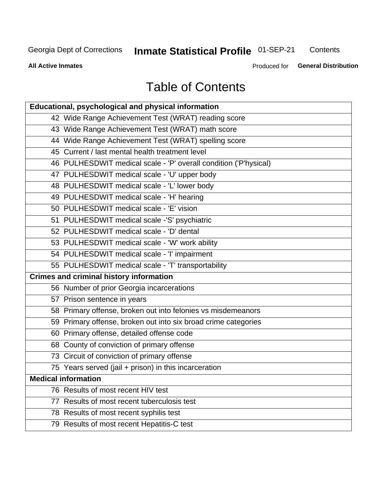## Inmate Statistical Profile 01-SEP-21

Contents

**All Active Inmates** 

Produced for General Distribution

## **Table of Contents**

| Educational, psychological and physical information              |
|------------------------------------------------------------------|
| 42 Wide Range Achievement Test (WRAT) reading score              |
| 43 Wide Range Achievement Test (WRAT) math score                 |
| 44 Wide Range Achievement Test (WRAT) spelling score             |
| 45 Current / last mental health treatment level                  |
| 46 PULHESDWIT medical scale - 'P' overall condition ('P'hysical) |
| 47 PULHESDWIT medical scale - 'U' upper body                     |
| 48 PULHESDWIT medical scale - 'L' lower body                     |
| 49 PULHESDWIT medical scale - 'H' hearing                        |
| 50 PULHESDWIT medical scale - 'E' vision                         |
| 51 PULHESDWIT medical scale -'S' psychiatric                     |
| 52 PULHESDWIT medical scale - 'D' dental                         |
| 53 PULHESDWIT medical scale - 'W' work ability                   |
| 54 PULHESDWIT medical scale - 'I' impairment                     |
| 55 PULHESDWIT medical scale - 'T' transportability               |
| <b>Crimes and criminal history information</b>                   |
| 56 Number of prior Georgia incarcerations                        |
| 57 Prison sentence in years                                      |
| 58 Primary offense, broken out into felonies vs misdemeanors     |
| 59 Primary offense, broken out into six broad crime categories   |
| 60 Primary offense, detailed offense code                        |
| 68 County of conviction of primary offense                       |
| 73 Circuit of conviction of primary offense                      |
| 75 Years served (jail + prison) in this incarceration            |
| <b>Medical information</b>                                       |
| 76 Results of most recent HIV test                               |
| 77 Results of most recent tuberculosis test                      |
| 78 Results of most recent syphilis test                          |
| 79 Results of most recent Hepatitis-C test                       |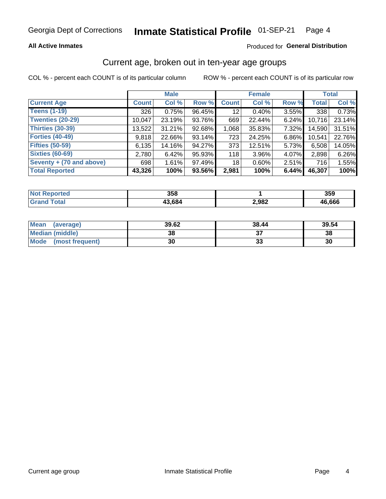### Inmate Statistical Profile 01-SEP-21 Page 4

## **All Active Inmates**

## Produced for General Distribution

## Current age, broken out in ten-year age groups

COL % - percent each COUNT is of its particular column

|                          | <b>Male</b>  |        |        | <b>Female</b> |          |       | <b>Total</b> |        |
|--------------------------|--------------|--------|--------|---------------|----------|-------|--------------|--------|
| <b>Current Age</b>       | <b>Count</b> | Col %  | Row %  | <b>Count</b>  | Col %    | Row % | <b>Total</b> | Col %  |
| <b>Teens (1-19)</b>      | 326          | 0.75%  | 96.45% | 12            | 0.40%    | 3.55% | 338          | 0.73%  |
| <b>Twenties (20-29)</b>  | 10,047       | 23.19% | 93.76% | 669           | 22.44%   | 6.24% | 10,716       | 23.14% |
| Thirties (30-39)         | 13,522       | 31.21% | 92.68% | 1,068         | 35.83%   | 7.32% | 14,590       | 31.51% |
| <b>Forties (40-49)</b>   | 9,818        | 22.66% | 93.14% | 723           | 24.25%   | 6.86% | 10,541       | 22.76% |
| <b>Fifties (50-59)</b>   | 6,135        | 14.16% | 94.27% | 373           | 12.51%   | 5.73% | 6,508        | 14.05% |
| <b>Sixties (60-69)</b>   | 2,780        | 6.42%  | 95.93% | 118           | $3.96\%$ | 4.07% | 2,898        | 6.26%  |
| Seventy + (70 and above) | 698          | 1.61%  | 97.49% | 18            | $0.60\%$ | 2.51% | 716          | 1.55%  |
| <b>Total Reported</b>    | 43,326       | 100%   | 93.56% | 2,981         | 100%     | 6.44% | 46,307       | 100%   |

| τeα<br><b>NOT</b> | 358    |       | <b>DEC</b><br>ააა |
|-------------------|--------|-------|-------------------|
| $F$ ntal          | 13 684 | 2,982 | 46,666            |

| <b>Mean</b><br>(average) | 39.62 | 38.44 | 39.54 |
|--------------------------|-------|-------|-------|
| Median (middle)          | 38    |       | 38    |
| Mode<br>(most frequent)  | 30    | vu    | 30    |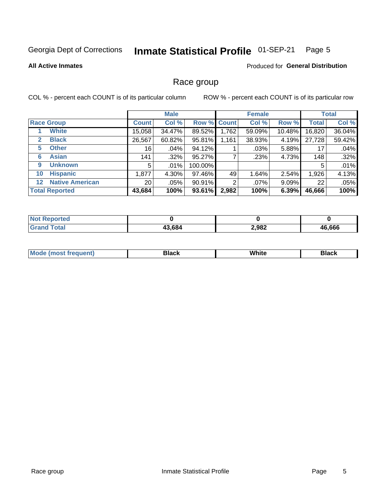### Inmate Statistical Profile 01-SEP-21 Page 5

**All Active Inmates** 

Produced for General Distribution

## Race group

COL % - percent each COUNT is of its particular column

|                                   |                 | <b>Male</b> |             |       | <b>Female</b> |          |              | <b>Total</b> |  |
|-----------------------------------|-----------------|-------------|-------------|-------|---------------|----------|--------------|--------------|--|
| <b>Race Group</b>                 | <b>Count</b>    | Col %       | Row % Count |       | Col %         | Row %    | <b>Total</b> | Col %        |  |
| <b>White</b>                      | 15,058          | 34.47%      | 89.52%      | 1,762 | 59.09%        | 10.48%   | 16,820       | 36.04%       |  |
| <b>Black</b><br>2                 | 26,567          | 60.82%      | 95.81%      | 1,161 | 38.93%        | 4.19%    | 27,728       | 59.42%       |  |
| <b>Other</b><br>5.                | 16              | .04%        | 94.12%      |       | .03%          | 5.88%    | 17           | .04%         |  |
| <b>Asian</b><br>6                 | 141             | $.32\%$     | 95.27%      |       | .23%          | 4.73%    | 148          | .32%         |  |
| <b>Unknown</b><br>9               | 5               | $.01\%$     | 100.00%     |       |               |          | 5            | .01%         |  |
| <b>Hispanic</b><br>10             | 1,877           | 4.30%       | 97.46%      | 49    | 1.64%         | 2.54%    | 1,926        | 4.13%        |  |
| <b>Native American</b><br>$12 \,$ | 20 <sub>1</sub> | $.05\%$     | 90.91%      | 2     | $.07\%$       | $9.09\%$ | 22           | .05%         |  |
| <b>Total Reported</b>             | 43,684          | 100%        | 93.61%      | 2,982 | 100%          | 6.39%    | 46,666       | 100%         |  |

| orted<br>NO.        |        |       |        |
|---------------------|--------|-------|--------|
| `otal<br><b>Gra</b> | 43,684 | 2,982 | 46,666 |

| IМ | - - -- |  |
|----|--------|--|
|    |        |  |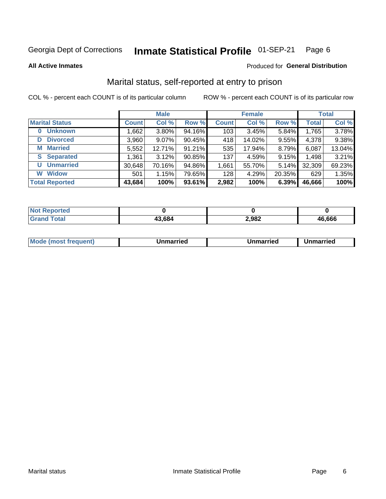### Inmate Statistical Profile 01-SEP-21 Page 6

**All Active Inmates** 

## Produced for General Distribution

## Marital status, self-reported at entry to prison

COL % - percent each COUNT is of its particular column

|                            | <b>Male</b>  |          |        |              | <b>Female</b> | <b>Total</b> |              |        |
|----------------------------|--------------|----------|--------|--------------|---------------|--------------|--------------|--------|
| <b>Marital Status</b>      | <b>Count</b> | Col %    | Row %  | <b>Count</b> | Col %         | Row %        | <b>Total</b> | Col %  |
| <b>Unknown</b><br>$\bf{0}$ | 1,662        | $3.80\%$ | 94.16% | 103          | 3.45%         | 5.84%        | 1,765        | 3.78%  |
| <b>Divorced</b><br>D       | 3,960        | $9.07\%$ | 90.45% | 418          | 14.02%        | 9.55%        | 4,378        | 9.38%  |
| <b>Married</b><br>М        | 5,552        | 12.71%   | 91.21% | 535          | 17.94%        | 8.79%        | 6,087        | 13.04% |
| <b>Separated</b><br>S.     | 1,361        | 3.12%    | 90.85% | 137          | 4.59%         | 9.15%        | 1,498        | 3.21%  |
| <b>Unmarried</b><br>U      | 30,648       | 70.16%   | 94.86% | 1,661        | 55.70%        | 5.14%        | 32,309       | 69.23% |
| <b>Widow</b><br>W          | 501          | 1.15%    | 79.65% | 128          | 4.29%         | 20.35%       | 629          | 1.35%  |
| <b>Total Reported</b>      | 43,684       | 100%     | 93.61% | 2,982        | 100%          | 6.39%        | 46,666       | 100%   |

| <b>NOT</b><br>тео |      |       |        |
|-------------------|------|-------|--------|
| $\sim$ 10         | .684 | 2,982 | 46.666 |

|--|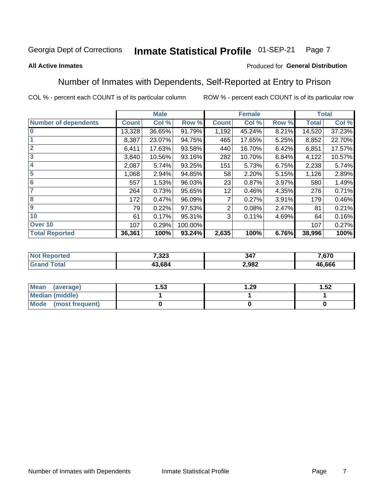### Inmate Statistical Profile 01-SEP-21 Page 7

## **All Active Inmates**

## Produced for General Distribution

## Number of Inmates with Dependents, Self-Reported at Entry to Prison

COL % - percent each COUNT is of its particular column

|                             |              | <b>Male</b> |         |              | <b>Female</b> |       |              | <b>Total</b> |
|-----------------------------|--------------|-------------|---------|--------------|---------------|-------|--------------|--------------|
| <b>Number of dependents</b> | <b>Count</b> | Col %       | Row %   | <b>Count</b> | Col %         | Row % | <b>Total</b> | Col %        |
| l 0                         | 13,328       | 36.65%      | 91.79%  | 1,192        | 45.24%        | 8.21% | 14,520       | 37.23%       |
|                             | 8,387        | 23.07%      | 94.75%  | 465          | 17.65%        | 5.25% | 8,852        | 22.70%       |
| $\overline{2}$              | 6,411        | 17.63%      | 93.58%  | 440          | 16.70%        | 6.42% | 6,851        | 17.57%       |
| $\overline{\mathbf{3}}$     | 3,840        | 10.56%      | 93.16%  | 282          | 10.70%        | 6.84% | 4,122        | 10.57%       |
| 4                           | 2,087        | 5.74%       | 93.25%  | 151          | 5.73%         | 6.75% | 2,238        | 5.74%        |
| 5                           | 1,068        | 2.94%       | 94.85%  | 58           | 2.20%         | 5.15% | 1,126        | 2.89%        |
| 6                           | 557          | 1.53%       | 96.03%  | 23           | 0.87%         | 3.97% | 580          | 1.49%        |
| 7                           | 264          | 0.73%       | 95.65%  | 12           | 0.46%         | 4.35% | 276          | 0.71%        |
| 8                           | 172          | 0.47%       | 96.09%  |              | 0.27%         | 3.91% | 179          | 0.46%        |
| 9                           | 79           | 0.22%       | 97.53%  | 2            | 0.08%         | 2.47% | 81           | 0.21%        |
| 10                          | 61           | 0.17%       | 95.31%  | 3            | 0.11%         | 4.69% | 64           | 0.16%        |
| Over 10                     | 107          | 0.29%       | 100.00% |              |               |       | 107          | 0.27%        |
| <b>Total Reported</b>       | 36,361       | 100%        | 93.24%  | 2,635        | 100%          | 6.76% | 38,996       | 100%         |

| 7,323 | 347   | 670.   |
|-------|-------|--------|
| 3.684 | 2,982 | 46,666 |

| Mean (average)          | . 53 | . 29 | 1.52 |
|-------------------------|------|------|------|
| <b>Median (middle)</b>  |      |      |      |
| Mode<br>(most frequent) |      |      |      |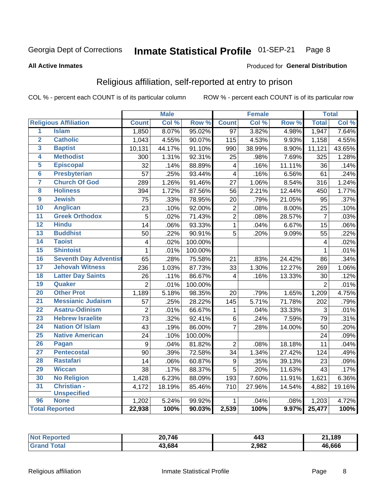### Inmate Statistical Profile 01-SEP-21 Page 8

### **All Active Inmates**

## Produced for General Distribution

## Religious affiliation, self-reported at entry to prison

COL % - percent each COUNT is of its particular column

|                         |                              |                         | <b>Male</b> |         |                         | <b>Female</b> |                  |                | <b>Total</b> |
|-------------------------|------------------------------|-------------------------|-------------|---------|-------------------------|---------------|------------------|----------------|--------------|
|                         | <b>Religious Affiliation</b> | <b>Count</b>            | Col %       | Row %   | <b>Count</b>            | Col %         | Row <sup>%</sup> | <b>Total</b>   | Col %        |
| $\overline{1}$          | <b>Islam</b>                 | 1,850                   | 8.07%       | 95.02%  | $\overline{97}$         | 3.82%         | 4.98%            | 1,947          | 7.64%        |
| $\overline{2}$          | <b>Catholic</b>              | 1,043                   | 4.55%       | 90.07%  | 115                     | 4.53%         | 9.93%            | 1,158          | 4.55%        |
| 3                       | <b>Baptist</b>               | 10,131                  | 44.17%      | 91.10%  | 990                     | 38.99%        | 8.90%            | 11,121         | 43.65%       |
| 4                       | <b>Methodist</b>             | 300                     | 1.31%       | 92.31%  | 25                      | .98%          | 7.69%            | 325            | 1.28%        |
| 5                       | <b>Episcopal</b>             | 32                      | .14%        | 88.89%  | $\overline{\mathbf{4}}$ | .16%          | 11.11%           | 36             | .14%         |
| $\overline{\bf{6}}$     | <b>Presbyterian</b>          | 57                      | .25%        | 93.44%  | $\overline{\mathbf{4}}$ | .16%          | 6.56%            | 61             | .24%         |
| 7                       | <b>Church Of God</b>         | 289                     | 1.26%       | 91.46%  | 27                      | 1.06%         | 8.54%            | 316            | 1.24%        |
| $\overline{\mathbf{8}}$ | <b>Holiness</b>              | 394                     | 1.72%       | 87.56%  | 56                      | 2.21%         | 12.44%           | 450            | 1.77%        |
| $\overline{9}$          | <b>Jewish</b>                | $\overline{75}$         | .33%        | 78.95%  | 20                      | .79%          | 21.05%           | 95             | .37%         |
| 10                      | <b>Anglican</b>              | 23                      | .10%        | 92.00%  | $\boldsymbol{2}$        | .08%          | 8.00%            | 25             | .10%         |
| $\overline{11}$         | <b>Greek Orthodox</b>        | 5                       | .02%        | 71.43%  | $\overline{2}$          | .08%          | 28.57%           | $\overline{7}$ | .03%         |
| 12                      | <b>Hindu</b>                 | 14                      | .06%        | 93.33%  | $\overline{1}$          | .04%          | 6.67%            | 15             | .06%         |
| 13                      | <b>Buddhist</b>              | 50                      | .22%        | 90.91%  | 5                       | .20%          | 9.09%            | 55             | .22%         |
| 14                      | <b>Taoist</b>                | $\overline{\mathbf{4}}$ | .02%        | 100.00% |                         |               |                  | 4              | .02%         |
| 15                      | <b>Shintoist</b>             | $\mathbf 1$             | .01%        | 100.00% |                         |               |                  | 1              | .01%         |
| 16                      | <b>Seventh Day Adventist</b> | 65                      | .28%        | 75.58%  | 21                      | .83%          | 24.42%           | 86             | .34%         |
| 17                      | <b>Jehovah Witness</b>       | 236                     | 1.03%       | 87.73%  | 33                      | 1.30%         | 12.27%           | 269            | 1.06%        |
| 18                      | <b>Latter Day Saints</b>     | 26                      | .11%        | 86.67%  | 4                       | .16%          | 13.33%           | 30             | .12%         |
| 19                      | Quaker                       | $\overline{2}$          | .01%        | 100.00% |                         |               |                  | $\overline{2}$ | .01%         |
| 20                      | <b>Other Prot</b>            | 1,189                   | 5.18%       | 98.35%  | 20                      | .79%          | 1.65%            | 1,209          | 4.75%        |
| 21                      | <b>Messianic Judaism</b>     | 57                      | .25%        | 28.22%  | 145                     | 5.71%         | 71.78%           | 202            | .79%         |
| 22                      | <b>Asatru-Odinism</b>        | $\overline{2}$          | .01%        | 66.67%  | 1                       | .04%          | 33.33%           | 3              | .01%         |
| 23                      | <b>Hebrew Israelite</b>      | $\overline{73}$         | .32%        | 92.41%  | $\,6$                   | .24%          | 7.59%            | 79             | .31%         |
| 24                      | <b>Nation Of Islam</b>       | 43                      | .19%        | 86.00%  | $\overline{7}$          | .28%          | 14.00%           | 50             | .20%         |
| 25                      | <b>Native American</b>       | $\overline{24}$         | .10%        | 100.00% |                         |               |                  | 24             | .09%         |
| 26                      | Pagan                        | 9                       | .04%        | 81.82%  | $\overline{2}$          | .08%          | 18.18%           | 11             | .04%         |
| 27                      | <b>Pentecostal</b>           | 90                      | .39%        | 72.58%  | 34                      | 1.34%         | 27.42%           | 124            | .49%         |
| 28                      | <b>Rastafari</b>             | 14                      | .06%        | 60.87%  | $\boldsymbol{9}$        | .35%          | 39.13%           | 23             | .09%         |
| 29                      | <b>Wiccan</b>                | 38                      | .17%        | 88.37%  | $\overline{5}$          | .20%          | 11.63%           | 43             | .17%         |
| 30                      | <b>No Religion</b>           | 1,428                   | 6.23%       | 88.09%  | 193                     | 7.60%         | 11.91%           | 1,621          | 6.36%        |
| 31                      | Christian -                  | 4,172                   | 18.19%      | 85.46%  | 710                     | 27.96%        | 14.54%           | 4,882          | 19.16%       |
|                         | <b>Unspecified</b>           |                         |             |         |                         |               |                  |                |              |
| 96                      | <b>None</b>                  | 1,202                   | 5.24%       | 99.92%  | 1                       | .04%          | .08%             | 1,203          | 4.72%        |
|                         | <b>Total Reported</b>        | 22,938                  | 100%        | 90.03%  | 2,539                   | 100%          | 9.97%            | 25,477         | 100%         |

| <b>orted</b> | 20,746     | 443   | ,189<br>- 14 |
|--------------|------------|-------|--------------|
|              | .684<br>ໍ່ | 2,982 | 46.666       |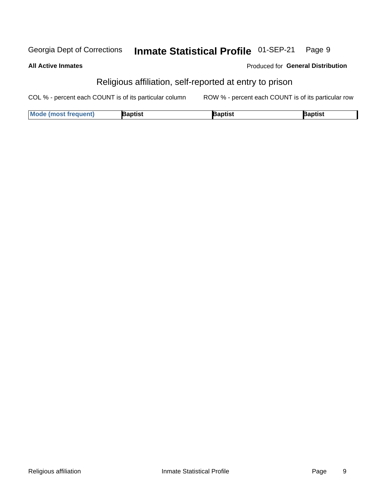#### Inmate Statistical Profile 01-SEP-21 Georgia Dept of Corrections Page 9

### **All Active Inmates**

## Produced for General Distribution

## Religious affiliation, self-reported at entry to prison

COL % - percent each COUNT is of its particular column ROW % - percent each COUNT is of its particular row

| <b>Mode (most frequent)</b> | 3aptist | aptist | Baptist |
|-----------------------------|---------|--------|---------|
|-----------------------------|---------|--------|---------|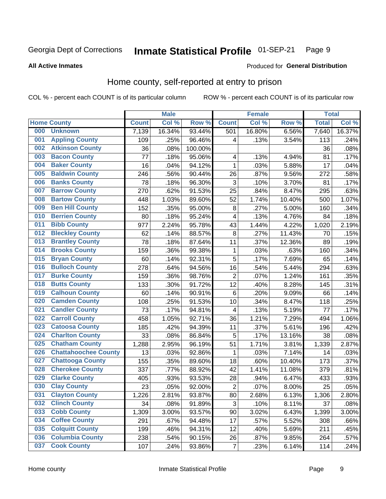### Inmate Statistical Profile 01-SEP-21 Page 9

### **All Active Inmates**

## **Produced for General Distribution**

## Home county, self-reported at entry to prison

COL % - percent each COUNT is of its particular column

|     |                             |              | <b>Male</b> |                  |                         | <b>Female</b> |        | <b>Total</b> |        |
|-----|-----------------------------|--------------|-------------|------------------|-------------------------|---------------|--------|--------------|--------|
|     | <b>Home County</b>          | <b>Count</b> | Col %       | Row <sup>%</sup> | <b>Count</b>            | Col %         | Row %  | <b>Total</b> | Col %  |
| 000 | <b>Unknown</b>              | 7,139        | 16.34%      | 93.44%           | 501                     | 16.80%        | 6.56%  | 7,640        | 16.37% |
| 001 | <b>Appling County</b>       | 109          | .25%        | 96.46%           | 4                       | .13%          | 3.54%  | 113          | .24%   |
| 002 | <b>Atkinson County</b>      | 36           | .08%        | 100.00%          |                         |               |        | 36           | .08%   |
| 003 | <b>Bacon County</b>         | 77           | .18%        | 95.06%           | 4                       | .13%          | 4.94%  | 81           | .17%   |
| 004 | <b>Baker County</b>         | 16           | .04%        | 94.12%           | $\mathbf{1}$            | .03%          | 5.88%  | 17           | .04%   |
| 005 | <b>Baldwin County</b>       | 246          | .56%        | 90.44%           | 26                      | .87%          | 9.56%  | 272          | .58%   |
| 006 | <b>Banks County</b>         | 78           | .18%        | 96.30%           | $\mathbf{3}$            | .10%          | 3.70%  | 81           | .17%   |
| 007 | <b>Barrow County</b>        | 270          | .62%        | 91.53%           | 25                      | .84%          | 8.47%  | 295          | .63%   |
| 008 | <b>Bartow County</b>        | 448          | 1.03%       | 89.60%           | 52                      | 1.74%         | 10.40% | 500          | 1.07%  |
| 009 | <b>Ben Hill County</b>      | 152          | .35%        | 95.00%           | $\bf 8$                 | .27%          | 5.00%  | 160          | .34%   |
| 010 | <b>Berrien County</b>       | 80           | .18%        | 95.24%           | $\overline{\mathbf{4}}$ | .13%          | 4.76%  | 84           | .18%   |
| 011 | <b>Bibb County</b>          | 977          | 2.24%       | 95.78%           | 43                      | 1.44%         | 4.22%  | 1,020        | 2.19%  |
| 012 | <b>Bleckley County</b>      | 62           | .14%        | 88.57%           | 8                       | .27%          | 11.43% | 70           | .15%   |
| 013 | <b>Brantley County</b>      | 78           | .18%        | 87.64%           | 11                      | .37%          | 12.36% | 89           | .19%   |
| 014 | <b>Brooks County</b>        | 159          | .36%        | 99.38%           | $\mathbf{1}$            | .03%          | .63%   | 160          | .34%   |
| 015 | <b>Bryan County</b>         | 60           | .14%        | 92.31%           | 5                       | .17%          | 7.69%  | 65           | .14%   |
| 016 | <b>Bulloch County</b>       | 278          | .64%        | 94.56%           | 16                      | .54%          | 5.44%  | 294          | .63%   |
| 017 | <b>Burke County</b>         | 159          | .36%        | 98.76%           | $\overline{2}$          | .07%          | 1.24%  | 161          | .35%   |
| 018 | <b>Butts County</b>         | 133          | .30%        | 91.72%           | 12                      | .40%          | 8.28%  | 145          | .31%   |
| 019 | <b>Calhoun County</b>       | 60           | .14%        | 90.91%           | $\,6$                   | .20%          | 9.09%  | 66           | .14%   |
| 020 | <b>Camden County</b>        | 108          | .25%        | 91.53%           | 10                      | .34%          | 8.47%  | 118          | .25%   |
| 021 | <b>Candler County</b>       | 73           | .17%        | 94.81%           | 4                       | .13%          | 5.19%  | 77           | .17%   |
| 022 | <b>Carroll County</b>       | 458          | 1.05%       | 92.71%           | 36                      | 1.21%         | 7.29%  | 494          | 1.06%  |
| 023 | <b>Catoosa County</b>       | 185          | .42%        | 94.39%           | 11                      | .37%          | 5.61%  | 196          | .42%   |
| 024 | <b>Charlton County</b>      | 33           | .08%        | 86.84%           | 5                       | .17%          | 13.16% | 38           | .08%   |
| 025 | <b>Chatham County</b>       | 1,288        | 2.95%       | 96.19%           | 51                      | 1.71%         | 3.81%  | 1,339        | 2.87%  |
| 026 | <b>Chattahoochee County</b> | 13           | .03%        | 92.86%           | 1                       | .03%          | 7.14%  | 14           | .03%   |
| 027 | <b>Chattooga County</b>     | 155          | .35%        | 89.60%           | 18                      | .60%          | 10.40% | 173          | .37%   |
| 028 | <b>Cherokee County</b>      | 337          | .77%        | 88.92%           | 42                      | 1.41%         | 11.08% | 379          | .81%   |
| 029 | <b>Clarke County</b>        | 405          | .93%        | 93.53%           | 28                      | .94%          | 6.47%  | 433          | .93%   |
| 030 | <b>Clay County</b>          | 23           | .05%        | 92.00%           | $\overline{2}$          | .07%          | 8.00%  | 25           | .05%   |
| 031 | <b>Clayton County</b>       | 1,226        | 2.81%       | 93.87%           | 80                      | 2.68%         | 6.13%  | 1,306        | 2.80%  |
| 032 | <b>Clinch County</b>        | 34           | .08%        | 91.89%           | 3                       | .10%          | 8.11%  | 37           | .08%   |
| 033 | <b>Cobb County</b>          | 1,309        | 3.00%       | 93.57%           | 90                      | 3.02%         | 6.43%  | 1,399        | 3.00%  |
| 034 | <b>Coffee County</b>        | 291          | .67%        | 94.48%           | 17                      | .57%          | 5.52%  | 308          | .66%   |
| 035 | <b>Colquitt County</b>      | 199          | .46%        | 94.31%           | 12                      | .40%          | 5.69%  | 211          | .45%   |
| 036 | <b>Columbia County</b>      | 238          | .54%        | 90.15%           | 26                      | .87%          | 9.85%  | 264          | .57%   |
| 037 | <b>Cook County</b>          | 107          | .24%        | 93.86%           | $\overline{7}$          | .23%          | 6.14%  | 114          | .24%   |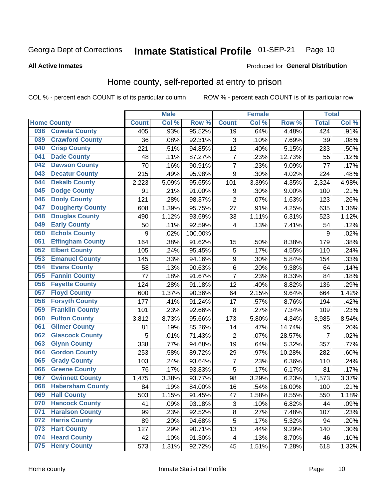### Inmate Statistical Profile 01-SEP-21 Page 10

**All Active Inmates** 

## Produced for General Distribution

## Home county, self-reported at entry to prison

COL % - percent each COUNT is of its particular column

|     |                         |              | <b>Male</b> |                  |                         | <b>Female</b> |                  | <b>Total</b>   |         |
|-----|-------------------------|--------------|-------------|------------------|-------------------------|---------------|------------------|----------------|---------|
|     | <b>Home County</b>      | <b>Count</b> | Col %       | Row <sup>%</sup> | <b>Count</b>            | Col %         | Row <sup>%</sup> | <b>Total</b>   | Col %   |
| 038 | <b>Coweta County</b>    | 405          | .93%        | 95.52%           | 19                      | .64%          | 4.48%            | 424            | $.91\%$ |
| 039 | <b>Crawford County</b>  | 36           | .08%        | 92.31%           | 3                       | .10%          | 7.69%            | 39             | .08%    |
| 040 | <b>Crisp County</b>     | 221          | .51%        | 94.85%           | 12                      | .40%          | 5.15%            | 233            | .50%    |
| 041 | <b>Dade County</b>      | 48           | .11%        | 87.27%           | $\overline{7}$          | .23%          | 12.73%           | 55             | .12%    |
| 042 | <b>Dawson County</b>    | 70           | .16%        | 90.91%           | $\overline{7}$          | .23%          | 9.09%            | 77             | .17%    |
| 043 | <b>Decatur County</b>   | 215          | .49%        | 95.98%           | 9                       | .30%          | 4.02%            | 224            | .48%    |
| 044 | <b>Dekalb County</b>    | 2,223        | 5.09%       | 95.65%           | 101                     | 3.39%         | 4.35%            | 2,324          | 4.98%   |
| 045 | <b>Dodge County</b>     | 91           | .21%        | 91.00%           | 9                       | .30%          | 9.00%            | 100            | .21%    |
| 046 | <b>Dooly County</b>     | 121          | .28%        | 98.37%           | $\overline{2}$          | .07%          | 1.63%            | 123            | .26%    |
| 047 | <b>Dougherty County</b> | 608          | 1.39%       | 95.75%           | 27                      | .91%          | 4.25%            | 635            | 1.36%   |
| 048 | <b>Douglas County</b>   | 490          | 1.12%       | 93.69%           | 33                      | 1.11%         | 6.31%            | 523            | 1.12%   |
| 049 | <b>Early County</b>     | 50           | .11%        | 92.59%           | 4                       | .13%          | 7.41%            | 54             | .12%    |
| 050 | <b>Echols County</b>    | 9            | .02%        | 100.00%          |                         |               |                  | 9              | .02%    |
| 051 | <b>Effingham County</b> | 164          | .38%        | 91.62%           | 15                      | .50%          | 8.38%            | 179            | .38%    |
| 052 | <b>Elbert County</b>    | 105          | .24%        | 95.45%           | 5                       | .17%          | 4.55%            | 110            | .24%    |
| 053 | <b>Emanuel County</b>   | 145          | .33%        | 94.16%           | 9                       | .30%          | 5.84%            | 154            | .33%    |
| 054 | <b>Evans County</b>     | 58           | .13%        | 90.63%           | $\,6$                   | .20%          | 9.38%            | 64             | .14%    |
| 055 | <b>Fannin County</b>    | 77           | .18%        | 91.67%           | $\overline{7}$          | .23%          | 8.33%            | 84             | .18%    |
| 056 | <b>Fayette County</b>   | 124          | .28%        | 91.18%           | 12                      | .40%          | 8.82%            | 136            | .29%    |
| 057 | <b>Floyd County</b>     | 600          | 1.37%       | 90.36%           | 64                      | 2.15%         | 9.64%            | 664            | 1.42%   |
| 058 | <b>Forsyth County</b>   | 177          | .41%        | 91.24%           | 17                      | .57%          | 8.76%            | 194            | .42%    |
| 059 | <b>Franklin County</b>  | 101          | .23%        | 92.66%           | 8                       | .27%          | 7.34%            | 109            | .23%    |
| 060 | <b>Fulton County</b>    | 3,812        | 8.73%       | 95.66%           | 173                     | 5.80%         | 4.34%            | 3,985          | 8.54%   |
| 061 | <b>Gilmer County</b>    | 81           | .19%        | 85.26%           | 14                      | .47%          | 14.74%           | 95             | .20%    |
| 062 | <b>Glascock County</b>  | 5            | .01%        | 71.43%           | $\overline{2}$          | .07%          | 28.57%           | $\overline{7}$ | .02%    |
| 063 | <b>Glynn County</b>     | 338          | .77%        | 94.68%           | 19                      | .64%          | 5.32%            | 357            | .77%    |
| 064 | <b>Gordon County</b>    | 253          | .58%        | 89.72%           | 29                      | .97%          | 10.28%           | 282            | .60%    |
| 065 | <b>Grady County</b>     | 103          | .24%        | 93.64%           | $\overline{7}$          | .23%          | 6.36%            | 110            | .24%    |
| 066 | <b>Greene County</b>    | 76           | .17%        | 93.83%           | $\overline{5}$          | .17%          | 6.17%            | 81             | .17%    |
| 067 | <b>Gwinnett County</b>  | 1,475        | 3.38%       | 93.77%           | 98                      | 3.29%         | 6.23%            | 1,573          | 3.37%   |
| 068 | <b>Habersham County</b> | 84           | .19%        | 84.00%           | 16                      | .54%          | 16.00%           | 100            | .21%    |
| 069 | <b>Hall County</b>      | 503          | 1.15%       | 91.45%           | 47                      | 1.58%         | 8.55%            | 550            | 1.18%   |
| 070 | <b>Hancock County</b>   | 41           | .09%        | 93.18%           | 3                       | .10%          | 6.82%            | 44             | .09%    |
| 071 | <b>Haralson County</b>  | 99           | .23%        | 92.52%           | 8                       | .27%          | 7.48%            | 107            | .23%    |
| 072 | <b>Harris County</b>    | 89           | .20%        | 94.68%           | $\overline{5}$          | .17%          | 5.32%            | 94             | .20%    |
| 073 | <b>Hart County</b>      | 127          | .29%        | 90.71%           | 13                      | .44%          | 9.29%            | 140            | .30%    |
| 074 | <b>Heard County</b>     | 42           | .10%        | 91.30%           | $\overline{\mathbf{4}}$ | .13%          | 8.70%            | 46             | .10%    |
| 075 | <b>Henry County</b>     | 573          | 1.31%       | 92.72%           | 45                      | 1.51%         | 7.28%            | 618            | 1.32%   |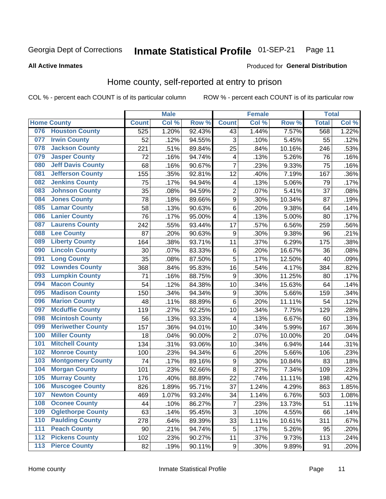### Inmate Statistical Profile 01-SEP-21 Page 11

### **All Active Inmates**

## **Produced for General Distribution**

## Home county, self-reported at entry to prison

COL % - percent each COUNT is of its particular column

|                  |                          |              | <b>Male</b> |        |                  | <b>Female</b> |                  | <b>Total</b> |       |
|------------------|--------------------------|--------------|-------------|--------|------------------|---------------|------------------|--------------|-------|
|                  | <b>Home County</b>       | <b>Count</b> | Col %       | Row %  | <b>Count</b>     | Col %         | Row <sup>%</sup> | <b>Total</b> | Col % |
| 076              | <b>Houston County</b>    | 525          | 1.20%       | 92.43% | 43               | 1.44%         | 7.57%            | 568          | 1.22% |
| 077              | <b>Irwin County</b>      | 52           | .12%        | 94.55% | 3                | .10%          | 5.45%            | 55           | .12%  |
| 078              | <b>Jackson County</b>    | 221          | .51%        | 89.84% | 25               | .84%          | 10.16%           | 246          | .53%  |
| 079              | <b>Jasper County</b>     | 72           | .16%        | 94.74% | 4                | .13%          | 5.26%            | 76           | .16%  |
| 080              | <b>Jeff Davis County</b> | 68           | .16%        | 90.67% | $\overline{7}$   | .23%          | 9.33%            | 75           | .16%  |
| 081              | <b>Jefferson County</b>  | 155          | .35%        | 92.81% | 12               | .40%          | 7.19%            | 167          | .36%  |
| 082              | <b>Jenkins County</b>    | 75           | .17%        | 94.94% | 4                | .13%          | 5.06%            | 79           | .17%  |
| 083              | <b>Johnson County</b>    | 35           | .08%        | 94.59% | $\overline{2}$   | .07%          | 5.41%            | 37           | .08%  |
| 084              | <b>Jones County</b>      | 78           | .18%        | 89.66% | $\boldsymbol{9}$ | .30%          | 10.34%           | 87           | .19%  |
| 085              | <b>Lamar County</b>      | 58           | .13%        | 90.63% | $\overline{6}$   | .20%          | 9.38%            | 64           | .14%  |
| 086              | <b>Lanier County</b>     | 76           | .17%        | 95.00% | 4                | .13%          | 5.00%            | 80           | .17%  |
| 087              | <b>Laurens County</b>    | 242          | .55%        | 93.44% | 17               | .57%          | 6.56%            | 259          | .56%  |
| 088              | <b>Lee County</b>        | 87           | .20%        | 90.63% | 9                | .30%          | 9.38%            | 96           | .21%  |
| 089              | <b>Liberty County</b>    | 164          | .38%        | 93.71% | 11               | .37%          | 6.29%            | 175          | .38%  |
| 090              | <b>Lincoln County</b>    | 30           | .07%        | 83.33% | $\,6$            | .20%          | 16.67%           | 36           | .08%  |
| 091              | <b>Long County</b>       | 35           | .08%        | 87.50% | 5                | .17%          | 12.50%           | 40           | .09%  |
| 092              | <b>Lowndes County</b>    | 368          | .84%        | 95.83% | 16               | .54%          | 4.17%            | 384          | .82%  |
| 093              | <b>Lumpkin County</b>    | 71           | .16%        | 88.75% | 9                | .30%          | 11.25%           | 80           | .17%  |
| 094              | <b>Macon County</b>      | 54           | .12%        | 84.38% | 10               | .34%          | 15.63%           | 64           | .14%  |
| 095              | <b>Madison County</b>    | 150          | .34%        | 94.34% | 9                | .30%          | 5.66%            | 159          | .34%  |
| 096              | <b>Marion County</b>     | 48           | .11%        | 88.89% | $\,6$            | .20%          | 11.11%           | 54           | .12%  |
| 097              | <b>Mcduffie County</b>   | 119          | .27%        | 92.25% | 10               | .34%          | 7.75%            | 129          | .28%  |
| 098              | <b>Mcintosh County</b>   | 56           | .13%        | 93.33% | 4                | .13%          | 6.67%            | 60           | .13%  |
| 099              | <b>Meriwether County</b> | 157          | .36%        | 94.01% | 10               | .34%          | 5.99%            | 167          | .36%  |
| 100              | <b>Miller County</b>     | 18           | .04%        | 90.00% | $\overline{2}$   | .07%          | 10.00%           | 20           | .04%  |
| 101              | <b>Mitchell County</b>   | 134          | .31%        | 93.06% | 10               | .34%          | 6.94%            | 144          | .31%  |
| 102              | <b>Monroe County</b>     | 100          | .23%        | 94.34% | $\,6$            | .20%          | 5.66%            | 106          | .23%  |
| 103              | <b>Montgomery County</b> | 74           | .17%        | 89.16% | 9                | .30%          | 10.84%           | 83           | .18%  |
| 104              | <b>Morgan County</b>     | 101          | .23%        | 92.66% | 8                | .27%          | 7.34%            | 109          | .23%  |
| 105              | <b>Murray County</b>     | 176          | .40%        | 88.89% | 22               | .74%          | 11.11%           | 198          | .42%  |
| 106              | <b>Muscogee County</b>   | 826          | 1.89%       | 95.71% | 37               | 1.24%         | 4.29%            | 863          | 1.85% |
| 107              | <b>Newton County</b>     | 469          | 1.07%       | 93.24% | 34               | 1.14%         | 6.76%            | 503          | 1.08% |
| 108              | <b>Oconee County</b>     | 44           | .10%        | 86.27% | 7                | .23%          | 13.73%           | 51           | .11%  |
| 109              | <b>Oglethorpe County</b> | 63           | .14%        | 95.45% | 3                | .10%          | 4.55%            | 66           | .14%  |
| 110              | <b>Paulding County</b>   | 278          | .64%        | 89.39% | 33               | 1.11%         | 10.61%           | 311          | .67%  |
| 111              | <b>Peach County</b>      | 90           | .21%        | 94.74% | 5                | .17%          | 5.26%            | 95           | .20%  |
| $\overline{112}$ | <b>Pickens County</b>    | 102          | .23%        | 90.27% | 11               | .37%          | 9.73%            | 113          | .24%  |
| 113              | <b>Pierce County</b>     | 82           | .19%        | 90.11% | $\boldsymbol{9}$ | .30%          | 9.89%            | 91           | .20%  |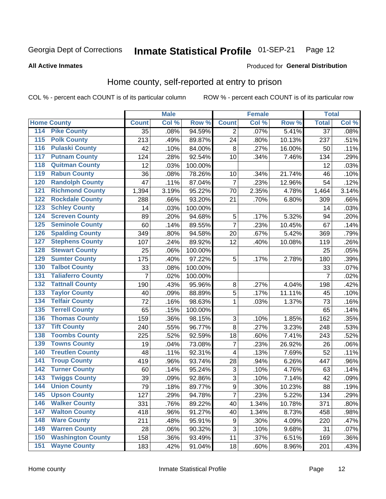### Inmate Statistical Profile 01-SEP-21 Page 12

## **All Active Inmates**

## Produced for General Distribution

## Home county, self-reported at entry to prison

COL % - percent each COUNT is of its particular column

|                  |                          |                | <b>Male</b> |         |                | <b>Female</b> |        | <b>Total</b>    |       |
|------------------|--------------------------|----------------|-------------|---------|----------------|---------------|--------|-----------------|-------|
|                  | <b>Home County</b>       | <b>Count</b>   | Col %       | Row %   | <b>Count</b>   | Col %         | Row %  | <b>Total</b>    | Col % |
| 114              | <b>Pike County</b>       | 35             | .08%        | 94.59%  | 2              | .07%          | 5.41%  | $\overline{37}$ | .08%  |
| $\overline{115}$ | <b>Polk County</b>       | 213            | .49%        | 89.87%  | 24             | .80%          | 10.13% | 237             | .51%  |
| 116              | <b>Pulaski County</b>    | 42             | .10%        | 84.00%  | 8              | .27%          | 16.00% | 50              | .11%  |
| 117              | <b>Putnam County</b>     | 124            | .28%        | 92.54%  | 10             | .34%          | 7.46%  | 134             | .29%  |
| 118              | <b>Quitman County</b>    | 12             | .03%        | 100.00% |                |               |        | 12              | .03%  |
| 119              | <b>Rabun County</b>      | 36             | .08%        | 78.26%  | 10             | .34%          | 21.74% | 46              | .10%  |
| 120              | <b>Randolph County</b>   | 47             | .11%        | 87.04%  | $\overline{7}$ | .23%          | 12.96% | 54              | .12%  |
| 121              | <b>Richmond County</b>   | 1,394          | 3.19%       | 95.22%  | 70             | 2.35%         | 4.78%  | 1,464           | 3.14% |
| 122              | <b>Rockdale County</b>   | 288            | .66%        | 93.20%  | 21             | .70%          | 6.80%  | 309             | .66%  |
| 123              | <b>Schley County</b>     | 14             | .03%        | 100.00% |                |               |        | 14              | .03%  |
| 124              | <b>Screven County</b>    | 89             | .20%        | 94.68%  | 5              | .17%          | 5.32%  | 94              | .20%  |
| 125              | <b>Seminole County</b>   | 60             | .14%        | 89.55%  | $\overline{7}$ | .23%          | 10.45% | 67              | .14%  |
| 126              | <b>Spalding County</b>   | 349            | .80%        | 94.58%  | 20             | .67%          | 5.42%  | 369             | .79%  |
| 127              | <b>Stephens County</b>   | 107            | .24%        | 89.92%  | 12             | .40%          | 10.08% | 119             | .26%  |
| 128              | <b>Stewart County</b>    | 25             | .06%        | 100.00% |                |               |        | 25              | .05%  |
| 129              | <b>Sumter County</b>     | 175            | .40%        | 97.22%  | 5              | .17%          | 2.78%  | 180             | .39%  |
| 130              | <b>Talbot County</b>     | 33             | .08%        | 100.00% |                |               |        | 33              | .07%  |
| 131              | <b>Taliaferro County</b> | $\overline{7}$ | .02%        | 100.00% |                |               |        | $\overline{7}$  | .02%  |
| 132              | <b>Tattnall County</b>   | 190            | .43%        | 95.96%  | 8              | .27%          | 4.04%  | 198             | .42%  |
| 133              | <b>Taylor County</b>     | 40             | .09%        | 88.89%  | 5              | .17%          | 11.11% | 45              | .10%  |
| 134              | <b>Telfair County</b>    | 72             | .16%        | 98.63%  | $\mathbf{1}$   | .03%          | 1.37%  | 73              | .16%  |
| 135              | <b>Terrell County</b>    | 65             | .15%        | 100.00% |                |               |        | 65              | .14%  |
| 136              | <b>Thomas County</b>     | 159            | .36%        | 98.15%  | $\sqrt{3}$     | .10%          | 1.85%  | 162             | .35%  |
| 137              | <b>Tift County</b>       | 240            | .55%        | 96.77%  | 8              | .27%          | 3.23%  | 248             | .53%  |
| 138              | <b>Toombs County</b>     | 225            | .52%        | 92.59%  | 18             | .60%          | 7.41%  | 243             | .52%  |
| 139              | <b>Towns County</b>      | 19             | .04%        | 73.08%  | $\overline{7}$ | .23%          | 26.92% | 26              | .06%  |
| 140              | <b>Treutlen County</b>   | 48             | .11%        | 92.31%  | $\overline{4}$ | .13%          | 7.69%  | 52              | .11%  |
| 141              | <b>Troup County</b>      | 419            | .96%        | 93.74%  | 28             | .94%          | 6.26%  | 447             | .96%  |
| 142              | <b>Turner County</b>     | 60             | .14%        | 95.24%  | 3              | .10%          | 4.76%  | 63              | .14%  |
| $\overline{143}$ | <b>Twiggs County</b>     | 39             | .09%        | 92.86%  | $\mathbf{3}$   | .10%          | 7.14%  | 42              | .09%  |
| 144              | <b>Union County</b>      | 79             | .18%        | 89.77%  | $\overline{9}$ | .30%          | 10.23% | 88              | .19%  |
| 145              | <b>Upson County</b>      | 127            | .29%        | 94.78%  | 7              | .23%          | 5.22%  | 134             | .29%  |
| 146              | <b>Walker County</b>     | 331            | .76%        | 89.22%  | 40             | 1.34%         | 10.78% | 371             | .80%  |
| 147              | <b>Walton County</b>     | 418            | .96%        | 91.27%  | 40             | 1.34%         | 8.73%  | 458             | .98%  |
| 148              | <b>Ware County</b>       | 211            | .48%        | 95.91%  | 9              | .30%          | 4.09%  | 220             | .47%  |
| 149              | <b>Warren County</b>     | 28             | .06%        | 90.32%  | 3              | .10%          | 9.68%  | 31              | .07%  |
| 150              | <b>Washington County</b> | 158            | .36%        | 93.49%  | 11             | .37%          | 6.51%  | 169             | .36%  |
| 151              | <b>Wayne County</b>      | 183            | .42%        | 91.04%  | 18             | .60%          | 8.96%  | 201             | .43%  |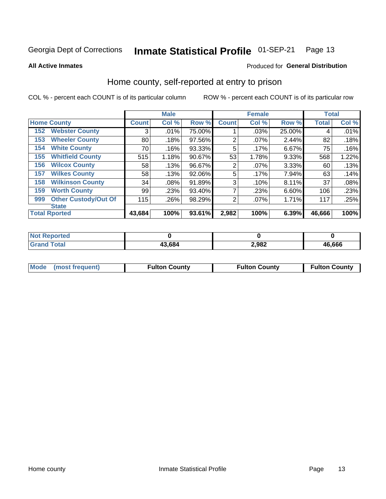### Inmate Statistical Profile 01-SEP-21 Page 13

### **All Active Inmates**

## Produced for General Distribution

## Home county, self-reported at entry to prison

COL % - percent each COUNT is of its particular column

|     |                             |              | <b>Male</b> |        |                | <b>Female</b> |        | <b>Total</b> |       |
|-----|-----------------------------|--------------|-------------|--------|----------------|---------------|--------|--------------|-------|
|     | <b>Home County</b>          | <b>Count</b> | Col %       | Row %  | <b>Count</b>   | Col %         | Row %  | <b>Total</b> | Col % |
| 152 | <b>Webster County</b>       | 3            | .01%        | 75.00% |                | .03%          | 25.00% | 4            | .01%  |
| 153 | <b>Wheeler County</b>       | 80           | .18%        | 97.56% | $\overline{2}$ | $.07\%$       | 2.44%  | 82           | .18%  |
| 154 | <b>White County</b>         | 70           | .16%        | 93.33% | 5              | .17%          | 6.67%  | 75           | .16%  |
| 155 | <b>Whitfield County</b>     | 515          | 1.18%       | 90.67% | 53             | 1.78%         | 9.33%  | 568          | 1.22% |
| 156 | <b>Wilcox County</b>        | 58           | .13%        | 96.67% | 2              | $.07\%$       | 3.33%  | 60           | .13%  |
| 157 | <b>Wilkes County</b>        | 58           | .13%        | 92.06% | 5              | .17%          | 7.94%  | 63           | .14%  |
| 158 | <b>Wilkinson County</b>     | 34           | .08%        | 91.89% | 3              | .10%          | 8.11%  | 37           | .08%  |
| 159 | <b>Worth County</b>         | 99           | .23%        | 93.40% | 7              | .23%          | 6.60%  | 106          | .23%  |
| 999 | <b>Other Custody/Out Of</b> | 115          | .26%        | 98.29% | $\overline{2}$ | .07%          | 1.71%  | 117          | .25%  |
|     | <b>State</b>                |              |             |        |                |               |        |              |       |
|     | <b>Total Rported</b>        | 43,684       | 100%        | 93.61% | 2,982          | 100%          | 6.39%  | 46,666       | 100%  |

| <b>NO</b><br>τeα |      |       |        |
|------------------|------|-------|--------|
|                  | .684 | 2,982 | 16.666 |

|  | Mode (most frequent) | <b>Fulton County</b> | <b>Fulton County</b> | <b>Fulton County</b> |
|--|----------------------|----------------------|----------------------|----------------------|
|--|----------------------|----------------------|----------------------|----------------------|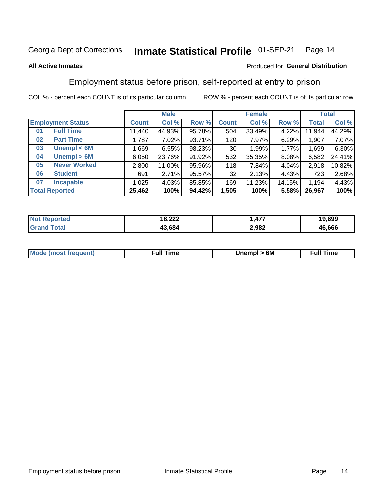### Inmate Statistical Profile 01-SEP-21 Page 14

## **All Active Inmates**

## Produced for General Distribution

## Employment status before prison, self-reported at entry to prison

COL % - percent each COUNT is of its particular column

|                           |         | <b>Male</b> |        |              | <b>Female</b> |        |        | <b>Total</b> |
|---------------------------|---------|-------------|--------|--------------|---------------|--------|--------|--------------|
| <b>Employment Status</b>  | Count l | Col %       | Row %  | <b>Count</b> | Col %         | Row %  | Total  | Col %        |
| <b>Full Time</b><br>01    | 11,440  | 44.93%      | 95.78% | 504          | 33.49%        | 4.22%  | 11,944 | 44.29%       |
| <b>Part Time</b><br>02    | 1,787   | 7.02%       | 93.71% | 120          | 7.97%         | 6.29%  | 1,907  | 7.07%        |
| Unempl $<$ 6M<br>03       | 1,669   | 6.55%       | 98.23% | 30           | 1.99%         | 1.77%  | 1,699  | 6.30%        |
| Unempl > 6M<br>04         | 6,050   | 23.76%      | 91.92% | 532          | 35.35%        | 8.08%  | 6,582  | 24.41%       |
| <b>Never Worked</b><br>05 | 2,800   | 11.00%      | 95.96% | 118          | 7.84%         | 4.04%  | 2,918  | 10.82%       |
| <b>Student</b><br>06      | 691     | 2.71%       | 95.57% | 32           | 2.13%         | 4.43%  | 723    | 2.68%        |
| <b>Incapable</b><br>07    | 1,025   | 4.03%       | 85.85% | 169          | 11.23%        | 14.15% | 1,194  | 4.43%        |
| <b>Total Reported</b>     | 25,462  | 100%        | 94.42% | 1,505        | 100%          | 5.58%  | 26,967 | 100%         |

| N <sub>of</sub><br>orted | 18.222<br>0. <i>LLL</i> | $\rightarrow -$<br>$\mathbf{r}$<br> | 19,699 |
|--------------------------|-------------------------|-------------------------------------|--------|
| ™otai                    | 13.684                  | 2,982                               | 46,666 |

| <b>Mode (most frequent)</b> | rull 1<br>the contract of the contract of the contract of the contract of the contract of the contract of the contract of | 6M | ïme<br>ιuι<br>the contract of the contract of the contract of the contract of the contract of the contract of the contract of |
|-----------------------------|---------------------------------------------------------------------------------------------------------------------------|----|-------------------------------------------------------------------------------------------------------------------------------|
|                             |                                                                                                                           |    |                                                                                                                               |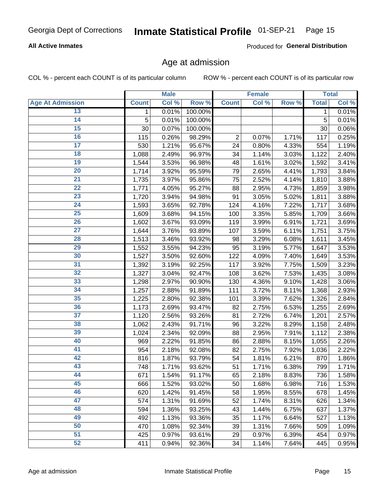### Inmate Statistical Profile 01-SEP-21 Page 15

## **All Active Inmates**

Produced for General Distribution

## Age at admission

COL % - percent each COUNT is of its particular column

|                         |                    | <b>Male</b> |         |                | <b>Female</b> |       |              | <b>Total</b> |
|-------------------------|--------------------|-------------|---------|----------------|---------------|-------|--------------|--------------|
| <b>Age At Admission</b> | <b>Count</b>       | Col %       | Row %   | <b>Count</b>   | Col %         | Row % | <b>Total</b> | Col %        |
| 13                      | $\mathbf 1$        | 0.01%       | 100.00% |                |               |       | 1            | 0.01%        |
| $\overline{14}$         | 5                  | 0.01%       | 100.00% |                |               |       | 5            | 0.01%        |
| 15                      | 30                 | 0.07%       | 100.00% |                |               |       | 30           | 0.06%        |
| 16                      | 115                | 0.26%       | 98.29%  | $\overline{2}$ | 0.07%         | 1.71% | 117          | 0.25%        |
| $\overline{17}$         | 530                | 1.21%       | 95.67%  | 24             | 0.80%         | 4.33% | 554          | 1.19%        |
| 18                      | 1,088              | 2.49%       | 96.97%  | 34             | 1.14%         | 3.03% | 1,122        | 2.40%        |
| 19                      | 1,544              | 3.53%       | 96.98%  | 48             | 1.61%         | 3.02% | 1,592        | 3.41%        |
| $\overline{20}$         | 1,714              | 3.92%       | 95.59%  | 79             | 2.65%         | 4.41% | 1,793        | 3.84%        |
| $\overline{21}$         | 1,735              | 3.97%       | 95.86%  | 75             | 2.52%         | 4.14% | 1,810        | 3.88%        |
| $\overline{22}$         | 1,771              | 4.05%       | 95.27%  | 88             | 2.95%         | 4.73% | 1,859        | 3.98%        |
| 23                      | 1,720              | 3.94%       | 94.98%  | 91             | 3.05%         | 5.02% | 1,811        | 3.88%        |
| $\overline{24}$         | 1,593              | 3.65%       | 92.78%  | 124            | 4.16%         | 7.22% | 1,717        | 3.68%        |
| $\overline{25}$         | 1,609              | 3.68%       | 94.15%  | 100            | 3.35%         | 5.85% | 1,709        | 3.66%        |
| $\overline{26}$         | 1,602              | 3.67%       | 93.09%  | 119            | 3.99%         | 6.91% | 1,721        | 3.69%        |
| $\overline{27}$         | 1,644              | 3.76%       | 93.89%  | 107            | 3.59%         | 6.11% | 1,751        | 3.75%        |
| 28                      | $\overline{1,513}$ | 3.46%       | 93.92%  | 98             | 3.29%         | 6.08% | 1,611        | 3.45%        |
| 29                      | 1,552              | 3.55%       | 94.23%  | 95             | 3.19%         | 5.77% | 1,647        | 3.53%        |
| 30                      | 1,527              | 3.50%       | 92.60%  | 122            | 4.09%         | 7.40% | 1,649        | 3.53%        |
| 31                      | 1,392              | 3.19%       | 92.25%  | 117            | 3.92%         | 7.75% | 1,509        | 3.23%        |
| $\overline{32}$         | 1,327              | 3.04%       | 92.47%  | 108            | 3.62%         | 7.53% | 1,435        | 3.08%        |
| 33                      | 1,298              | 2.97%       | 90.90%  | 130            | 4.36%         | 9.10% | 1,428        | 3.06%        |
| 34                      | 1,257              | 2.88%       | 91.89%  | 111            | 3.72%         | 8.11% | 1,368        | 2.93%        |
| 35                      | 1,225              | 2.80%       | 92.38%  | 101            | 3.39%         | 7.62% | 1,326        | 2.84%        |
| 36                      | 1,173              | 2.69%       | 93.47%  | 82             | 2.75%         | 6.53% | 1,255        | 2.69%        |
| $\overline{37}$         | 1,120              | 2.56%       | 93.26%  | 81             | 2.72%         | 6.74% | 1,201        | 2.57%        |
| 38                      | 1,062              | 2.43%       | 91.71%  | 96             | 3.22%         | 8.29% | 1,158        | 2.48%        |
| 39                      | 1,024              | 2.34%       | 92.09%  | 88             | 2.95%         | 7.91% | 1,112        | 2.38%        |
| 40                      | 969                | 2.22%       | 91.85%  | 86             | 2.88%         | 8.15% | 1,055        | 2.26%        |
| 41                      | 954                | 2.18%       | 92.08%  | 82             | 2.75%         | 7.92% | 1,036        | 2.22%        |
| 42                      | 816                | 1.87%       | 93.79%  | 54             | 1.81%         | 6.21% | 870          | 1.86%        |
| 43                      | 748                | 1.71%       | 93.62%  | 51             | 1.71%         | 6.38% | 799          | 1.71%        |
| 44                      | 671                | 1.54%       | 91.17%  | 65             | 2.18%         | 8.83% | 736          | 1.58%        |
| 45                      | 666                | 1.52%       | 93.02%  | 50             | 1.68%         | 6.98% | 716          | 1.53%        |
| 46                      | 620                | 1.42%       | 91.45%  | 58             | 1.95%         | 8.55% | 678          | 1.45%        |
| 47                      | 574                | 1.31%       | 91.69%  | 52             | 1.74%         | 8.31% | 626          | 1.34%        |
| 48                      | 594                | 1.36%       | 93.25%  | 43             | 1.44%         | 6.75% | 637          | 1.37%        |
| 49                      | 492                | 1.13%       | 93.36%  | 35             | 1.17%         | 6.64% | 527          | 1.13%        |
| 50                      | 470                | 1.08%       | 92.34%  | 39             | 1.31%         | 7.66% | 509          | 1.09%        |
| 51                      | 425                | 0.97%       | 93.61%  | 29             | 0.97%         | 6.39% | 454          | 0.97%        |
| 52                      | 411                | 0.94%       | 92.36%  | 34             | 1.14%         | 7.64% | 445          | 0.95%        |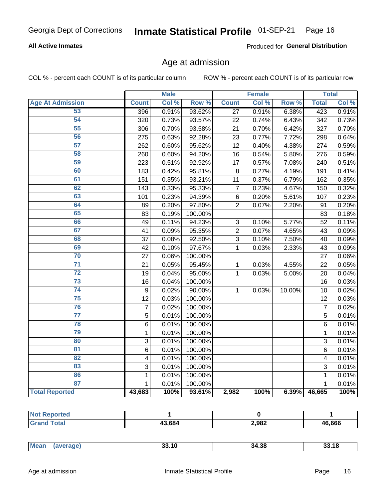## Inmate Statistical Profile 01-SEP-21 Page 16

## **All Active Inmates**

Produced for General Distribution

## Age at admission

COL % - percent each COUNT is of its particular column

|                         |                | <b>Male</b> |         |                 | <b>Female</b> |        |                | <b>Total</b> |
|-------------------------|----------------|-------------|---------|-----------------|---------------|--------|----------------|--------------|
| <b>Age At Admission</b> | <b>Count</b>   | Col %       | Row %   | <b>Count</b>    | Col %         | Row %  | <b>Total</b>   | Col %        |
| 53                      | 396            | 0.91%       | 93.62%  | 27              | 0.91%         | 6.38%  | 423            | 0.91%        |
| 54                      | 320            | 0.73%       | 93.57%  | 22              | 0.74%         | 6.43%  | 342            | 0.73%        |
| 55                      | 306            | 0.70%       | 93.58%  | 21              | 0.70%         | 6.42%  | 327            | 0.70%        |
| 56                      | 275            | 0.63%       | 92.28%  | 23              | 0.77%         | 7.72%  | 298            | 0.64%        |
| $\overline{57}$         | 262            | 0.60%       | 95.62%  | 12              | 0.40%         | 4.38%  | 274            | 0.59%        |
| 58                      | 260            | 0.60%       | 94.20%  | 16              | 0.54%         | 5.80%  | 276            | 0.59%        |
| 59                      | 223            | 0.51%       | 92.92%  | $\overline{17}$ | 0.57%         | 7.08%  | 240            | 0.51%        |
| 60                      | 183            | 0.42%       | 95.81%  | 8               | 0.27%         | 4.19%  | 191            | 0.41%        |
| 61                      | 151            | 0.35%       | 93.21%  | 11              | 0.37%         | 6.79%  | 162            | 0.35%        |
| 62                      | 143            | 0.33%       | 95.33%  | $\overline{7}$  | 0.23%         | 4.67%  | 150            | 0.32%        |
| 63                      | 101            | 0.23%       | 94.39%  | $\,6$           | 0.20%         | 5.61%  | 107            | 0.23%        |
| 64                      | 89             | 0.20%       | 97.80%  | $\overline{2}$  | 0.07%         | 2.20%  | 91             | 0.20%        |
| 65                      | 83             | 0.19%       | 100.00% |                 |               |        | 83             | 0.18%        |
| 66                      | 49             | 0.11%       | 94.23%  | $\mathbf{3}$    | 0.10%         | 5.77%  | 52             | 0.11%        |
| 67                      | 41             | 0.09%       | 95.35%  | $\overline{c}$  | 0.07%         | 4.65%  | 43             | 0.09%        |
| 68                      | 37             | 0.08%       | 92.50%  | 3               | 0.10%         | 7.50%  | 40             | 0.09%        |
| 69                      | 42             | 0.10%       | 97.67%  | 1               | 0.03%         | 2.33%  | 43             | 0.09%        |
| 70                      | 27             | 0.06%       | 100.00% |                 |               |        | 27             | 0.06%        |
| $\overline{71}$         | 21             | 0.05%       | 95.45%  | $\mathbf{1}$    | 0.03%         | 4.55%  | 22             | 0.05%        |
| $\overline{72}$         | 19             | 0.04%       | 95.00%  | $\mathbf 1$     | 0.03%         | 5.00%  | 20             | 0.04%        |
| $\overline{73}$         | 16             | 0.04%       | 100.00% |                 |               |        | 16             | 0.03%        |
| $\overline{74}$         | 9              | 0.02%       | 90.00%  | $\mathbf{1}$    | 0.03%         | 10.00% | 10             | 0.02%        |
| 75                      | 12             | 0.03%       | 100.00% |                 |               |        | 12             | 0.03%        |
| 76                      | $\overline{7}$ | 0.02%       | 100.00% |                 |               |        | $\overline{7}$ | 0.02%        |
| $\overline{77}$         | $\overline{5}$ | 0.01%       | 100.00% |                 |               |        | $\overline{5}$ | 0.01%        |
| 78                      | $\overline{6}$ | 0.01%       | 100.00% |                 |               |        | 6              | 0.01%        |
| 79                      | $\mathbf 1$    | 0.01%       | 100.00% |                 |               |        | $\mathbf{1}$   | 0.01%        |
| 80                      | 3              | 0.01%       | 100.00% |                 |               |        | 3              | 0.01%        |
| 81                      | 6              | 0.01%       | 100.00% |                 |               |        | 6              | 0.01%        |
| $\overline{82}$         | 4              | 0.01%       | 100.00% |                 |               |        | 4              | 0.01%        |
| 83                      | 3              | 0.01%       | 100.00% |                 |               |        | 3              | 0.01%        |
| 86                      | 1              | 0.01%       | 100.00% |                 |               |        | 1              | 0.01%        |
| 87                      | $\mathbf{1}$   | 0.01%       | 100.00% |                 |               |        | $\mathbf{1}$   | 0.01%        |
| <b>Total Reported</b>   | 43,683         | 100%        | 93.61%  | 2,982           | 100%          | 6.39%  | 46,665         | 100%         |

| тео |        |       |        |
|-----|--------|-------|--------|
|     | 43,684 | 2,982 | 46.666 |

|  | Mean | 33.10 | 34.38 |  |
|--|------|-------|-------|--|
|--|------|-------|-------|--|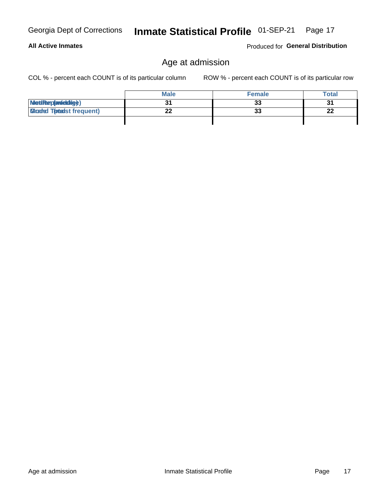## **All Active Inmates**

Produced for General Distribution

## Age at admission

Inmate Statistical Profile 01-SEP-21 Page 17

COL % - percent each COUNT is of its particular column

|                                  | <b>Male</b> | <b>Female</b> | Total    |
|----------------------------------|-------------|---------------|----------|
| MetiRap(aniektig)                |             | 33            | 2.       |
| <b>Gloaded Totadst frequent)</b> |             | 33            | າາ<br>LL |
|                                  |             |               |          |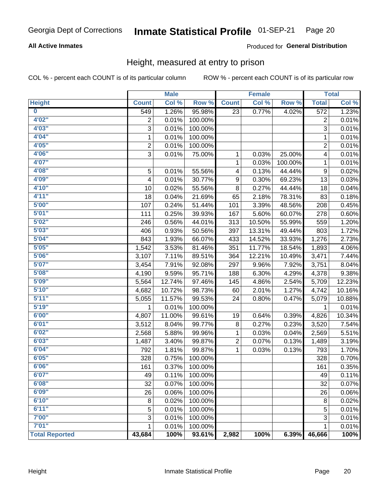### Inmate Statistical Profile 01-SEP-21 Page 20

## **All Active Inmates**

## Produced for General Distribution

## Height, measured at entry to prison

COL % - percent each COUNT is of its particular column

|                         |                | <b>Male</b> |         |                  | <b>Female</b> |         |                  | <b>Total</b>               |
|-------------------------|----------------|-------------|---------|------------------|---------------|---------|------------------|----------------------------|
| <b>Height</b>           | <b>Count</b>   | Col %       | Row %   | <b>Count</b>     | Col %         | Row %   | <b>Total</b>     | $\overline{\text{Col }^9}$ |
| $\overline{\mathbf{0}}$ | 549            | 1.26%       | 95.98%  | 23               | 0.77%         | 4.02%   | 572              | 1.23%                      |
| 4'02"                   | $\overline{2}$ | 0.01%       | 100.00% |                  |               |         | $\overline{2}$   | 0.01%                      |
| 4'03''                  | 3              | 0.01%       | 100.00% |                  |               |         | 3                | 0.01%                      |
| 4'04"                   | 1              | 0.01%       | 100.00% |                  |               |         | 1                | 0.01%                      |
| 4'05"                   | $\overline{2}$ | 0.01%       | 100.00% |                  |               |         | $\overline{2}$   | 0.01%                      |
| 4'06"                   | 3              | 0.01%       | 75.00%  | $\mathbf{1}$     | 0.03%         | 25.00%  | 4                | 0.01%                      |
| 4'07"                   |                |             |         | 1                | 0.03%         | 100.00% | 1                | 0.01%                      |
| 4'08"                   | 5              | 0.01%       | 55.56%  | 4                | 0.13%         | 44.44%  | $\boldsymbol{9}$ | 0.02%                      |
| 4'09"                   | 4              | 0.01%       | 30.77%  | $\boldsymbol{9}$ | 0.30%         | 69.23%  | 13               | 0.03%                      |
| 4'10"                   | 10             | 0.02%       | 55.56%  | 8                | 0.27%         | 44.44%  | 18               | 0.04%                      |
| 4'11''                  | 18             | 0.04%       | 21.69%  | 65               | 2.18%         | 78.31%  | 83               | 0.18%                      |
| 5'00''                  | 107            | 0.24%       | 51.44%  | 101              | 3.39%         | 48.56%  | 208              | 0.45%                      |
| 5'01"                   | 111            | 0.25%       | 39.93%  | 167              | 5.60%         | 60.07%  | 278              | 0.60%                      |
| 5'02"                   | 246            | 0.56%       | 44.01%  | 313              | 10.50%        | 55.99%  | 559              | 1.20%                      |
| 5'03''                  | 406            | 0.93%       | 50.56%  | 397              | 13.31%        | 49.44%  | 803              | 1.72%                      |
| 5'04"                   | 843            | 1.93%       | 66.07%  | 433              | 14.52%        | 33.93%  | 1,276            | 2.73%                      |
| 5'05"                   | 1,542          | 3.53%       | 81.46%  | 351              | 11.77%        | 18.54%  | 1,893            | 4.06%                      |
| 5'06''                  | 3,107          | 7.11%       | 89.51%  | 364              | 12.21%        | 10.49%  | 3,471            | 7.44%                      |
| 5'07"                   | 3,454          | 7.91%       | 92.08%  | 297              | 9.96%         | 7.92%   | 3,751            | 8.04%                      |
| 5'08''                  | 4,190          | 9.59%       | 95.71%  | 188              | 6.30%         | 4.29%   | 4,378            | 9.38%                      |
| 5'09''                  | 5,564          | 12.74%      | 97.46%  | 145              | 4.86%         | 2.54%   | 5,709            | 12.23%                     |
| 5'10''                  | 4,682          | 10.72%      | 98.73%  | 60               | 2.01%         | 1.27%   | 4,742            | 10.16%                     |
| 5'11''                  | 5,055          | 11.57%      | 99.53%  | 24               | 0.80%         | 0.47%   | 5,079            | 10.88%                     |
| 5'19''                  | 1              | 0.01%       | 100.00% |                  |               |         | 1                | 0.01%                      |
| 6'00''                  | 4,807          | 11.00%      | 99.61%  | 19               | 0.64%         | 0.39%   | 4,826            | 10.34%                     |
| 6'01''                  | 3,512          | 8.04%       | 99.77%  | 8                | 0.27%         | 0.23%   | 3,520            | 7.54%                      |
| 6'02"                   | 2,568          | 5.88%       | 99.96%  | 1                | 0.03%         | 0.04%   | 2,569            | 5.51%                      |
| 6'03''                  | 1,487          | 3.40%       | 99.87%  | $\overline{2}$   | 0.07%         | 0.13%   | 1,489            | 3.19%                      |
| 6'04"                   | 792            | 1.81%       | 99.87%  | $\mathbf{1}$     | 0.03%         | 0.13%   | 793              | 1.70%                      |
| 6'05"                   | 328            | 0.75%       | 100.00% |                  |               |         | 328              | 0.70%                      |
| 6'06''                  | 161            | 0.37%       | 100.00% |                  |               |         | 161              | 0.35%                      |
| 6'07"                   | 49             | 0.11%       | 100.00% |                  |               |         | 49               | 0.11%                      |
| 6'08''                  | 32             | 0.07%       | 100.00% |                  |               |         | 32               | 0.07%                      |
| 6'09''                  | 26             | 0.06%       | 100.00% |                  |               |         | 26               | 0.06%                      |
| 6'10''                  | 8              | 0.02%       | 100.00% |                  |               |         | 8                | 0.02%                      |
| 6'11''                  | 5              | 0.01%       | 100.00% |                  |               |         | 5                | 0.01%                      |
| 7'00"                   | 3              | 0.01%       | 100.00% |                  |               |         | 3                | 0.01%                      |
| 7'01''                  | 1              | 0.01%       | 100.00% |                  |               |         | 1                | $\overline{0.01\%}$        |
| <b>Total Reported</b>   | 43,684         | 100%        | 93.61%  | 2,982            | 100%          | 6.39%   | 46,666           | 100%                       |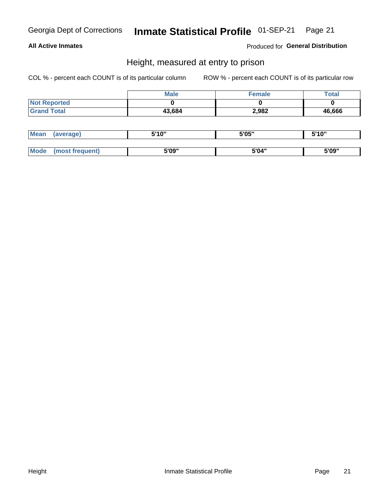## Inmate Statistical Profile 01-SEP-21 Page 21

## **All Active Inmates**

Produced for General Distribution

## Height, measured at entry to prison

COL % - percent each COUNT is of its particular column

|                     | <b>Male</b> | Female | $\tau$ otal |
|---------------------|-------------|--------|-------------|
| <b>Not Reported</b> |             |        |             |
| <b>Grand Total</b>  | 43,684      | 2,982  | 46,666      |

| <b>Mean</b> | erage) | 5'10" | 5'05" | <b>CIA AIL</b><br>. . |
|-------------|--------|-------|-------|-----------------------|
|             |        |       |       |                       |
| <b>Mode</b> |        | 5'09" | 5'04" | 5'09"                 |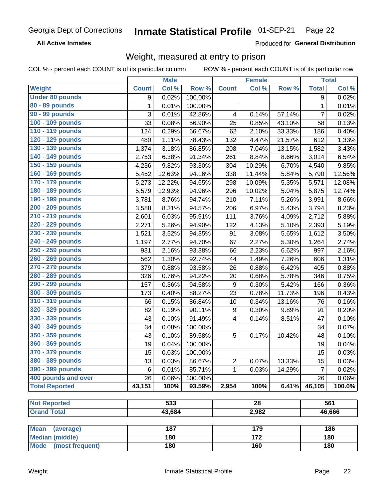#### Inmate Statistical Profile 01-SEP-21 Page 22

**All Active Inmates** 

Produced for General Distribution

## Weight, measured at entry to prison

COL % - percent each COUNT is of its particular column

| Col %<br>Col %<br>Row %<br><b>Total</b><br>Col %<br><b>Weight</b><br>Row %<br><b>Count</b><br><b>Count</b><br><b>Under 80 pounds</b><br>0.02%<br>100.00%<br>$\overline{9}$<br>9<br>80 - 89 pounds<br>1<br>100.00%<br>$\mathbf{1}$<br>0.01%<br>0.01%<br>90 - 99 pounds<br>3<br>$\overline{7}$<br>0.01%<br>42.86%<br>0.14%<br>57.14%<br>0.02%<br>4<br>100 - 109 pounds<br>33<br>0.08%<br>56.90%<br>25<br>0.85%<br>43.10%<br>0.13%<br>58<br>110 - 119 pounds<br>124<br>0.29%<br>66.67%<br>62<br>2.10%<br>33.33%<br>0.40%<br>186<br>120 - 129 pounds<br>1.11%<br>78.43%<br>132<br>612<br>1.33%<br>480<br>4.47%<br>21.57%<br>130 - 139 pounds<br>3.18%<br>86.85%<br>13.15%<br>3.43%<br>1,374<br>208<br>7.04%<br>1,582<br>140 - 149 pounds<br>6.38%<br>91.34%<br>8.84%<br>8.66%<br>6.54%<br>2,753<br>261<br>3,014<br>150 - 159 pounds<br>9.85%<br>9.82%<br>93.30%<br>10.29%<br>6.70%<br>4,236<br>304<br>4,540<br>160 - 169 pounds<br>12.56%<br>12.63%<br>94.16%<br>338<br>11.44%<br>5.84%<br>5,790<br>5,452<br>170 - 179 pounds<br>298<br>5.35%<br>12.08%<br>5,273<br>12.22%<br>94.65%<br>10.09%<br>5,571<br>180 - 189 pounds<br>10.02%<br>5.04%<br>12.74%<br>5,579<br>12.93%<br>94.96%<br>296<br>5,875<br>190 - 199 pounds<br>5.26%<br>8.76%<br>94.74%<br>210<br>7.11%<br>3,991<br>8.66%<br>3,781<br>200 - 209 pounds<br>5.43%<br>8.23%<br>3,588<br>8.31%<br>94.57%<br>206<br>6.97%<br>3,794<br>210 - 219 pounds<br>6.03%<br>95.91%<br>111<br>4.09%<br>2,712<br>5.88%<br>2,601<br>3.76%<br>220 - 229 pounds<br>5.26%<br>4.13%<br>5.10%<br>5.19%<br>2,271<br>94.90%<br>122<br>2,393<br>230 - 239 pounds<br>3.52%<br>94.35%<br>3.08%<br>5.65%<br>3.50%<br>1,521<br>91<br>1,612<br>240 - 249 pounds<br>67<br>2.27%<br>5.30%<br>2.74%<br>2.77%<br>94.70%<br>1,264<br>1,197<br>250 - 259 pounds<br>2.16%<br>93.38%<br>6.62%<br>2.16%<br>931<br>66<br>2.23%<br>997<br>260 - 269 pounds<br>1.30%<br>1.49%<br>7.26%<br>1.31%<br>562<br>92.74%<br>44<br>606<br>270 - 279 pounds<br>379<br>0.88%<br>93.58%<br>26<br>0.88%<br>6.42%<br>0.88%<br>405<br>280 - 289 pounds<br>326<br>94.22%<br>5.78%<br>346<br>0.76%<br>20<br>0.68%<br>0.75%<br>290 - 299 pounds<br>157<br>0.36%<br>94.58%<br>9<br>5.42%<br>0.36%<br>0.30%<br>166<br>300 - 309 pounds<br>0.40%<br>88.27%<br>11.73%<br>0.43%<br>173<br>23<br>0.78%<br>196<br>310 - 319 pounds<br>0.15%<br>86.84%<br>0.34%<br>13.16%<br>0.16%<br>66<br>10<br>76<br>320 - 329 pounds<br>82<br>0.19%<br>90.11%<br>$\boldsymbol{9}$<br>0.30%<br>9.89%<br>0.20%<br>91<br>330 - 339 pounds<br>43<br>0.10%<br>91.49%<br>4<br>0.14%<br>8.51%<br>47<br>0.10%<br>340 - 349 pounds<br>0.07%<br>34<br>0.08%<br>100.00%<br>34 |
|----------------------------------------------------------------------------------------------------------------------------------------------------------------------------------------------------------------------------------------------------------------------------------------------------------------------------------------------------------------------------------------------------------------------------------------------------------------------------------------------------------------------------------------------------------------------------------------------------------------------------------------------------------------------------------------------------------------------------------------------------------------------------------------------------------------------------------------------------------------------------------------------------------------------------------------------------------------------------------------------------------------------------------------------------------------------------------------------------------------------------------------------------------------------------------------------------------------------------------------------------------------------------------------------------------------------------------------------------------------------------------------------------------------------------------------------------------------------------------------------------------------------------------------------------------------------------------------------------------------------------------------------------------------------------------------------------------------------------------------------------------------------------------------------------------------------------------------------------------------------------------------------------------------------------------------------------------------------------------------------------------------------------------------------------------------------------------------------------------------------------------------------------------------------------------------------------------------------------------------------------------------------------------------------------------------------------------------------------------------------------------------------------------------------------------------------------------------------------------------------------------------------------------------------------------------------------------------------------------------------------------------------|
| 0.02%                                                                                                                                                                                                                                                                                                                                                                                                                                                                                                                                                                                                                                                                                                                                                                                                                                                                                                                                                                                                                                                                                                                                                                                                                                                                                                                                                                                                                                                                                                                                                                                                                                                                                                                                                                                                                                                                                                                                                                                                                                                                                                                                                                                                                                                                                                                                                                                                                                                                                                                                                                                                                                        |
|                                                                                                                                                                                                                                                                                                                                                                                                                                                                                                                                                                                                                                                                                                                                                                                                                                                                                                                                                                                                                                                                                                                                                                                                                                                                                                                                                                                                                                                                                                                                                                                                                                                                                                                                                                                                                                                                                                                                                                                                                                                                                                                                                                                                                                                                                                                                                                                                                                                                                                                                                                                                                                              |
|                                                                                                                                                                                                                                                                                                                                                                                                                                                                                                                                                                                                                                                                                                                                                                                                                                                                                                                                                                                                                                                                                                                                                                                                                                                                                                                                                                                                                                                                                                                                                                                                                                                                                                                                                                                                                                                                                                                                                                                                                                                                                                                                                                                                                                                                                                                                                                                                                                                                                                                                                                                                                                              |
|                                                                                                                                                                                                                                                                                                                                                                                                                                                                                                                                                                                                                                                                                                                                                                                                                                                                                                                                                                                                                                                                                                                                                                                                                                                                                                                                                                                                                                                                                                                                                                                                                                                                                                                                                                                                                                                                                                                                                                                                                                                                                                                                                                                                                                                                                                                                                                                                                                                                                                                                                                                                                                              |
|                                                                                                                                                                                                                                                                                                                                                                                                                                                                                                                                                                                                                                                                                                                                                                                                                                                                                                                                                                                                                                                                                                                                                                                                                                                                                                                                                                                                                                                                                                                                                                                                                                                                                                                                                                                                                                                                                                                                                                                                                                                                                                                                                                                                                                                                                                                                                                                                                                                                                                                                                                                                                                              |
|                                                                                                                                                                                                                                                                                                                                                                                                                                                                                                                                                                                                                                                                                                                                                                                                                                                                                                                                                                                                                                                                                                                                                                                                                                                                                                                                                                                                                                                                                                                                                                                                                                                                                                                                                                                                                                                                                                                                                                                                                                                                                                                                                                                                                                                                                                                                                                                                                                                                                                                                                                                                                                              |
|                                                                                                                                                                                                                                                                                                                                                                                                                                                                                                                                                                                                                                                                                                                                                                                                                                                                                                                                                                                                                                                                                                                                                                                                                                                                                                                                                                                                                                                                                                                                                                                                                                                                                                                                                                                                                                                                                                                                                                                                                                                                                                                                                                                                                                                                                                                                                                                                                                                                                                                                                                                                                                              |
|                                                                                                                                                                                                                                                                                                                                                                                                                                                                                                                                                                                                                                                                                                                                                                                                                                                                                                                                                                                                                                                                                                                                                                                                                                                                                                                                                                                                                                                                                                                                                                                                                                                                                                                                                                                                                                                                                                                                                                                                                                                                                                                                                                                                                                                                                                                                                                                                                                                                                                                                                                                                                                              |
|                                                                                                                                                                                                                                                                                                                                                                                                                                                                                                                                                                                                                                                                                                                                                                                                                                                                                                                                                                                                                                                                                                                                                                                                                                                                                                                                                                                                                                                                                                                                                                                                                                                                                                                                                                                                                                                                                                                                                                                                                                                                                                                                                                                                                                                                                                                                                                                                                                                                                                                                                                                                                                              |
|                                                                                                                                                                                                                                                                                                                                                                                                                                                                                                                                                                                                                                                                                                                                                                                                                                                                                                                                                                                                                                                                                                                                                                                                                                                                                                                                                                                                                                                                                                                                                                                                                                                                                                                                                                                                                                                                                                                                                                                                                                                                                                                                                                                                                                                                                                                                                                                                                                                                                                                                                                                                                                              |
|                                                                                                                                                                                                                                                                                                                                                                                                                                                                                                                                                                                                                                                                                                                                                                                                                                                                                                                                                                                                                                                                                                                                                                                                                                                                                                                                                                                                                                                                                                                                                                                                                                                                                                                                                                                                                                                                                                                                                                                                                                                                                                                                                                                                                                                                                                                                                                                                                                                                                                                                                                                                                                              |
|                                                                                                                                                                                                                                                                                                                                                                                                                                                                                                                                                                                                                                                                                                                                                                                                                                                                                                                                                                                                                                                                                                                                                                                                                                                                                                                                                                                                                                                                                                                                                                                                                                                                                                                                                                                                                                                                                                                                                                                                                                                                                                                                                                                                                                                                                                                                                                                                                                                                                                                                                                                                                                              |
|                                                                                                                                                                                                                                                                                                                                                                                                                                                                                                                                                                                                                                                                                                                                                                                                                                                                                                                                                                                                                                                                                                                                                                                                                                                                                                                                                                                                                                                                                                                                                                                                                                                                                                                                                                                                                                                                                                                                                                                                                                                                                                                                                                                                                                                                                                                                                                                                                                                                                                                                                                                                                                              |
|                                                                                                                                                                                                                                                                                                                                                                                                                                                                                                                                                                                                                                                                                                                                                                                                                                                                                                                                                                                                                                                                                                                                                                                                                                                                                                                                                                                                                                                                                                                                                                                                                                                                                                                                                                                                                                                                                                                                                                                                                                                                                                                                                                                                                                                                                                                                                                                                                                                                                                                                                                                                                                              |
|                                                                                                                                                                                                                                                                                                                                                                                                                                                                                                                                                                                                                                                                                                                                                                                                                                                                                                                                                                                                                                                                                                                                                                                                                                                                                                                                                                                                                                                                                                                                                                                                                                                                                                                                                                                                                                                                                                                                                                                                                                                                                                                                                                                                                                                                                                                                                                                                                                                                                                                                                                                                                                              |
|                                                                                                                                                                                                                                                                                                                                                                                                                                                                                                                                                                                                                                                                                                                                                                                                                                                                                                                                                                                                                                                                                                                                                                                                                                                                                                                                                                                                                                                                                                                                                                                                                                                                                                                                                                                                                                                                                                                                                                                                                                                                                                                                                                                                                                                                                                                                                                                                                                                                                                                                                                                                                                              |
|                                                                                                                                                                                                                                                                                                                                                                                                                                                                                                                                                                                                                                                                                                                                                                                                                                                                                                                                                                                                                                                                                                                                                                                                                                                                                                                                                                                                                                                                                                                                                                                                                                                                                                                                                                                                                                                                                                                                                                                                                                                                                                                                                                                                                                                                                                                                                                                                                                                                                                                                                                                                                                              |
|                                                                                                                                                                                                                                                                                                                                                                                                                                                                                                                                                                                                                                                                                                                                                                                                                                                                                                                                                                                                                                                                                                                                                                                                                                                                                                                                                                                                                                                                                                                                                                                                                                                                                                                                                                                                                                                                                                                                                                                                                                                                                                                                                                                                                                                                                                                                                                                                                                                                                                                                                                                                                                              |
|                                                                                                                                                                                                                                                                                                                                                                                                                                                                                                                                                                                                                                                                                                                                                                                                                                                                                                                                                                                                                                                                                                                                                                                                                                                                                                                                                                                                                                                                                                                                                                                                                                                                                                                                                                                                                                                                                                                                                                                                                                                                                                                                                                                                                                                                                                                                                                                                                                                                                                                                                                                                                                              |
|                                                                                                                                                                                                                                                                                                                                                                                                                                                                                                                                                                                                                                                                                                                                                                                                                                                                                                                                                                                                                                                                                                                                                                                                                                                                                                                                                                                                                                                                                                                                                                                                                                                                                                                                                                                                                                                                                                                                                                                                                                                                                                                                                                                                                                                                                                                                                                                                                                                                                                                                                                                                                                              |
|                                                                                                                                                                                                                                                                                                                                                                                                                                                                                                                                                                                                                                                                                                                                                                                                                                                                                                                                                                                                                                                                                                                                                                                                                                                                                                                                                                                                                                                                                                                                                                                                                                                                                                                                                                                                                                                                                                                                                                                                                                                                                                                                                                                                                                                                                                                                                                                                                                                                                                                                                                                                                                              |
|                                                                                                                                                                                                                                                                                                                                                                                                                                                                                                                                                                                                                                                                                                                                                                                                                                                                                                                                                                                                                                                                                                                                                                                                                                                                                                                                                                                                                                                                                                                                                                                                                                                                                                                                                                                                                                                                                                                                                                                                                                                                                                                                                                                                                                                                                                                                                                                                                                                                                                                                                                                                                                              |
|                                                                                                                                                                                                                                                                                                                                                                                                                                                                                                                                                                                                                                                                                                                                                                                                                                                                                                                                                                                                                                                                                                                                                                                                                                                                                                                                                                                                                                                                                                                                                                                                                                                                                                                                                                                                                                                                                                                                                                                                                                                                                                                                                                                                                                                                                                                                                                                                                                                                                                                                                                                                                                              |
|                                                                                                                                                                                                                                                                                                                                                                                                                                                                                                                                                                                                                                                                                                                                                                                                                                                                                                                                                                                                                                                                                                                                                                                                                                                                                                                                                                                                                                                                                                                                                                                                                                                                                                                                                                                                                                                                                                                                                                                                                                                                                                                                                                                                                                                                                                                                                                                                                                                                                                                                                                                                                                              |
|                                                                                                                                                                                                                                                                                                                                                                                                                                                                                                                                                                                                                                                                                                                                                                                                                                                                                                                                                                                                                                                                                                                                                                                                                                                                                                                                                                                                                                                                                                                                                                                                                                                                                                                                                                                                                                                                                                                                                                                                                                                                                                                                                                                                                                                                                                                                                                                                                                                                                                                                                                                                                                              |
|                                                                                                                                                                                                                                                                                                                                                                                                                                                                                                                                                                                                                                                                                                                                                                                                                                                                                                                                                                                                                                                                                                                                                                                                                                                                                                                                                                                                                                                                                                                                                                                                                                                                                                                                                                                                                                                                                                                                                                                                                                                                                                                                                                                                                                                                                                                                                                                                                                                                                                                                                                                                                                              |
|                                                                                                                                                                                                                                                                                                                                                                                                                                                                                                                                                                                                                                                                                                                                                                                                                                                                                                                                                                                                                                                                                                                                                                                                                                                                                                                                                                                                                                                                                                                                                                                                                                                                                                                                                                                                                                                                                                                                                                                                                                                                                                                                                                                                                                                                                                                                                                                                                                                                                                                                                                                                                                              |
|                                                                                                                                                                                                                                                                                                                                                                                                                                                                                                                                                                                                                                                                                                                                                                                                                                                                                                                                                                                                                                                                                                                                                                                                                                                                                                                                                                                                                                                                                                                                                                                                                                                                                                                                                                                                                                                                                                                                                                                                                                                                                                                                                                                                                                                                                                                                                                                                                                                                                                                                                                                                                                              |
|                                                                                                                                                                                                                                                                                                                                                                                                                                                                                                                                                                                                                                                                                                                                                                                                                                                                                                                                                                                                                                                                                                                                                                                                                                                                                                                                                                                                                                                                                                                                                                                                                                                                                                                                                                                                                                                                                                                                                                                                                                                                                                                                                                                                                                                                                                                                                                                                                                                                                                                                                                                                                                              |
| 350 - 359 pounds<br>43<br>0.10%<br>89.58%<br>5<br>0.17%<br>10.42%<br>0.10%<br>48                                                                                                                                                                                                                                                                                                                                                                                                                                                                                                                                                                                                                                                                                                                                                                                                                                                                                                                                                                                                                                                                                                                                                                                                                                                                                                                                                                                                                                                                                                                                                                                                                                                                                                                                                                                                                                                                                                                                                                                                                                                                                                                                                                                                                                                                                                                                                                                                                                                                                                                                                             |
| 360 - 369 pounds<br>19<br>100.00%<br>0.04%<br>0.04%<br>19                                                                                                                                                                                                                                                                                                                                                                                                                                                                                                                                                                                                                                                                                                                                                                                                                                                                                                                                                                                                                                                                                                                                                                                                                                                                                                                                                                                                                                                                                                                                                                                                                                                                                                                                                                                                                                                                                                                                                                                                                                                                                                                                                                                                                                                                                                                                                                                                                                                                                                                                                                                    |
| 370 - 379 pounds<br>15<br>0.03%<br>15<br>0.03%<br>100.00%                                                                                                                                                                                                                                                                                                                                                                                                                                                                                                                                                                                                                                                                                                                                                                                                                                                                                                                                                                                                                                                                                                                                                                                                                                                                                                                                                                                                                                                                                                                                                                                                                                                                                                                                                                                                                                                                                                                                                                                                                                                                                                                                                                                                                                                                                                                                                                                                                                                                                                                                                                                    |
| 380 - 389 pounds<br>13<br>0.03%<br>86.67%<br>$\overline{c}$<br>0.07%<br>13.33%<br>15<br>0.03%                                                                                                                                                                                                                                                                                                                                                                                                                                                                                                                                                                                                                                                                                                                                                                                                                                                                                                                                                                                                                                                                                                                                                                                                                                                                                                                                                                                                                                                                                                                                                                                                                                                                                                                                                                                                                                                                                                                                                                                                                                                                                                                                                                                                                                                                                                                                                                                                                                                                                                                                                |
| 390 - 399 pounds<br>$\overline{7}$<br>6<br>0.01%<br>85.71%<br>0.03%<br>14.29%<br>0.02%<br>1                                                                                                                                                                                                                                                                                                                                                                                                                                                                                                                                                                                                                                                                                                                                                                                                                                                                                                                                                                                                                                                                                                                                                                                                                                                                                                                                                                                                                                                                                                                                                                                                                                                                                                                                                                                                                                                                                                                                                                                                                                                                                                                                                                                                                                                                                                                                                                                                                                                                                                                                                  |
| 400 pounds and over<br>26<br>26<br>$0.06\%$<br>0.06%<br>100.00%                                                                                                                                                                                                                                                                                                                                                                                                                                                                                                                                                                                                                                                                                                                                                                                                                                                                                                                                                                                                                                                                                                                                                                                                                                                                                                                                                                                                                                                                                                                                                                                                                                                                                                                                                                                                                                                                                                                                                                                                                                                                                                                                                                                                                                                                                                                                                                                                                                                                                                                                                                              |
| <b>Total Reported</b><br>43,151<br>100%<br>93.59%<br>2,954<br>100%<br>6.41%<br>46,105<br>100.0%                                                                                                                                                                                                                                                                                                                                                                                                                                                                                                                                                                                                                                                                                                                                                                                                                                                                                                                                                                                                                                                                                                                                                                                                                                                                                                                                                                                                                                                                                                                                                                                                                                                                                                                                                                                                                                                                                                                                                                                                                                                                                                                                                                                                                                                                                                                                                                                                                                                                                                                                              |
|                                                                                                                                                                                                                                                                                                                                                                                                                                                                                                                                                                                                                                                                                                                                                                                                                                                                                                                                                                                                                                                                                                                                                                                                                                                                                                                                                                                                                                                                                                                                                                                                                                                                                                                                                                                                                                                                                                                                                                                                                                                                                                                                                                                                                                                                                                                                                                                                                                                                                                                                                                                                                                              |
| 533<br>561<br><b>Not Reported</b><br>28                                                                                                                                                                                                                                                                                                                                                                                                                                                                                                                                                                                                                                                                                                                                                                                                                                                                                                                                                                                                                                                                                                                                                                                                                                                                                                                                                                                                                                                                                                                                                                                                                                                                                                                                                                                                                                                                                                                                                                                                                                                                                                                                                                                                                                                                                                                                                                                                                                                                                                                                                                                                      |
| 43,684<br>2,982<br><b>Grand Total</b><br>46,666                                                                                                                                                                                                                                                                                                                                                                                                                                                                                                                                                                                                                                                                                                                                                                                                                                                                                                                                                                                                                                                                                                                                                                                                                                                                                                                                                                                                                                                                                                                                                                                                                                                                                                                                                                                                                                                                                                                                                                                                                                                                                                                                                                                                                                                                                                                                                                                                                                                                                                                                                                                              |
| 187<br>179<br>186                                                                                                                                                                                                                                                                                                                                                                                                                                                                                                                                                                                                                                                                                                                                                                                                                                                                                                                                                                                                                                                                                                                                                                                                                                                                                                                                                                                                                                                                                                                                                                                                                                                                                                                                                                                                                                                                                                                                                                                                                                                                                                                                                                                                                                                                                                                                                                                                                                                                                                                                                                                                                            |
| <b>Mean</b><br>(average)<br>172<br>180<br>180<br><b>Median (middle)</b>                                                                                                                                                                                                                                                                                                                                                                                                                                                                                                                                                                                                                                                                                                                                                                                                                                                                                                                                                                                                                                                                                                                                                                                                                                                                                                                                                                                                                                                                                                                                                                                                                                                                                                                                                                                                                                                                                                                                                                                                                                                                                                                                                                                                                                                                                                                                                                                                                                                                                                                                                                      |
| Mode (most frequent)<br>180<br>160<br>180                                                                                                                                                                                                                                                                                                                                                                                                                                                                                                                                                                                                                                                                                                                                                                                                                                                                                                                                                                                                                                                                                                                                                                                                                                                                                                                                                                                                                                                                                                                                                                                                                                                                                                                                                                                                                                                                                                                                                                                                                                                                                                                                                                                                                                                                                                                                                                                                                                                                                                                                                                                                    |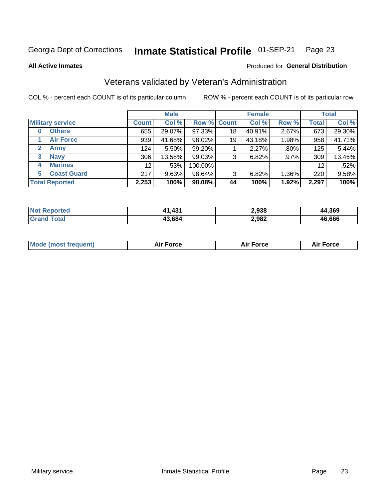### Inmate Statistical Profile 01-SEP-21 Page 23

**All Active Inmates** 

## Produced for General Distribution

## Veterans validated by Veteran's Administration

COL % - percent each COUNT is of its particular column

|                             |                 | <b>Male</b> |                    |    | <b>Female</b> |       |              | <b>Total</b> |
|-----------------------------|-----------------|-------------|--------------------|----|---------------|-------|--------------|--------------|
| <b>Military service</b>     | <b>Count</b>    | Col %       | <b>Row % Count</b> |    | Col %         | Row % | <b>Total</b> | Col %        |
| <b>Others</b><br>0          | 655             | 29.07%      | 97.33%             | 18 | 40.91%        | 2.67% | 673          | 29.30%       |
| <b>Air Force</b>            | 939             | 41.68%      | 98.02%             | 19 | 43.18%        | 1.98% | 958          | 41.71%       |
| <b>Army</b><br>$\mathbf{2}$ | 124             | 5.50%       | 99.20%             |    | 2.27%         | .80%  | 125          | 5.44%        |
| <b>Navy</b><br>3            | 306             | 13.58%      | 99.03%             | 3  | 6.82%         | .97%  | 309          | 13.45%       |
| <b>Marines</b><br>4         | 12 <sub>1</sub> | .53%        | 100.00%            |    |               |       | 12           | .52%         |
| <b>Coast Guard</b><br>5.    | 217             | 9.63%       | 98.64%             | 3  | 6.82%         | 1.36% | 220          | 9.58%        |
| <b>Total Reported</b>       | 2,253           | 100%        | 98.08%             | 44 | 100%          | 1.92% | 2,297        | 100%         |

| orted<br>Nt | ,431   | 2,938 | 1,369<br>аа  |
|-------------|--------|-------|--------------|
| 'otal       | .3.684 | 2,982 | 16.666<br>4Б |

| <b>Mode (most frequent)</b><br><b>Force</b><br><b>Force</b><br>orce<br>Aır |
|----------------------------------------------------------------------------|
|----------------------------------------------------------------------------|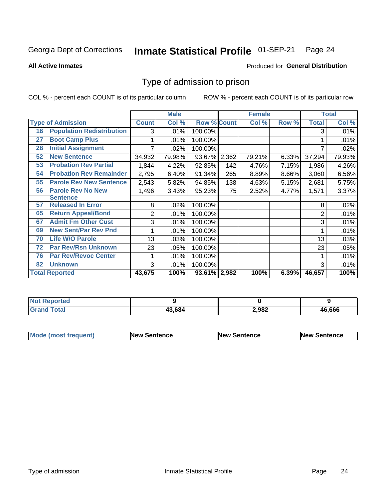### Inmate Statistical Profile 01-SEP-21 Page 24

**All Active Inmates** 

## Produced for General Distribution

## Type of admission to prison

COL % - percent each COUNT is of its particular column

|    |                                  |              | <b>Male</b> |                    |     | <b>Female</b> |       |              | <b>Total</b> |
|----|----------------------------------|--------------|-------------|--------------------|-----|---------------|-------|--------------|--------------|
|    | <b>Type of Admission</b>         | <b>Count</b> | Col %       | <b>Row % Count</b> |     | Col %         | Row % | <b>Total</b> | Col %        |
| 16 | <b>Population Redistribution</b> | 3            | .01%        | 100.00%            |     |               |       | 3            | .01%         |
| 27 | <b>Boot Camp Plus</b>            |              | .01%        | 100.00%            |     |               |       |              | .01%         |
| 28 | <b>Initial Assignment</b>        |              | .02%        | 100.00%            |     |               |       |              | .02%         |
| 52 | <b>New Sentence</b>              | 34,932       | 79.98%      | 93.67% 2,362       |     | 79.21%        | 6.33% | 37,294       | 79.93%       |
| 53 | <b>Probation Rev Partial</b>     | 1,844        | 4.22%       | 92.85%             | 142 | 4.76%         | 7.15% | 1,986        | 4.26%        |
| 54 | <b>Probation Rev Remainder</b>   | 2,795        | 6.40%       | 91.34%             | 265 | 8.89%         | 8.66% | 3,060        | 6.56%        |
| 55 | <b>Parole Rev New Sentence</b>   | 2,543        | 5.82%       | 94.85%             | 138 | 4.63%         | 5.15% | 2,681        | 5.75%        |
| 56 | <b>Parole Rev No New</b>         | 1,496        | 3.43%       | 95.23%             | 75  | 2.52%         | 4.77% | 1,571        | 3.37%        |
|    | <b>Sentence</b>                  |              |             |                    |     |               |       |              |              |
| 57 | <b>Released In Error</b>         | 8            | .02%        | 100.00%            |     |               |       | 8            | .02%         |
| 65 | <b>Return Appeal/Bond</b>        | 2            | .01%        | 100.00%            |     |               |       | 2            | .01%         |
| 67 | <b>Admit Fm Other Cust</b>       | 3            | .01%        | 100.00%            |     |               |       | 3            | .01%         |
| 69 | <b>New Sent/Par Rev Pnd</b>      |              | .01%        | 100.00%            |     |               |       |              | .01%         |
| 70 | <b>Life W/O Parole</b>           | 13           | .03%        | 100.00%            |     |               |       | 13           | .03%         |
| 72 | <b>Par Rev/Rsn Unknown</b>       | 23           | .05%        | 100.00%            |     |               |       | 23           | .05%         |
| 76 | <b>Par Rev/Revoc Center</b>      |              | .01%        | 100.00%            |     |               |       |              | .01%         |
| 82 | <b>Unknown</b>                   | 3            | .01%        | 100.00%            |     |               |       | 3            | .01%         |
|    | <b>Total Reported</b>            | 43,675       | 100%        | 93.61% 2,982       |     | 100%          | 6.39% | 46,657       | 100%         |

| Not Repu<br>жес      |        |       |              |
|----------------------|--------|-------|--------------|
| Total<br><b>Circ</b> | 13.684 | 2,982 | 16.666<br>46 |

| <b>Mode (most frequent)</b> | <b>New Sentence</b> | <b>New Sentence</b> | <b>New Sentence</b> |
|-----------------------------|---------------------|---------------------|---------------------|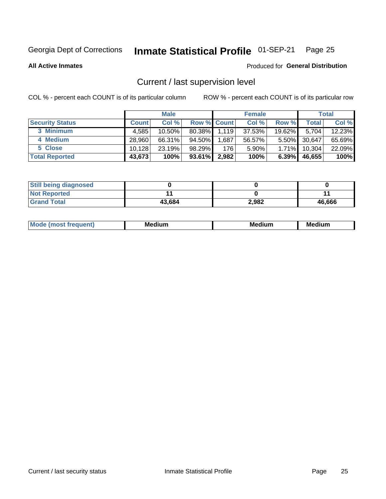### Inmate Statistical Profile 01-SEP-21 Page 25

**All Active Inmates** 

## Produced for General Distribution

## Current / last supervision level

COL % - percent each COUNT is of its particular column

|                        |              | <b>Male</b> |                    |       | <b>Female</b> |          |        | <b>Total</b> |
|------------------------|--------------|-------------|--------------------|-------|---------------|----------|--------|--------------|
| <b>Security Status</b> | <b>Count</b> | Col %       | <b>Row % Count</b> |       | Col %         | Row %    | Total  | Col %        |
| 3 Minimum              | 4,585        | 10.50%      | 80.38%             | 1,119 | 37.53%        | 19.62%   | 5.704  | 12.23%       |
| 4 Medium               | 28.960       | 66.31%      | 94.50%             | .687  | 56.57%        | $5.50\%$ | 30,647 | 65.69%       |
| 5 Close                | 10.128       | 23.19%      | 98.29%             | 176   | 5.90%         | 1.71%    | 10,304 | 22.09%       |
| <b>Total Reported</b>  | 43,673       | 100%        | 93.61%             | 2,982 | 100%          | $6.39\%$ | 46,655 | 100%         |

| <b>Still being diagnosed</b> |        |       |        |
|------------------------------|--------|-------|--------|
| <b>Not Reported</b>          |        |       |        |
| <b>Grand Total</b>           | 43,684 | 2,982 | 46,666 |

| M | м | M | - - - -<br>м |
|---|---|---|--------------|
|   |   |   |              |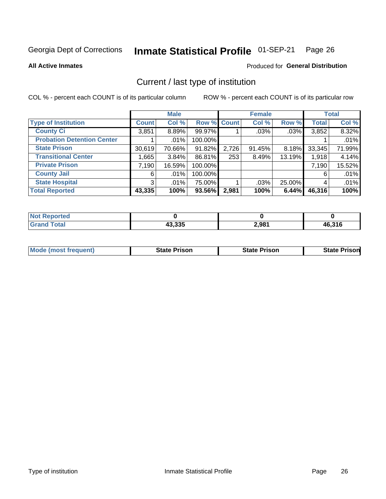### Inmate Statistical Profile 01-SEP-21 Page 26

**All Active Inmates** 

## Produced for General Distribution

## Current / last type of institution

COL % - percent each COUNT is of its particular column

|                                   |                | <b>Male</b> |             |       | <b>Female</b> |        |              | <b>Total</b> |
|-----------------------------------|----------------|-------------|-------------|-------|---------------|--------|--------------|--------------|
| <b>Type of Institution</b>        | <b>Count</b>   | Col %       | Row % Count |       | Col %         | Row %  | <b>Total</b> | Col %        |
| <b>County Ci</b>                  | 3,851          | 8.89%       | 99.97%      |       | .03%          | .03%   | 3,852        | 8.32%        |
| <b>Probation Detention Center</b> |                | $.01\%$     | 100.00%     |       |               |        |              | .01%         |
| <b>State Prison</b>               | 30,619         | 70.66%      | 91.82%      | 2,726 | 91.45%        | 8.18%  | 33,345       | 71.99%       |
| <b>Transitional Center</b>        | 1.6651         | 3.84%       | 86.81%      | 253   | 8.49%         | 13.19% | 1,918        | 4.14%        |
| <b>Private Prison</b>             | 7,190          | 16.59%      | 100.00%     |       |               |        | 7,190        | 15.52%       |
| <b>County Jail</b>                | 6              | $.01\%$     | 100.00%     |       |               |        | 6            | .01%         |
| <b>State Hospital</b>             | 3 <sup>1</sup> | $.01\%$     | 75.00%      |       | .03%          | 25.00% | 4            | .01%         |
| <b>Total Reported</b>             | 43,335         | 100%        | 93.56%      | 2,981 | 100%          | 6.44%  | 46,316       | 100%         |

| oorted<br>NOT |                  |       |              |
|---------------|------------------|-------|--------------|
| <b>otal</b>   | ハウ つつに<br>4ა,ააა | 2,981 | 16,316<br>Дh |

| <b>Mode (most frequent)</b> | <b>State Prison</b> | <b>State Prison</b> | <b>State Prison</b> |
|-----------------------------|---------------------|---------------------|---------------------|
|                             |                     |                     |                     |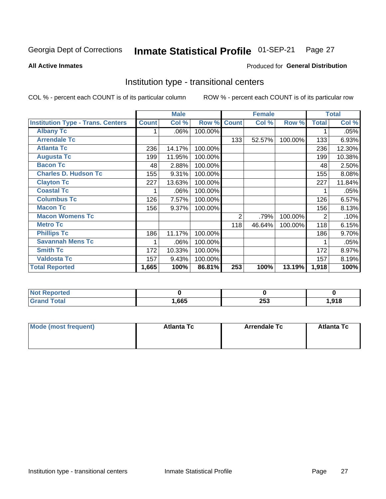### Inmate Statistical Profile 01-SEP-21 Page 27

Produced for General Distribution

### **All Active Inmates**

## Institution type - transitional centers

COL % - percent each COUNT is of its particular column

|                                          |              | <b>Male</b> |         |                | <b>Female</b> |         |              | <b>Total</b> |
|------------------------------------------|--------------|-------------|---------|----------------|---------------|---------|--------------|--------------|
| <b>Institution Type - Trans. Centers</b> | <b>Count</b> | Col %       | Row %   | <b>Count</b>   | Col %         | Row %   | <b>Total</b> | Col %        |
| <b>Albany Tc</b>                         |              | .06%        | 100.00% |                |               |         |              | .05%         |
| <b>Arrendale Tc</b>                      |              |             |         | 133            | 52.57%        | 100.00% | 133          | 6.93%        |
| <b>Atlanta Tc</b>                        | 236          | 14.17%      | 100.00% |                |               |         | 236          | 12.30%       |
| <b>Augusta Tc</b>                        | 199          | 11.95%      | 100.00% |                |               |         | 199          | 10.38%       |
| <b>Bacon Tc</b>                          | 48           | 2.88%       | 100.00% |                |               |         | 48           | 2.50%        |
| <b>Charles D. Hudson Tc</b>              | 155          | 9.31%       | 100.00% |                |               |         | 155          | 8.08%        |
| <b>Clayton Tc</b>                        | 227          | 13.63%      | 100.00% |                |               |         | 227          | 11.84%       |
| <b>Coastal Tc</b>                        |              | .06%        | 100.00% |                |               |         |              | .05%         |
| <b>Columbus Tc</b>                       | 126          | 7.57%       | 100.00% |                |               |         | 126          | 6.57%        |
| <b>Macon Tc</b>                          | 156          | 9.37%       | 100.00% |                |               |         | 156          | 8.13%        |
| <b>Macon Womens Tc</b>                   |              |             |         | $\overline{2}$ | .79%          | 100.00% | 2            | .10%         |
| <b>Metro Tc</b>                          |              |             |         | 118            | 46.64%        | 100.00% | 118          | 6.15%        |
| <b>Phillips Tc</b>                       | 186          | 11.17%      | 100.00% |                |               |         | 186          | 9.70%        |
| <b>Savannah Mens Tc</b>                  | 1            | .06%        | 100.00% |                |               |         |              | .05%         |
| <b>Smith Tc</b>                          | 172          | 10.33%      | 100.00% |                |               |         | 172          | 8.97%        |
| <b>Valdosta Tc</b>                       | 157          | 9.43%       | 100.00% |                |               |         | 157          | 8.19%        |
| <b>Total Reported</b>                    | 1,665        | 100%        | 86.81%  | 253            | 100%          | 13.19%  | 1,918        | 100%         |

| NOI<br><b>Reported</b> |      |            |       |
|------------------------|------|------------|-------|
| <b>c</b> otal          | ,665 | つにく<br>299 | 918،، |

| Mode (most frequent) | <b>Atlanta Tc</b> | <b>Arrendale Tc</b> | <b>Atlanta Tc</b> |
|----------------------|-------------------|---------------------|-------------------|
|                      |                   |                     |                   |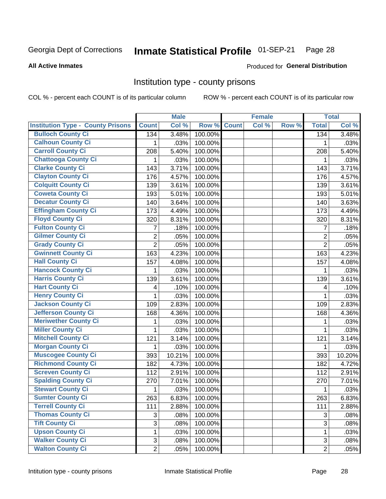### Inmate Statistical Profile 01-SEP-21 Page 28

### **All Active Inmates**

### Produced for General Distribution

## Institution type - county prisons

COL % - percent each COUNT is of its particular column

|                                          |                | <b>Male</b> |         |              | <b>Female</b> |       |                  | <b>Total</b> |
|------------------------------------------|----------------|-------------|---------|--------------|---------------|-------|------------------|--------------|
| <b>Institution Type - County Prisons</b> | <b>Count</b>   | Col %       | Row %   | <b>Count</b> | Col %         | Row % | <b>Total</b>     | Col %        |
| <b>Bulloch County Ci</b>                 | 134            | 3.48%       | 100.00% |              |               |       | $\overline{134}$ | 3.48%        |
| <b>Calhoun County Ci</b>                 | 1              | .03%        | 100.00% |              |               |       | 1                | .03%         |
| <b>Carroll County Ci</b>                 | 208            | 5.40%       | 100.00% |              |               |       | 208              | 5.40%        |
| <b>Chattooga County Ci</b>               | 1              | .03%        | 100.00% |              |               |       | 1                | .03%         |
| <b>Clarke County Ci</b>                  | 143            | 3.71%       | 100.00% |              |               |       | 143              | 3.71%        |
| <b>Clayton County Ci</b>                 | 176            | 4.57%       | 100.00% |              |               |       | 176              | 4.57%        |
| <b>Colquitt County Ci</b>                | 139            | 3.61%       | 100.00% |              |               |       | 139              | 3.61%        |
| <b>Coweta County Ci</b>                  | 193            | 5.01%       | 100.00% |              |               |       | 193              | 5.01%        |
| <b>Decatur County Ci</b>                 | 140            | 3.64%       | 100.00% |              |               |       | 140              | 3.63%        |
| <b>Effingham County Ci</b>               | 173            | 4.49%       | 100.00% |              |               |       | 173              | 4.49%        |
| <b>Floyd County Ci</b>                   | 320            | 8.31%       | 100.00% |              |               |       | 320              | 8.31%        |
| <b>Fulton County Ci</b>                  | 7              | .18%        | 100.00% |              |               |       | 7                | .18%         |
| <b>Gilmer County Ci</b>                  | $\overline{2}$ | .05%        | 100.00% |              |               |       | $\overline{2}$   | .05%         |
| <b>Grady County Ci</b>                   | $\overline{2}$ | .05%        | 100.00% |              |               |       | $\overline{2}$   | .05%         |
| <b>Gwinnett County Ci</b>                | 163            | 4.23%       | 100.00% |              |               |       | 163              | 4.23%        |
| <b>Hall County Ci</b>                    | 157            | 4.08%       | 100.00% |              |               |       | 157              | 4.08%        |
| <b>Hancock County Ci</b>                 | 1              | .03%        | 100.00% |              |               |       | 1                | .03%         |
| <b>Harris County Ci</b>                  | 139            | 3.61%       | 100.00% |              |               |       | 139              | 3.61%        |
| <b>Hart County Ci</b>                    | 4              | .10%        | 100.00% |              |               |       | 4                | .10%         |
| <b>Henry County Ci</b>                   | 1              | .03%        | 100.00% |              |               |       | 1                | .03%         |
| <b>Jackson County Ci</b>                 | 109            | 2.83%       | 100.00% |              |               |       | 109              | 2.83%        |
| Jefferson County Ci                      | 168            | 4.36%       | 100.00% |              |               |       | 168              | 4.36%        |
| <b>Meriwether County Ci</b>              | 1              | .03%        | 100.00% |              |               |       | 1                | .03%         |
| <b>Miller County Ci</b>                  | 1              | .03%        | 100.00% |              |               |       | 1                | .03%         |
| <b>Mitchell County Ci</b>                | 121            | 3.14%       | 100.00% |              |               |       | 121              | 3.14%        |
| <b>Morgan County Ci</b>                  | 1              | .03%        | 100.00% |              |               |       | 1                | .03%         |
| <b>Muscogee County Ci</b>                | 393            | 10.21%      | 100.00% |              |               |       | 393              | 10.20%       |
| <b>Richmond County Ci</b>                | 182            | 4.73%       | 100.00% |              |               |       | 182              | 4.72%        |
| <b>Screven County Ci</b>                 | 112            | 2.91%       | 100.00% |              |               |       | 112              | 2.91%        |
| <b>Spalding County Ci</b>                | 270            | 7.01%       | 100.00% |              |               |       | 270              | 7.01%        |
| <b>Stewart County Ci</b>                 | 1              | .03%        | 100.00% |              |               |       | 1                | .03%         |
| <b>Sumter County Ci</b>                  | 263            | 6.83%       | 100.00% |              |               |       | 263              | 6.83%        |
| <b>Terrell County Ci</b>                 | 111            | 2.88%       | 100.00% |              |               |       | 111              | 2.88%        |
| <b>Thomas County Ci</b>                  | 3              | .08%        | 100.00% |              |               |       | 3                | .08%         |
| <b>Tift County Ci</b>                    | $\overline{3}$ | .08%        | 100.00% |              |               |       | 3                | .08%         |
| <b>Upson County Ci</b>                   | 1              | .03%        | 100.00% |              |               |       | 1                | .03%         |
| <b>Walker County Ci</b>                  | $\mathfrak{S}$ | .08%        | 100.00% |              |               |       | 3                | .08%         |
| <b>Walton County Ci</b>                  | $\overline{2}$ | .05%        | 100.00% |              |               |       | $\overline{2}$   | .05%         |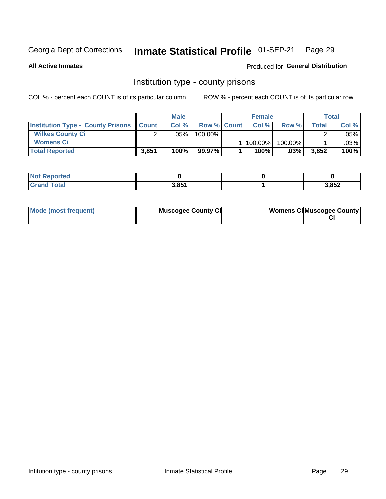### Inmate Statistical Profile 01-SEP-21 Page 29

**All Active Inmates** 

Produced for General Distribution

## Institution type - county prisons

COL % - percent each COUNT is of its particular column

|                                                    |        | <b>Male</b> |                    | <b>Female</b> |         |       | <b>Total</b> |
|----------------------------------------------------|--------|-------------|--------------------|---------------|---------|-------|--------------|
| <b>Institution Type - County Prisons   Count  </b> |        | Col%        | <b>Row % Count</b> | Col%          | Row %   | Total | Col %        |
| <b>Wilkes County Ci</b>                            | $\sim$ | $.05\%$     | 100.00%            |               |         |       | .05% l       |
| <b>Womens Ci</b>                                   |        |             |                    | 100.00%       | 100.00% |       | .03%         |
| <b>Total Reported</b>                              | 3,851  | 100%        | 99.97%             | 100%          | $.03\%$ | 3,852 | 100%         |

| <b>Reported</b> |                |       |
|-----------------|----------------|-------|
| <b>Fotal</b>    | 2Q54<br>. J.OJ | 3,852 |

| Mode (most frequent) | <b>Muscogee County Ci</b> | <b>Womens Ci</b> Muscogee County |
|----------------------|---------------------------|----------------------------------|
|----------------------|---------------------------|----------------------------------|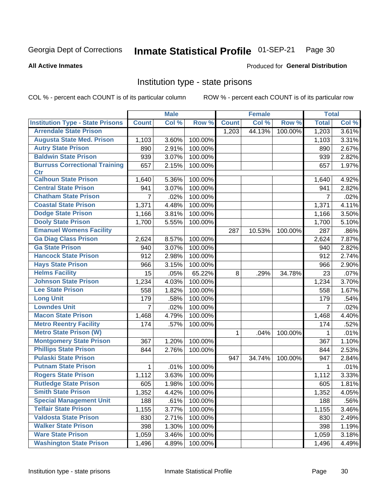### Inmate Statistical Profile 01-SEP-21 Page 30

### **All Active Inmates**

## Produced for General Distribution

## Institution type - state prisons

COL % - percent each COUNT is of its particular column

|                                         |                | <b>Male</b> |         |              | <b>Female</b> |         | <b>Total</b> |       |
|-----------------------------------------|----------------|-------------|---------|--------------|---------------|---------|--------------|-------|
| <b>Institution Type - State Prisons</b> | <b>Count</b>   | Col %       | Row %   | <b>Count</b> | Col %         | Row %   | <b>Total</b> | Col % |
| <b>Arrendale State Prison</b>           |                |             |         | 1,203        | 44.13%        | 100.00% | 1,203        | 3.61% |
| <b>Augusta State Med. Prison</b>        | 1,103          | 3.60%       | 100.00% |              |               |         | 1,103        | 3.31% |
| <b>Autry State Prison</b>               | 890            | 2.91%       | 100.00% |              |               |         | 890          | 2.67% |
| <b>Baldwin State Prison</b>             | 939            | 3.07%       | 100.00% |              |               |         | 939          | 2.82% |
| <b>Burruss Correctional Training</b>    | 657            | 2.15%       | 100.00% |              |               |         | 657          | 1.97% |
| <b>Ctr</b>                              |                |             |         |              |               |         |              |       |
| <b>Calhoun State Prison</b>             | 1,640          | 5.36%       | 100.00% |              |               |         | 1,640        | 4.92% |
| <b>Central State Prison</b>             | 941            | 3.07%       | 100.00% |              |               |         | 941          | 2.82% |
| <b>Chatham State Prison</b>             | 7              | .02%        | 100.00% |              |               |         | 7            | .02%  |
| <b>Coastal State Prison</b>             | 1,371          | 4.48%       | 100.00% |              |               |         | 1,371        | 4.11% |
| <b>Dodge State Prison</b>               | 1,166          | 3.81%       | 100.00% |              |               |         | 1,166        | 3.50% |
| <b>Dooly State Prison</b>               | 1,700          | 5.55%       | 100.00% |              |               |         | 1,700        | 5.10% |
| <b>Emanuel Womens Facility</b>          |                |             |         | 287          | 10.53%        | 100.00% | 287          | .86%  |
| <b>Ga Diag Class Prison</b>             | 2,624          | 8.57%       | 100.00% |              |               |         | 2,624        | 7.87% |
| <b>Ga State Prison</b>                  | 940            | 3.07%       | 100.00% |              |               |         | 940          | 2.82% |
| <b>Hancock State Prison</b>             | 912            | 2.98%       | 100.00% |              |               |         | 912          | 2.74% |
| <b>Hays State Prison</b>                | 966            | 3.15%       | 100.00% |              |               |         | 966          | 2.90% |
| <b>Helms Facility</b>                   | 15             | .05%        | 65.22%  | 8            | .29%          | 34.78%  | 23           | .07%  |
| <b>Johnson State Prison</b>             | 1,234          | 4.03%       | 100.00% |              |               |         | 1,234        | 3.70% |
| <b>Lee State Prison</b>                 | 558            | 1.82%       | 100.00% |              |               |         | 558          | 1.67% |
| <b>Long Unit</b>                        | 179            | .58%        | 100.00% |              |               |         | 179          | .54%  |
| <b>Lowndes Unit</b>                     | $\overline{7}$ | .02%        | 100.00% |              |               |         | 7            | .02%  |
| <b>Macon State Prison</b>               | 1,468          | 4.79%       | 100.00% |              |               |         | 1,468        | 4.40% |
| <b>Metro Reentry Facility</b>           | 174            | .57%        | 100.00% |              |               |         | 174          | .52%  |
| <b>Metro State Prison (W)</b>           |                |             |         | 1            | .04%          | 100.00% | 1            | .01%  |
| <b>Montgomery State Prison</b>          | 367            | 1.20%       | 100.00% |              |               |         | 367          | 1.10% |
| <b>Phillips State Prison</b>            | 844            | 2.76%       | 100.00% |              |               |         | 844          | 2.53% |
| <b>Pulaski State Prison</b>             |                |             |         | 947          | 34.74%        | 100.00% | 947          | 2.84% |
| <b>Putnam State Prison</b>              | 1              | .01%        | 100.00% |              |               |         | 1            | .01%  |
| <b>Rogers State Prison</b>              | 1,112          | 3.63%       | 100.00% |              |               |         | 1,112        | 3.33% |
| <b>Rutledge State Prison</b>            | 605            | 1.98%       | 100.00% |              |               |         | 605          | 1.81% |
| <b>Smith State Prison</b>               | 1,352          | 4.42%       | 100.00% |              |               |         | 1,352        | 4.05% |
| <b>Special Management Unit</b>          | 188            | .61%        | 100.00% |              |               |         | 188          | .56%  |
| <b>Telfair State Prison</b>             | 1,155          | 3.77%       | 100.00% |              |               |         | 1,155        | 3.46% |
| <b>Valdosta State Prison</b>            | 830            | 2.71%       | 100.00% |              |               |         | 830          | 2.49% |
| <b>Walker State Prison</b>              | 398            | 1.30%       | 100.00% |              |               |         | 398          | 1.19% |
| <b>Ware State Prison</b>                | 1,059          | 3.46%       | 100.00% |              |               |         | 1,059        | 3.18% |
| <b>Washington State Prison</b>          | 1,496          | 4.89%       | 100.00% |              |               |         | 1,496        | 4.49% |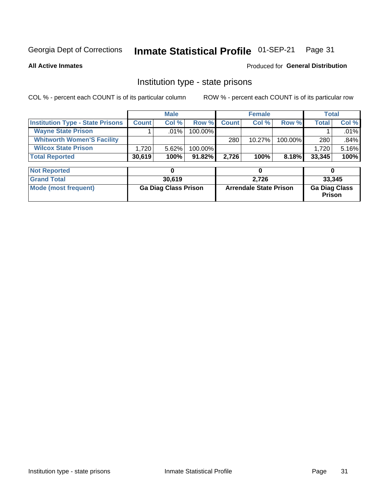### Inmate Statistical Profile 01-SEP-21 Page 31

**All Active Inmates** 

## Produced for General Distribution

## Institution type - state prisons

COL % - percent each COUNT is of its particular column

|                                         |              | <b>Male</b> |            |              | <b>Female</b> |         | Total        |         |
|-----------------------------------------|--------------|-------------|------------|--------------|---------------|---------|--------------|---------|
| <b>Institution Type - State Prisons</b> | <b>Count</b> | Col %       | Row %I     | <b>Count</b> | Col %         | Row %   | <b>Total</b> | Col %   |
| <b>Wayne State Prison</b>               |              | $.01\%$     | $100.00\%$ |              |               |         |              | $.01\%$ |
| <b>Whitworth Women'S Facility</b>       |              |             |            | 280          | $10.27\%$     | 100.00% | 280          | .84%    |
| <b>Wilcox State Prison</b>              | 1,720        | $5.62\%$    | $100.00\%$ |              |               |         | 1.720        | 5.16%   |
| <b>Total Reported</b>                   | 30,619       | 100%        | $91.82\%$  | 2.726        | 100%          | 8.18%   | 33,345       | 100%    |

| <b>Not Reported</b>  |                             |                               |                                       |
|----------------------|-----------------------------|-------------------------------|---------------------------------------|
| <b>Grand Total</b>   | 30.619                      | 2.726                         | 33,345                                |
| Mode (most frequent) | <b>Ga Diag Class Prison</b> | <b>Arrendale State Prison</b> | <b>Ga Diag Class</b><br><b>Prison</b> |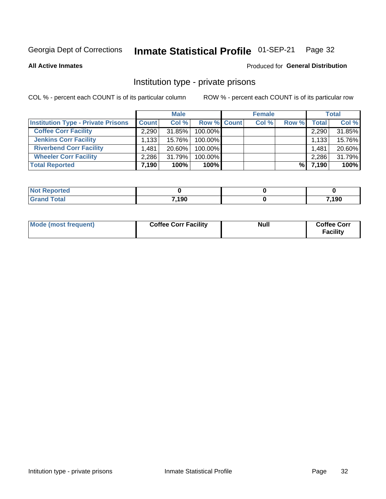### Inmate Statistical Profile 01-SEP-21 Page 32

**All Active Inmates** 

## Produced for General Distribution

## Institution type - private prisons

COL % - percent each COUNT is of its particular column

|                                           |              | <b>Male</b> |                    | <b>Female</b> |       |                    | <b>Total</b> |
|-------------------------------------------|--------------|-------------|--------------------|---------------|-------|--------------------|--------------|
| <b>Institution Type - Private Prisons</b> | <b>Count</b> | Col %       | <b>Row % Count</b> | Col %         | Row % | Total <sub>1</sub> | Col %        |
| <b>Coffee Corr Facility</b>               | 2.290        | 31.85%      | 100.00%            |               |       | 2,290              | 31.85%       |
| <b>Jenkins Corr Facility</b>              | 1,133        | 15.76%      | $100.00\%$         |               |       | 1,133              | 15.76%       |
| <b>Riverbend Corr Facility</b>            | 1.481        | $20.60\%$   | 100.00%            |               |       | 1,481              | 20.60%       |
| <b>Wheeler Corr Facility</b>              | 2,286        | 31.79%      | 100.00%            |               |       | 2,286              | 31.79%       |
| <b>Total Reported</b>                     | 7,190        | 100%        | 100%               |               | %     | 7,190              | 100%         |

| <b>Reported</b><br>' NOI |       |       |
|--------------------------|-------|-------|
| <b>Total</b>             | 7,190 | 7,190 |

| Mode (most frequent) | <b>Coffee Corr Facility</b> | <b>Null</b> | <b>Coffee Corr</b><br><b>Facility</b> |
|----------------------|-----------------------------|-------------|---------------------------------------|
|----------------------|-----------------------------|-------------|---------------------------------------|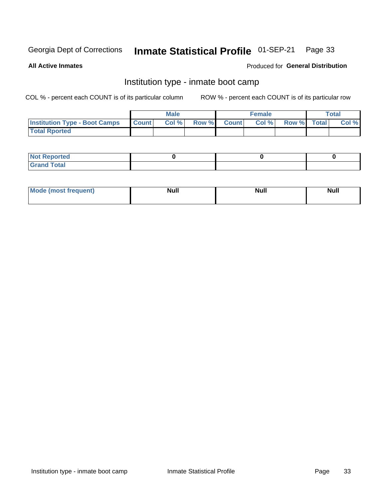### Inmate Statistical Profile 01-SEP-21 Page 33

**All Active Inmates** 

## Produced for General Distribution

## Institution type - inmate boot camp

COL % - percent each COUNT is of its particular column

|                                      |                  | <b>Male</b> |              |              | <b>Female</b> |             | <b>Total</b> |
|--------------------------------------|------------------|-------------|--------------|--------------|---------------|-------------|--------------|
| <b>Institution Type - Boot Camps</b> | <b>I</b> Count I | Col %       | <b>Row %</b> | <b>Count</b> | Col %         | Row % Total | Col %        |
| <b>Total Rported</b>                 |                  |             |              |              |               |             |              |

| <b>Not Reported</b>            |  |  |
|--------------------------------|--|--|
| <b>Total</b><br>C <sub>r</sub> |  |  |

| Mod<br>uamo | Nul.<br>$- - - - - -$ | <b>Null</b> | . .<br>uu.<br>------ |
|-------------|-----------------------|-------------|----------------------|
|             |                       |             |                      |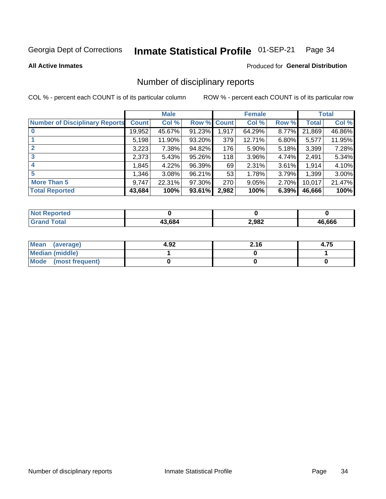### Inmate Statistical Profile 01-SEP-21 Page 34

### **All Active Inmates**

## **Produced for General Distribution**

## Number of disciplinary reports

COL % - percent each COUNT is of its particular column

|                                       |              | <b>Male</b> |             |       | <b>Female</b> |          |        | <b>Total</b> |
|---------------------------------------|--------------|-------------|-------------|-------|---------------|----------|--------|--------------|
| <b>Number of Disciplinary Reports</b> | <b>Count</b> | Col %       | Row % Count |       | Col %         | Row %    | Total  | Col %        |
| $\bf{0}$                              | 19,952       | 45.67%      | 91.23%      | 1,917 | 64.29%        | 8.77%    | 21,869 | 46.86%       |
|                                       | 5,198        | 11.90%      | 93.20%      | 379   | 12.71%        | $6.80\%$ | 5,577  | 11.95%       |
| $\mathbf{2}$                          | 3,223        | 7.38%       | 94.82%      | 176   | 5.90%         | 5.18%    | 3,399  | 7.28%        |
| 3                                     | 2,373        | 5.43%       | 95.26%      | 118   | 3.96%         | 4.74%    | 2,491  | 5.34%        |
|                                       | 1,845        | 4.22%       | 96.39%      | 69    | 2.31%         | 3.61%    | 1,914  | 4.10%        |
| 5                                     | 1,346        | 3.08%       | 96.21%      | 53    | 1.78%         | 3.79%    | 1,399  | 3.00%        |
| <b>More Than 5</b>                    | 9,747        | 22.31%      | 97.30%      | 270   | 9.05%         | 2.70%    | 10,017 | 21.47%       |
| <b>Total Reported</b>                 | 43,684       | 100%        | 93.61%      | 2,982 | 100%          | 6.39%    | 46,666 | 100%         |

| orted<br>NOT |        |       |        |
|--------------|--------|-------|--------|
| Total        | L3 684 | 2,982 | 46.666 |

| Mean (average)         | 4.92 | 2.16 | 4.75 |
|------------------------|------|------|------|
| <b>Median (middle)</b> |      |      |      |
| Mode (most frequent)   |      |      |      |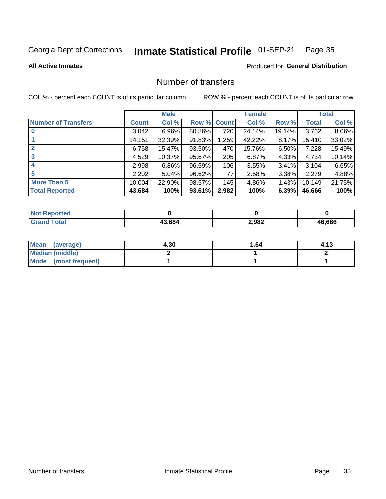### Inmate Statistical Profile 01-SEP-21 Page 35

## **All Active Inmates**

## **Produced for General Distribution**

## Number of transfers

COL % - percent each COUNT is of its particular column

|                            |         | <b>Male</b> |        |              | <b>Female</b> |          |              | <b>Total</b> |
|----------------------------|---------|-------------|--------|--------------|---------------|----------|--------------|--------------|
| <b>Number of Transfers</b> | Count l | Col %       | Row %  | <b>Count</b> | Col %         | Row %    | <b>Total</b> | Col %        |
|                            | 3,042   | $6.96\%$    | 80.86% | 720          | 24.14%        | 19.14%   | 3,762        | 8.06%        |
|                            | 14,151  | 32.39%      | 91.83% | 1,259        | 42.22%        | 8.17%    | 15,410       | 33.02%       |
| $\mathbf{2}$               | 6,758   | 15.47%      | 93.50% | 470          | 15.76%        | $6.50\%$ | 7,228        | 15.49%       |
| 3                          | 4,529   | 10.37%      | 95.67% | 205          | 6.87%         | 4.33%    | 4,734        | 10.14%       |
| 4                          | 2,998   | $6.86\%$    | 96.59% | 106          | 3.55%         | $3.41\%$ | 3,104        | 6.65%        |
| 5                          | 2,202   | 5.04%       | 96.62% | 77           | 2.58%         | 3.38%    | 2,279        | 4.88%        |
| <b>More Than 5</b>         | 10,004  | 22.90%      | 98.57% | 145          | 4.86%         | 1.43%    | 10,149       | 21.75%       |
| <b>Total Reported</b>      | 43,684  | 100%        | 93.61% | 2,982        | 100%          | 6.39%    | 46,666       | 100%         |

| <b>Not Reported</b> |        |       |        |
|---------------------|--------|-------|--------|
| Total               | 13.684 | 2,982 | 46.666 |

| Mean (average)       | 4.30 | 1.64 | 4.13 |
|----------------------|------|------|------|
| Median (middle)      |      |      |      |
| Mode (most frequent) |      |      |      |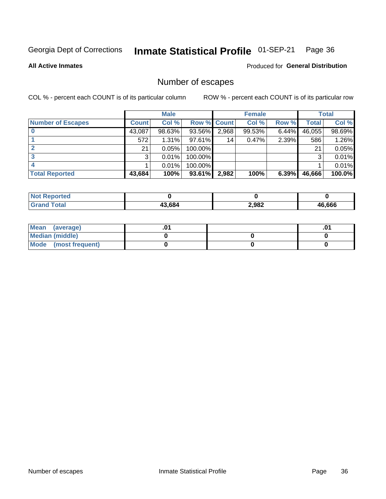### Inmate Statistical Profile 01-SEP-21 Page 36

**All Active Inmates** 

## Produced for General Distribution

## Number of escapes

COL % - percent each COUNT is of its particular column

|                          |              | <b>Male</b> |             |       | <b>Female</b> |       |        | <b>Total</b> |
|--------------------------|--------------|-------------|-------------|-------|---------------|-------|--------|--------------|
| <b>Number of Escapes</b> | <b>Count</b> | Col %       | Row % Count |       | Col %         | Row % | Total  | Col %        |
|                          | 43,087       | 98.63%      | 93.56%      | 2,968 | 99.53%        | 6.44% | 46,055 | 98.69%       |
|                          | 572          | 1.31%       | $97.61\%$   | 14    | 0.47%         | 2.39% | 586    | 1.26%        |
|                          | 21           | 0.05%       | 100.00%     |       |               |       | 21     | 0.05%        |
|                          | 3            | 0.01%       | 100.00%     |       |               |       | 3      | 0.01%        |
|                          |              | 0.01%       | $100.00\%$  |       |               |       |        | 0.01%        |
| <b>Total Reported</b>    | 43,684       | 100%        | 93.61%      | 2,982 | 100%          | 6.39% | 46,666 | 100.0%       |

| orteo |        |       |              |
|-------|--------|-------|--------------|
| Total | 43.684 | 2,982 | 16.666<br>Дh |

| Mean (average)         |  | .0 |
|------------------------|--|----|
| <b>Median (middle)</b> |  |    |
| Mode (most frequent)   |  |    |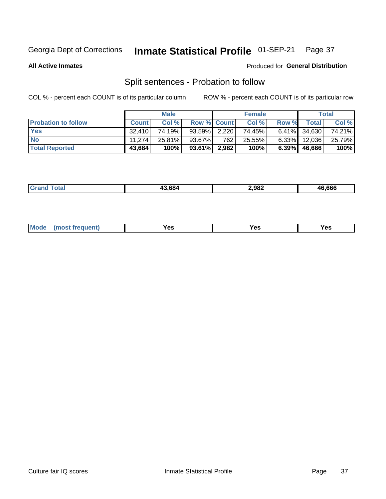### Inmate Statistical Profile 01-SEP-21 Page 37

**All Active Inmates** 

## Produced for General Distribution

## Split sentences - Probation to follow

COL % - percent each COUNT is of its particular column

|                            |              | <b>Male</b> |                    |     | <b>Female</b> |          |              | <b>Total</b> |
|----------------------------|--------------|-------------|--------------------|-----|---------------|----------|--------------|--------------|
| <b>Probation to follow</b> | <b>Count</b> | Col%        | <b>Row % Count</b> |     | Col %         | Row %    | Total        | Col %        |
| <b>Yes</b>                 | 32.410       | 74.19%      | $93.59\%$ 2,220    |     | 74.45%        |          | 6.41% 34,630 | 74.21%       |
| <b>No</b>                  | 11.274       | 25.81%      | 93.67%             | 762 | 25.55%        | $6.33\%$ | 12,036       | 25.79%       |
| <b>Total Reported</b>      | 43,684       | 100%        | $93.61\%$ 2,982    |     | 100%          | $6.39\%$ | 46.666       | 100%         |

| $\sim$ | .666<br>684<br>2,982<br>$\overline{A}$ |  |
|--------|----------------------------------------|--|
|--------|----------------------------------------|--|

| $Moo$<br>requent<br>′es<br>Yes<br><b>YAC</b><br>. |
|---------------------------------------------------|
|---------------------------------------------------|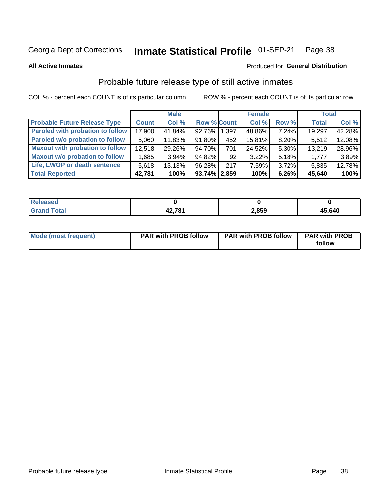### Inmate Statistical Profile 01-SEP-21 Page 38

**All Active Inmates** 

## Produced for General Distribution

# Probable future release type of still active inmates

COL % - percent each COUNT is of its particular column

|                                         |              | <b>Male</b> |                    |     | <b>Female</b> |          | <b>Total</b> |        |
|-----------------------------------------|--------------|-------------|--------------------|-----|---------------|----------|--------------|--------|
| <b>Probable Future Release Type</b>     | <b>Count</b> | Col %       | <b>Row % Count</b> |     | Col %         | Row %    | <b>Total</b> | Col %  |
| <b>Paroled with probation to follow</b> | 17,900       | 41.84%      | 92.76% 1,397       |     | 48.86%        | 7.24%    | 19,297       | 42.28% |
| Paroled w/o probation to follow         | 5,060        | 11.83%      | 91.80%             | 452 | 15.81%        | 8.20%    | 5,512        | 12.08% |
| <b>Maxout with probation to follow</b>  | 12,518       | 29.26%      | 94.70%             | 701 | 24.52%        | 5.30%    | 13,219       | 28.96% |
| <b>Maxout w/o probation to follow</b>   | 1,685        | $3.94\%$    | 94.82%             | 92  | 3.22%         | $5.18\%$ | 1,777        | 3.89%  |
| Life, LWOP or death sentence            | 5,618        | 13.13%      | 96.28%             | 217 | 7.59%         | $3.72\%$ | 5,835        | 12.78% |
| <b>Total Reported</b>                   | 42,781       | 100%        | $93.74\%$   2,859  |     | 100%          | $6.26\%$ | 45,640       | 100%   |

| eleased     |                |       |        |
|-------------|----------------|-------|--------|
| <b>otal</b> | 10 70 A<br>- - | 2,859 | 45,640 |

| Mode (most frequent) | <b>PAR with PROB follow</b> | <b>PAR with PROB follow</b> | <b>PAR with PROB</b><br>follow |
|----------------------|-----------------------------|-----------------------------|--------------------------------|
|                      |                             |                             |                                |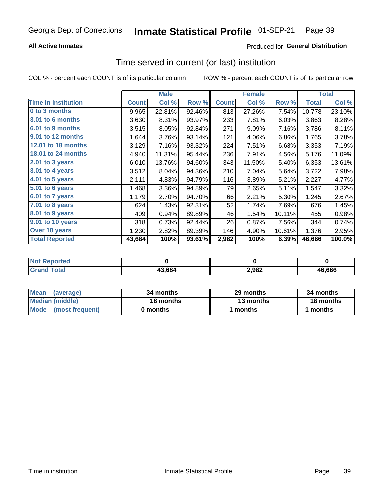## **All Active Inmates**

## **Produced for General Distribution**

# Time served in current (or last) institution

COL % - percent each COUNT is of its particular column

|                            | <b>Male</b>  |        |        | <b>Female</b> |        |        | <b>Total</b> |        |
|----------------------------|--------------|--------|--------|---------------|--------|--------|--------------|--------|
| <b>Time In Institution</b> | <b>Count</b> | Col %  | Row %  | <b>Count</b>  | Col %  | Row %  | <b>Total</b> | Col %  |
| 0 to 3 months              | 9,965        | 22.81% | 92.46% | 813           | 27.26% | 7.54%  | 10,778       | 23.10% |
| 3.01 to 6 months           | 3,630        | 8.31%  | 93.97% | 233           | 7.81%  | 6.03%  | 3,863        | 8.28%  |
| 6.01 to 9 months           | 3,515        | 8.05%  | 92.84% | 271           | 9.09%  | 7.16%  | 3,786        | 8.11%  |
| 9.01 to 12 months          | 1,644        | 3.76%  | 93.14% | 121           | 4.06%  | 6.86%  | 1,765        | 3.78%  |
| 12.01 to 18 months         | 3,129        | 7.16%  | 93.32% | 224           | 7.51%  | 6.68%  | 3,353        | 7.19%  |
| <b>18.01 to 24 months</b>  | 4,940        | 11.31% | 95.44% | 236           | 7.91%  | 4.56%  | 5,176        | 11.09% |
| $2.01$ to 3 years          | 6,010        | 13.76% | 94.60% | 343           | 11.50% | 5.40%  | 6,353        | 13.61% |
| $3.01$ to 4 years          | 3,512        | 8.04%  | 94.36% | 210           | 7.04%  | 5.64%  | 3,722        | 7.98%  |
| 4.01 to 5 years            | 2,111        | 4.83%  | 94.79% | 116           | 3.89%  | 5.21%  | 2,227        | 4.77%  |
| 5.01 to 6 years            | 1,468        | 3.36%  | 94.89% | 79            | 2.65%  | 5.11%  | 1,547        | 3.32%  |
| 6.01 to 7 years            | 1,179        | 2.70%  | 94.70% | 66            | 2.21%  | 5.30%  | 1,245        | 2.67%  |
| 7.01 to 8 years            | 624          | 1.43%  | 92.31% | 52            | 1.74%  | 7.69%  | 676          | 1.45%  |
| 8.01 to 9 years            | 409          | 0.94%  | 89.89% | 46            | 1.54%  | 10.11% | 455          | 0.98%  |
| 9.01 to 10 years           | 318          | 0.73%  | 92.44% | 26            | 0.87%  | 7.56%  | 344          | 0.74%  |
| Over 10 years              | 1,230        | 2.82%  | 89.39% | 146           | 4.90%  | 10.61% | 1,376        | 2.95%  |
| <b>Total Reported</b>      | 43,684       | 100%   | 93.61% | 2,982         | 100%   | 6.39%  | 46,666       | 100.0% |

| <b>NOT</b> |        |       |        |
|------------|--------|-------|--------|
|            | .3.684 | 2,982 | 46.666 |

| <b>Mean</b><br>(average) | 34 months | 29 months | 34 months |
|--------------------------|-----------|-----------|-----------|
| Median (middle)          | 18 months | 13 months | 18 months |
| Mode (most frequent)     | 0 months  | months    | 1 months  |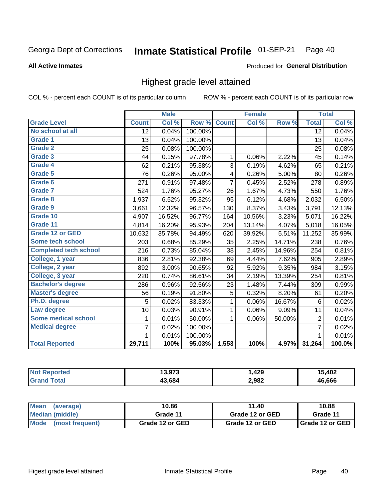### Inmate Statistical Profile 01-SEP-21 Page 40

### **All Active Inmates**

### Produced for General Distribution

## Highest grade level attained

COL % - percent each COUNT is of its particular column

|                              |                 | <b>Male</b> |         |                | <b>Female</b> |        |                 | <b>Total</b> |
|------------------------------|-----------------|-------------|---------|----------------|---------------|--------|-----------------|--------------|
| <b>Grade Level</b>           | <b>Count</b>    | Col %       | Row %   | <b>Count</b>   | Col %         | Row %  | <b>Total</b>    | Col %        |
| No school at all             | $\overline{12}$ | 0.04%       | 100.00% |                |               |        | $\overline{12}$ | 0.04%        |
| <b>Grade 1</b>               | 13              | 0.04%       | 100.00% |                |               |        | 13              | 0.04%        |
| <b>Grade 2</b>               | 25              | 0.08%       | 100.00% |                |               |        | 25              | 0.08%        |
| Grade 3                      | 44              | 0.15%       | 97.78%  | $\mathbf{1}$   | 0.06%         | 2.22%  | 45              | 0.14%        |
| Grade 4                      | 62              | 0.21%       | 95.38%  | 3              | 0.19%         | 4.62%  | 65              | 0.21%        |
| Grade 5                      | 76              | 0.26%       | 95.00%  | 4              | 0.26%         | 5.00%  | 80              | 0.26%        |
| Grade 6                      | 271             | 0.91%       | 97.48%  | $\overline{7}$ | 0.45%         | 2.52%  | 278             | 0.89%        |
| <b>Grade 7</b>               | 524             | 1.76%       | 95.27%  | 26             | 1.67%         | 4.73%  | 550             | 1.76%        |
| Grade 8                      | 1,937           | 6.52%       | 95.32%  | 95             | 6.12%         | 4.68%  | 2,032           | 6.50%        |
| Grade 9                      | 3,661           | 12.32%      | 96.57%  | 130            | 8.37%         | 3.43%  | 3,791           | 12.13%       |
| Grade 10                     | 4,907           | 16.52%      | 96.77%  | 164            | 10.56%        | 3.23%  | 5,071           | 16.22%       |
| Grade 11                     | 4,814           | 16.20%      | 95.93%  | 204            | 13.14%        | 4.07%  | 5,018           | 16.05%       |
| <b>Grade 12 or GED</b>       | 10,632          | 35.78%      | 94.49%  | 620            | 39.92%        | 5.51%  | 11,252          | 35.99%       |
| <b>Some tech school</b>      | 203             | 0.68%       | 85.29%  | 35             | 2.25%         | 14.71% | 238             | 0.76%        |
| <b>Completed tech school</b> | 216             | 0.73%       | 85.04%  | 38             | 2.45%         | 14.96% | 254             | 0.81%        |
| College, 1 year              | 836             | 2.81%       | 92.38%  | 69             | 4.44%         | 7.62%  | 905             | 2.89%        |
| College, 2 year              | 892             | 3.00%       | 90.65%  | 92             | 5.92%         | 9.35%  | 984             | 3.15%        |
| College, 3 year              | 220             | 0.74%       | 86.61%  | 34             | 2.19%         | 13.39% | 254             | 0.81%        |
| <b>Bachelor's degree</b>     | 286             | 0.96%       | 92.56%  | 23             | 1.48%         | 7.44%  | 309             | 0.99%        |
| <b>Master's degree</b>       | 56              | 0.19%       | 91.80%  | 5              | 0.32%         | 8.20%  | 61              | 0.20%        |
| Ph.D. degree                 | 5               | 0.02%       | 83.33%  | 1              | 0.06%         | 16.67% | 6               | 0.02%        |
| Law degree                   | 10              | 0.03%       | 90.91%  | $\mathbf{1}$   | 0.06%         | 9.09%  | 11              | 0.04%        |
| <b>Some medical school</b>   | 1               | 0.01%       | 50.00%  | 1              | 0.06%         | 50.00% | $\overline{2}$  | 0.01%        |
| <b>Medical degree</b>        | 7               | 0.02%       | 100.00% |                |               |        | $\overline{7}$  | 0.02%        |
|                              | 1               | 0.01%       | 100.00% |                |               |        | 1               | 0.01%        |
| <b>Total Reported</b>        | 29,711          | 100%        | 95.03%  | 1,553          | 100%          | 4.97%  | 31,264          | 100.0%       |

| ,,,,,,<br>. | ,429  | .102          |
|-------------|-------|---------------|
| 13.684      | 2,982 | <b>46 666</b> |

| <b>Mean</b><br>(average) | 10.86           | 11.40           | 10.88           |  |
|--------------------------|-----------------|-----------------|-----------------|--|
| Median (middle)          | Grade 11        | Grade 12 or GED | Grade 11        |  |
| Mode<br>(most frequent)  | Grade 12 or GED | Grade 12 or GED | Grade 12 or GED |  |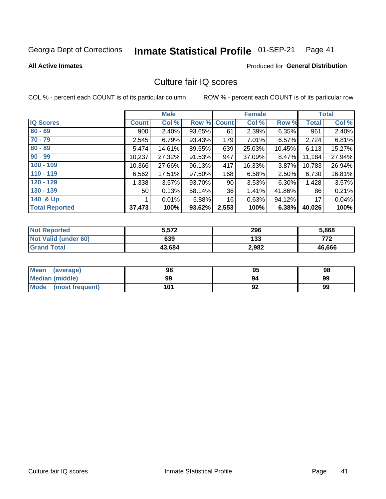### Inmate Statistical Profile 01-SEP-21 Page 41

### **All Active Inmates**

## **Produced for General Distribution**

# Culture fair IQ scores

COL % - percent each COUNT is of its particular column

|                       |                 | <b>Male</b> |        |                 | <b>Female</b> |          |              | <b>Total</b> |
|-----------------------|-----------------|-------------|--------|-----------------|---------------|----------|--------------|--------------|
| <b>IQ Scores</b>      | <b>Count</b>    | Col %       | Row %  | <b>Count</b>    | Col %         | Row %    | <b>Total</b> | Col %        |
| $60 - 69$             | 900             | $2.40\%$    | 93.65% | 61              | 2.39%         | $6.35\%$ | 961          | 2.40%        |
| $70 - 79$             | 2,545           | 6.79%       | 93.43% | 179             | 7.01%         | $6.57\%$ | 2,724        | 6.81%        |
| $80 - 89$             | 5,474           | 14.61%      | 89.55% | 639             | 25.03%        | 10.45%   | 6,113        | 15.27%       |
| $90 - 99$             | 10,237          | 27.32%      | 91.53% | 947             | 37.09%        | 8.47%    | 11,184       | 27.94%       |
| $100 - 109$           | 10,366          | 27.66%      | 96.13% | 417             | 16.33%        | 3.87%    | 10,783       | 26.94%       |
| $110 - 119$           | 6,562           | 17.51%      | 97.50% | 168             | 6.58%         | 2.50%    | 6,730        | 16.81%       |
| $120 - 129$           | 1,338           | $3.57\%$    | 93.70% | 90 <sub>1</sub> | 3.53%         | $6.30\%$ | 1,428        | 3.57%        |
| $130 - 139$           | 50 <sub>1</sub> | 0.13%       | 58.14% | 36              | 1.41%         | 41.86%   | 86           | 0.21%        |
| 140 & Up              |                 | 0.01%       | 5.88%  | 16              | 0.63%         | 94.12%   | 17           | 0.04%        |
| <b>Total Reported</b> | 37,473          | 100%        | 93.62% | 2,553           | 100%          | 6.38%    | 40,026       | 100%         |

| <b>Not Reported</b>         | 5,572  | 296   | 5,868  |
|-----------------------------|--------|-------|--------|
| <b>Not Valid (under 60)</b> | 639    | 133   | 772    |
| <b>Grand Total</b>          | 43,684 | 2,982 | 46,666 |

| <b>Mean</b><br>(average) | 98  | 95 | 98 |
|--------------------------|-----|----|----|
| <b>Median (middle)</b>   | 99  | 94 | 99 |
| Mode<br>(most frequent)  | 101 | 92 | 99 |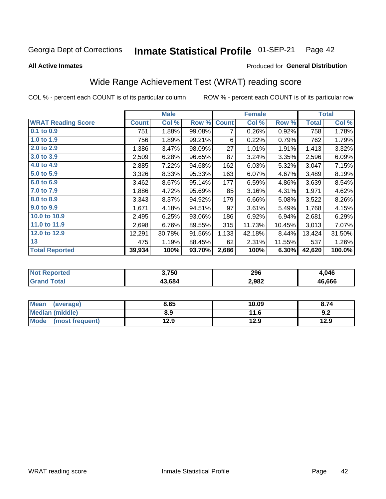### Inmate Statistical Profile 01-SEP-21 Page 42

**All Active Inmates** 

## Produced for General Distribution

# Wide Range Achievement Test (WRAT) reading score

COL % - percent each COUNT is of its particular column

|                           |              | <b>Male</b> |        |              | <b>Female</b> |        |              | <b>Total</b> |
|---------------------------|--------------|-------------|--------|--------------|---------------|--------|--------------|--------------|
| <b>WRAT Reading Score</b> | <b>Count</b> | Col %       | Row %  | <b>Count</b> | Col %         | Row %  | <b>Total</b> | Col %        |
| $0.1$ to $0.9$            | 751          | 1.88%       | 99.08% | 7            | 0.26%         | 0.92%  | 758          | 1.78%        |
| 1.0 to 1.9                | 756          | 1.89%       | 99.21% | 6            | 0.22%         | 0.79%  | 762          | 1.79%        |
| 2.0 to 2.9                | 1,386        | 3.47%       | 98.09% | 27           | 1.01%         | 1.91%  | 1,413        | 3.32%        |
| 3.0 to 3.9                | 2,509        | 6.28%       | 96.65% | 87           | 3.24%         | 3.35%  | 2,596        | 6.09%        |
| 4.0 to 4.9                | 2,885        | 7.22%       | 94.68% | 162          | 6.03%         | 5.32%  | 3,047        | 7.15%        |
| 5.0 to 5.9                | 3,326        | 8.33%       | 95.33% | 163          | 6.07%         | 4.67%  | 3,489        | 8.19%        |
| 6.0 to 6.9                | 3,462        | 8.67%       | 95.14% | 177          | 6.59%         | 4.86%  | 3,639        | 8.54%        |
| 7.0 to 7.9                | 1,886        | 4.72%       | 95.69% | 85           | 3.16%         | 4.31%  | 1,971        | 4.62%        |
| 8.0 to 8.9                | 3,343        | 8.37%       | 94.92% | 179          | 6.66%         | 5.08%  | 3,522        | 8.26%        |
| 9.0 to 9.9                | 1,671        | 4.18%       | 94.51% | 97           | 3.61%         | 5.49%  | 1,768        | 4.15%        |
| 10.0 to 10.9              | 2,495        | 6.25%       | 93.06% | 186          | 6.92%         | 6.94%  | 2,681        | 6.29%        |
| 11.0 to 11.9              | 2,698        | 6.76%       | 89.55% | 315          | 11.73%        | 10.45% | 3,013        | 7.07%        |
| 12.0 to 12.9              | 12,291       | 30.78%      | 91.56% | 1,133        | 42.18%        | 8.44%  | 13,424       | 31.50%       |
| 13                        | 475          | 1.19%       | 88.45% | 62           | 2.31%         | 11.55% | 537          | 1.26%        |
| <b>Total Reported</b>     | 39,934       | 100%        | 93.70% | 2,686        | 100%          | 6.30%  | 42,620       | 100.0%       |

| orted<br>NO1 | 3,750  | 296   | .046   |
|--------------|--------|-------|--------|
| ota          | 13.684 | 2,982 | 46.666 |

| Mean (average)         | 8.65 | 10.09 | 8.74 |
|------------------------|------|-------|------|
| <b>Median (middle)</b> | 8.9  | 11.6  | 9.2  |
| Mode (most frequent)   | 12.9 | 12.9  | 12.9 |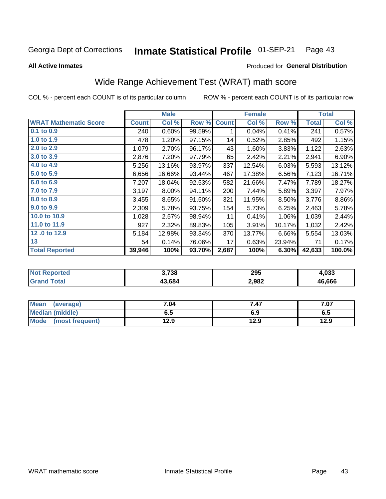### Inmate Statistical Profile 01-SEP-21 Page 43

**All Active Inmates** 

## Produced for General Distribution

# Wide Range Achievement Test (WRAT) math score

COL % - percent each COUNT is of its particular column

|                              |              | <b>Male</b> |        |              | <b>Female</b> |        |              | <b>Total</b> |
|------------------------------|--------------|-------------|--------|--------------|---------------|--------|--------------|--------------|
| <b>WRAT Mathematic Score</b> | <b>Count</b> | Col %       | Row %  | <b>Count</b> | Col %         | Row %  | <b>Total</b> | Col %        |
| $0.1$ to $0.9$               | 240          | 0.60%       | 99.59% | 1            | 0.04%         | 0.41%  | 241          | 0.57%        |
| 1.0 to 1.9                   | 478          | 1.20%       | 97.15% | 14           | 0.52%         | 2.85%  | 492          | 1.15%        |
| 2.0 to 2.9                   | 1,079        | 2.70%       | 96.17% | 43           | 1.60%         | 3.83%  | 1,122        | 2.63%        |
| 3.0 to 3.9                   | 2,876        | 7.20%       | 97.79% | 65           | 2.42%         | 2.21%  | 2,941        | 6.90%        |
| 4.0 to 4.9                   | 5,256        | 13.16%      | 93.97% | 337          | 12.54%        | 6.03%  | 5,593        | 13.12%       |
| 5.0 to 5.9                   | 6,656        | 16.66%      | 93.44% | 467          | 17.38%        | 6.56%  | 7,123        | 16.71%       |
| 6.0 to 6.9                   | 7,207        | 18.04%      | 92.53% | 582          | 21.66%        | 7.47%  | 7,789        | 18.27%       |
| 7.0 to 7.9                   | 3,197        | 8.00%       | 94.11% | 200          | 7.44%         | 5.89%  | 3,397        | 7.97%        |
| 8.0 to 8.9                   | 3,455        | 8.65%       | 91.50% | 321          | 11.95%        | 8.50%  | 3,776        | 8.86%        |
| 9.0 to 9.9                   | 2,309        | 5.78%       | 93.75% | 154          | 5.73%         | 6.25%  | 2,463        | 5.78%        |
| 10.0 to 10.9                 | 1,028        | 2.57%       | 98.94% | 11           | 0.41%         | 1.06%  | 1,039        | 2.44%        |
| 11.0 to 11.9                 | 927          | 2.32%       | 89.83% | 105          | 3.91%         | 10.17% | 1,032        | 2.42%        |
| 12.0 to 12.9                 | 5,184        | 12.98%      | 93.34% | 370          | 13.77%        | 6.66%  | 5,554        | 13.03%       |
| 13                           | 54           | 0.14%       | 76.06% | 17           | 0.63%         | 23.94% | 71           | 0.17%        |
| <b>Total Reported</b>        | 39,946       | 100%        | 93.70% | 2,687        | 100%          | 6.30%  | 42,633       | 100.0%       |

| 'Not<br><b>Reported</b> | 3,738  | 295   | 1.033  |
|-------------------------|--------|-------|--------|
| 'otal                   | 13,684 | 2,982 | 46.666 |

| <b>Mean</b><br>(average) | 7.04 | 7.47 | 7.07 |
|--------------------------|------|------|------|
| Median (middle)          | כ.ס  | 6.9  | ხ.მ  |
| Mode<br>(most frequent)  | 12.9 | 12.9 | 12.9 |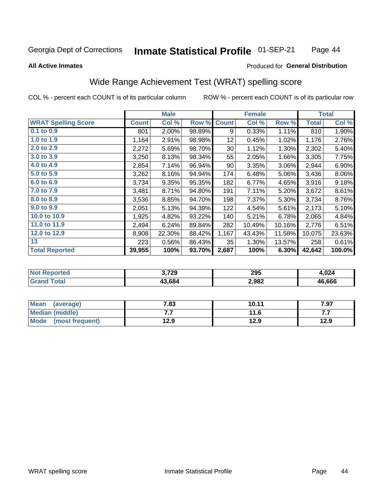### Inmate Statistical Profile 01-SEP-21 Page 44

### **All Active Inmates**

## Produced for General Distribution

# Wide Range Achievement Test (WRAT) spelling score

COL % - percent each COUNT is of its particular column

|                            |              | <b>Male</b> |        |              | <b>Female</b> |        |              | <b>Total</b> |
|----------------------------|--------------|-------------|--------|--------------|---------------|--------|--------------|--------------|
| <b>WRAT Spelling Score</b> | <b>Count</b> | Col %       | Row %  | <b>Count</b> | Col %         | Row %  | <b>Total</b> | Col %        |
| $0.1$ to $0.9$             | 801          | 2.00%       | 98.89% | 9            | 0.33%         | 1.11%  | 810          | 1.90%        |
| 1.0 to 1.9                 | 1,164        | 2.91%       | 98.98% | 12           | 0.45%         | 1.02%  | 1,176        | 2.76%        |
| 2.0 to 2.9                 | 2,272        | 5.69%       | 98.70% | 30           | 1.12%         | 1.30%  | 2,302        | 5.40%        |
| 3.0 to 3.9                 | 3,250        | 8.13%       | 98.34% | 55           | 2.05%         | 1.66%  | 3,305        | 7.75%        |
| 4.0 to 4.9                 | 2,854        | 7.14%       | 96.94% | 90           | 3.35%         | 3.06%  | 2,944        | 6.90%        |
| 5.0 to 5.9                 | 3,262        | 8.16%       | 94.94% | 174          | 6.48%         | 5.06%  | 3,436        | 8.06%        |
| 6.0 to 6.9                 | 3,734        | 9.35%       | 95.35% | 182          | 6.77%         | 4.65%  | 3,916        | 9.18%        |
| 7.0 to 7.9                 | 3,481        | 8.71%       | 94.80% | 191          | 7.11%         | 5.20%  | 3,672        | 8.61%        |
| 8.0 to 8.9                 | 3,536        | 8.85%       | 94.70% | 198          | 7.37%         | 5.30%  | 3,734        | 8.76%        |
| 9.0 to 9.9                 | 2,051        | 5.13%       | 94.39% | 122          | 4.54%         | 5.61%  | 2,173        | 5.10%        |
| 10.0 to 10.9               | 1,925        | 4.82%       | 93.22% | 140          | 5.21%         | 6.78%  | 2,065        | 4.84%        |
| 11.0 to 11.9               | 2,494        | 6.24%       | 89.84% | 282          | 10.49%        | 10.16% | 2,776        | 6.51%        |
| 12.0 to 12.9               | 8,908        | 22.30%      | 88.42% | 1,167        | 43.43%        | 11.58% | 10,075       | 23.63%       |
| 13                         | 223          | 0.56%       | 86.43% | 35           | 1.30%         | 13.57% | 258          | 0.61%        |
| <b>Total Reported</b>      | 39,955       | 100%        | 93.70% | 2,687        | 100%          | 6.30%  | 42,642       | 100.0%       |

| 'Tet.<br>NO | 3,729  | 295   | 1.024  |
|-------------|--------|-------|--------|
|             | 13.684 | 2,982 | 46.666 |

| Mean<br>(average)      | 7.83 | 10.11 | 7.97 |
|------------------------|------|-------|------|
| <b>Median (middle)</b> | .    | 11.6  | .    |
| Mode (most frequent)   | 12.9 | 12.9  | 12.9 |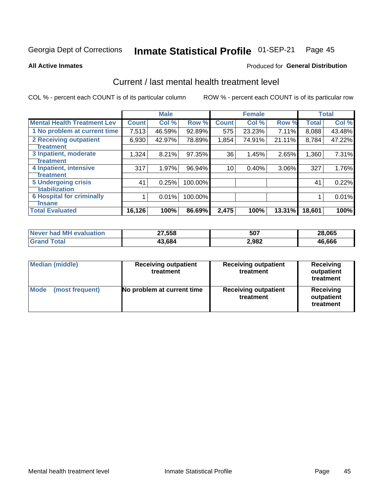### Inmate Statistical Profile 01-SEP-21 Page 45

**All Active Inmates** 

## Produced for General Distribution

# Current / last mental health treatment level

COL % - percent each COUNT is of its particular column

|                                    |              | <b>Male</b> |         |              | <b>Female</b> |        |              | <b>Total</b> |
|------------------------------------|--------------|-------------|---------|--------------|---------------|--------|--------------|--------------|
| <b>Mental Health Treatment Lev</b> | <b>Count</b> | Col %       | Row %   | <b>Count</b> | Col %         | Row %  | <b>Total</b> | Col %        |
| 1 No problem at current time       | 7,513        | 46.59%      | 92.89%  | 575          | 23.23%        | 7.11%  | 8,088        | 43.48%       |
| <b>2 Receiving outpatient</b>      | 6,930        | 42.97%      | 78.89%  | 1,854        | 74.91%        | 21.11% | 8,784        | 47.22%       |
| <b>Treatment</b>                   |              |             |         |              |               |        |              |              |
| 3 Inpatient, moderate              | 1,324        | 8.21%       | 97.35%  | 36           | 1.45%         | 2.65%  | 1,360        | 7.31%        |
| <b>Treatment</b>                   |              |             |         |              |               |        |              |              |
| 4 Inpatient, intensive             | 317          | 1.97%       | 96.94%  | 10           | 0.40%         | 3.06%  | 327          | 1.76%        |
| Treatment                          |              |             |         |              |               |        |              |              |
| 5 Undergoing crisis                | 41           | 0.25%       | 100.00% |              |               |        | 41           | 0.22%        |
| <b>stabilization</b>               |              |             |         |              |               |        |              |              |
| <b>6 Hospital for criminally</b>   |              | 0.01%       | 100.00% |              |               |        |              | 0.01%        |
| <b>Tinsane</b>                     |              |             |         |              |               |        |              |              |
| <b>Total Evaluated</b>             | 16, 126      | 100%        | 86.69%  | 2,475        | 100%          | 13.31% | 18,601       | 100%         |

| Never had MH evaluation | 27,558 | 507   | 28,065 |
|-------------------------|--------|-------|--------|
| <b>Grand Total</b>      | 43,684 | 2,982 | 46,666 |

| <b>Median (middle)</b>         | <b>Receiving outpatient</b><br>treatment | <b>Receiving outpatient</b><br>treatment | <b>Receiving</b><br>outpatient<br>treatment |  |
|--------------------------------|------------------------------------------|------------------------------------------|---------------------------------------------|--|
| <b>Mode</b><br>(most frequent) | No problem at current time               | <b>Receiving outpatient</b><br>treatment | Receiving<br>outpatient<br>treatment        |  |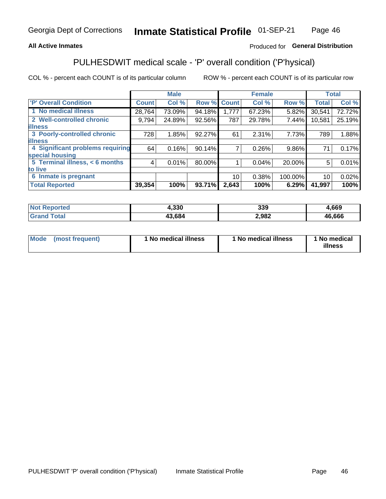## **All Active Inmates**

## Produced for General Distribution

# PULHESDWIT medical scale - 'P' overall condition ('P'hysical)

COL % - percent each COUNT is of its particular column

|                                        | <b>Male</b> |        |                  |                           |        |               | <b>Total</b>              |
|----------------------------------------|-------------|--------|------------------|---------------------------|--------|---------------|---------------------------|
| <b>Count</b>                           | Col %       |        | <b>Count</b>     | Col %                     | Row %  | <b>Total</b>  | Col %                     |
| 28,764                                 | 73.09%      | 94.18% | 1,777            | 67.23%                    | 5.82%  | 30,541        | 72.72%                    |
| 9,794                                  | 24.89%      |        | 787              | 29.78%                    | 7.44%  | 10,581        | 25.19%                    |
|                                        |             |        |                  |                           |        |               |                           |
| 728                                    | 1.85%       |        | 61               | 2.31%                     |        | 789           | 1.88%                     |
|                                        |             |        |                  |                           |        |               |                           |
| 4 Significant problems requiring<br>64 | 0.16%       |        |                  | 0.26%                     |        | 71            | 0.17%                     |
|                                        |             |        |                  |                           |        |               |                           |
| 4                                      | 0.01%       |        |                  | 0.04%                     | 20.00% | 5             | 0.01%                     |
|                                        |             |        |                  |                           |        |               |                           |
|                                        |             |        | 10               | 0.38%                     |        | 10            | 0.02%                     |
| 39,354                                 | 100%        | 93.71% | 2,643            | 100%                      | 6.29%  | 41,997        | 100%                      |
|                                        |             |        | 92.56%<br>90.14% | Row %<br>92.27%<br>80.00% |        | <b>Female</b> | 7.73%<br>9.86%<br>100.00% |

| тес | . 220<br>1.JJU | 339   | ,669   |
|-----|----------------|-------|--------|
|     | 200            | 2,982 | 46.666 |

| Mode | (most frequent) | 1 No medical illness | 1 No medical illness | 1 No medical<br>illness |
|------|-----------------|----------------------|----------------------|-------------------------|
|------|-----------------|----------------------|----------------------|-------------------------|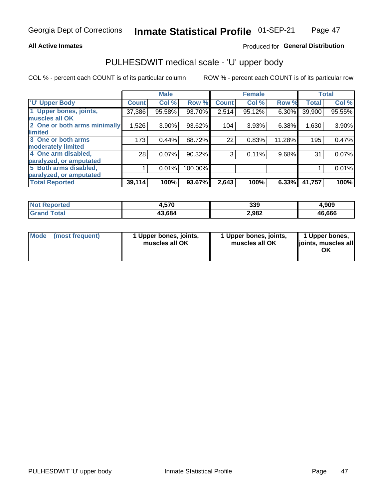## **All Active Inmates**

## Produced for General Distribution

# PULHESDWIT medical scale - 'U' upper body

COL % - percent each COUNT is of its particular column

|                              |              | <b>Male</b> |         |              | <b>Female</b> |        |              | <b>Total</b> |
|------------------------------|--------------|-------------|---------|--------------|---------------|--------|--------------|--------------|
| <b>U' Upper Body</b>         | <b>Count</b> | Col %       | Row %   | <b>Count</b> | Col %         | Row %  | <b>Total</b> | Col %        |
| 1 Upper bones, joints,       | 37,386       | 95.58%      | 93.70%  | 2,514        | 95.12%        | 6.30%  | 39,900       | 95.55%       |
| muscles all OK               |              |             |         |              |               |        |              |              |
| 2 One or both arms minimally | 1,526        | 3.90%       | 93.62%  | 104          | 3.93%         | 6.38%  | 1,630        | 3.90%        |
| limited                      |              |             |         |              |               |        |              |              |
| 3 One or both arms           | 173          | 0.44%       | 88.72%  | 22           | 0.83%         | 11.28% | 195          | 0.47%        |
| <b>moderately limited</b>    |              |             |         |              |               |        |              |              |
| 4 One arm disabled,          | 28           | 0.07%       | 90.32%  | 3            | 0.11%         | 9.68%  | 31           | 0.07%        |
| paralyzed, or amputated      |              |             |         |              |               |        |              |              |
| 5 Both arms disabled,        |              | 0.01%       | 100.00% |              |               |        |              | 0.01%        |
| paralyzed, or amputated      |              |             |         |              |               |        |              |              |
| <b>Total Reported</b>        | 39,114       | 100%        | 93.67%  | 2,643        | 100%          | 6.33%  | 41,757       | 100%         |

| <b>Not Reported</b> | 4,570  | 339   | 4,909  |
|---------------------|--------|-------|--------|
| Total<br>' Grand    | 43,684 | 2,982 | 46,666 |

|  | Mode (most frequent) | 1 Upper bones, joints,<br>muscles all OK | 1 Upper bones, joints,<br>muscles all OK | 1 Upper bones,<br>ljoints, muscles all<br>ΟK |
|--|----------------------|------------------------------------------|------------------------------------------|----------------------------------------------|
|--|----------------------|------------------------------------------|------------------------------------------|----------------------------------------------|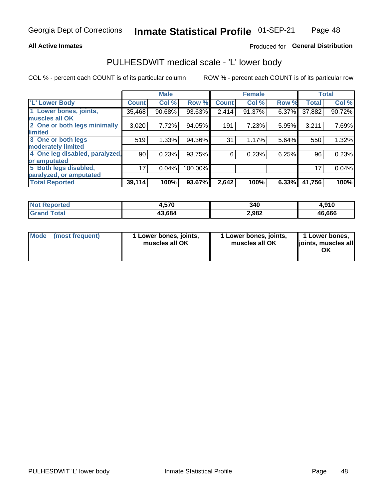## **All Active Inmates**

## Produced for General Distribution

## PULHESDWIT medical scale - 'L' lower body

COL % - percent each COUNT is of its particular column

|                                |              | <b>Male</b> |         |              | <b>Female</b> |       |              | <b>Total</b> |
|--------------------------------|--------------|-------------|---------|--------------|---------------|-------|--------------|--------------|
| 'L' Lower Body                 | <b>Count</b> | Col %       | Row %   | <b>Count</b> | Col %         | Row % | <b>Total</b> | Col %        |
| 1 Lower bones, joints,         | 35,468       | 90.68%      | 93.63%  | 2,414        | 91.37%        | 6.37% | 37,882       | 90.72%       |
| muscles all OK                 |              |             |         |              |               |       |              |              |
| 2 One or both legs minimally   | 3,020        | 7.72%       | 94.05%  | 191          | 7.23%         | 5.95% | 3,211        | 7.69%        |
| limited                        |              |             |         |              |               |       |              |              |
| 3 One or both legs             | 519          | 1.33%       | 94.36%  | 31           | 1.17%         | 5.64% | 550          | 1.32%        |
| moderately limited             |              |             |         |              |               |       |              |              |
| 4 One leg disabled, paralyzed, | 90           | 0.23%       | 93.75%  | 6            | 0.23%         | 6.25% | 96           | 0.23%        |
| or amputated                   |              |             |         |              |               |       |              |              |
| 5 Both legs disabled,          | 17           | 0.04%       | 100.00% |              |               |       | 17           | 0.04%        |
| paralyzed, or amputated        |              |             |         |              |               |       |              |              |
| <b>Total Reported</b>          | 39,114       | 100%        | 93.67%  | 2,642        | 100%          | 6.33% | 41,756       | 100%         |

| <b>Not Reported</b> | 4,570  | 340   | 4,910  |
|---------------------|--------|-------|--------|
| Total<br>' Grand    | 43,684 | 2,982 | 46,666 |

| Mode (most frequent) | 1 Lower bones, joints,<br>muscles all OK | 1 Lower bones, joints,<br>muscles all OK | 1 Lower bones,<br>joints, muscles all<br>ΟK |
|----------------------|------------------------------------------|------------------------------------------|---------------------------------------------|
|----------------------|------------------------------------------|------------------------------------------|---------------------------------------------|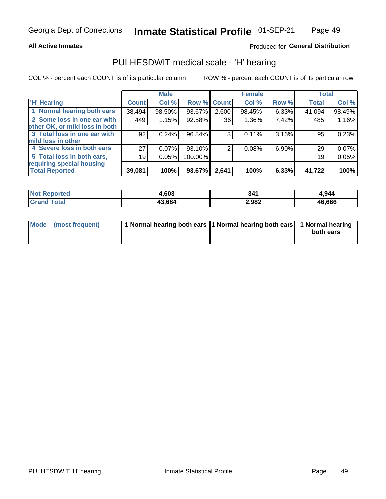## **All Active Inmates**

## Produced for General Distribution

## PULHESDWIT medical scale - 'H' hearing

COL % - percent each COUNT is of its particular column

|                                |                 | <b>Male</b> |             |       | <b>Female</b> |       | <b>Total</b> |        |
|--------------------------------|-----------------|-------------|-------------|-------|---------------|-------|--------------|--------|
| <b>'H' Hearing</b>             | <b>Count</b>    | Col %       | Row % Count |       | Col %         | Row % | <b>Total</b> | Col %  |
| 1 Normal hearing both ears     | 38,494          | 98.50%      | 93.67%      | 2,600 | 98.45%        | 6.33% | 41,094       | 98.49% |
| 2 Some loss in one ear with    | 449             | 1.15%       | 92.58%      | 36    | 1.36%         | 7.42% | 485          | 1.16%  |
| other OK, or mild loss in both |                 |             |             |       |               |       |              |        |
| 3 Total loss in one ear with   | 92 <sub>1</sub> | 0.24%       | 96.84%      | 3     | 0.11%         | 3.16% | 95           | 0.23%  |
| mild loss in other             |                 |             |             |       |               |       |              |        |
| 4 Severe loss in both ears     | 27              | 0.07%       | 93.10%      | 2     | 0.08%         | 6.90% | 29           | 0.07%  |
| 5 Total loss in both ears,     | 19              | 0.05%       | 100.00%     |       |               |       | 19           | 0.05%  |
| requiring special housing      |                 |             |             |       |               |       |              |        |
| <b>Total Reported</b>          | 39,081          | 100%        | 93.67%      | 2,641 | 100%          | 6.33% | 41,722       | 100%   |

| morted       | co2<br>טט, | эл.   | .944   |
|--------------|------------|-------|--------|
| <b>Total</b> | 43.684     | 2,982 | 46,666 |

| Mode (most frequent) | 1 Normal hearing both ears 1 Normal hearing both ears 1 Normal hearing |           |
|----------------------|------------------------------------------------------------------------|-----------|
|                      |                                                                        | both ears |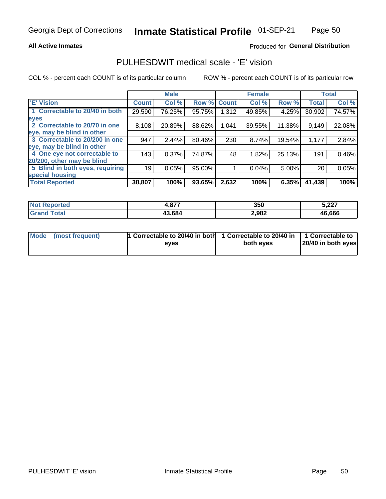## **All Active Inmates**

## Produced for General Distribution

## PULHESDWIT medical scale - 'E' vision

COL % - percent each COUNT is of its particular column

|                                 |              | <b>Male</b> |        |              | <b>Female</b> |        |              | <b>Total</b> |
|---------------------------------|--------------|-------------|--------|--------------|---------------|--------|--------------|--------------|
| 'E' Vision                      | <b>Count</b> | Col %       | Row %  | <b>Count</b> | Col %         | Row %  | <b>Total</b> | Col %        |
| 1 Correctable to 20/40 in both  | 29,590       | 76.25%      | 95.75% | 1,312        | 49.85%        | 4.25%  | 30,902       | 74.57%       |
| eyes                            |              |             |        |              |               |        |              |              |
| 2 Correctable to 20/70 in one   | 8,108        | 20.89%      | 88.62% | 1,041        | 39.55%        | 11.38% | 9,149        | 22.08%       |
| eye, may be blind in other      |              |             |        |              |               |        |              |              |
| 3 Correctable to 20/200 in one  | 947          | 2.44%       | 80.46% | 230          | 8.74%         | 19.54% | 1,177        | 2.84%        |
| eye, may be blind in other      |              |             |        |              |               |        |              |              |
| 4 One eye not correctable to    | 143          | 0.37%       | 74.87% | 48           | 1.82%         | 25.13% | 191          | 0.46%        |
| 20/200, other may be blind      |              |             |        |              |               |        |              |              |
| 5 Blind in both eyes, requiring | 19           | 0.05%       | 95.00% |              | 0.04%         | 5.00%  | 20           | 0.05%        |
| special housing                 |              |             |        |              |               |        |              |              |
| <b>Total Reported</b>           | 38,807       | 100%        | 93.65% | 2,632        | 100%          | 6.35%  | 41,439       | 100%         |

| Reported<br><b>Not</b>  | - 077  | 350   | 5,227  |
|-------------------------|--------|-------|--------|
| $T$ otal $\blacksquare$ | 43,684 | 2,982 | 46,666 |

| Mode (most frequent) | 1 Correctable to 20/40 in both<br>eves | 1 Correctable to 20/40 in   1 Correctable to  <br>both eyes | 20/40 in both eyes |
|----------------------|----------------------------------------|-------------------------------------------------------------|--------------------|
|                      |                                        |                                                             |                    |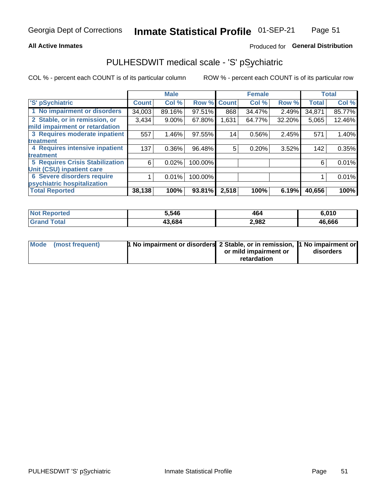## **All Active Inmates**

## Produced for General Distribution

# PULHESDWIT medical scale - 'S' pSychiatric

COL % - percent each COUNT is of its particular column

|                                        |              | <b>Male</b> |         |              | <b>Female</b> |        |              | <b>Total</b> |
|----------------------------------------|--------------|-------------|---------|--------------|---------------|--------|--------------|--------------|
| 'S' pSychiatric                        | <b>Count</b> | Col %       | Row %   | <b>Count</b> | Col %         | Row %  | <b>Total</b> | Col %        |
| 1 No impairment or disorders           | 34,003       | 89.16%      | 97.51%  | 868          | 34.47%        | 2.49%  | 34,871       | 85.77%       |
| 2 Stable, or in remission, or          | 3,434        | $9.00\%$    | 67.80%  | 1,631        | 64.77%        | 32.20% | 5,065        | 12.46%       |
| mild impairment or retardation         |              |             |         |              |               |        |              |              |
| 3 Requires moderate inpatient          | 557          | $1.46\%$    | 97.55%  | 14           | $0.56\%$      | 2.45%  | 571          | 1.40%        |
| treatment                              |              |             |         |              |               |        |              |              |
| 4 Requires intensive inpatient         | 137          | $0.36\%$    | 96.48%  | 5            | 0.20%         | 3.52%  | 142          | 0.35%        |
| treatment                              |              |             |         |              |               |        |              |              |
| <b>5 Requires Crisis Stabilization</b> | 6            | 0.02%       | 100.00% |              |               |        | 6            | 0.01%        |
| Unit (CSU) inpatient care              |              |             |         |              |               |        |              |              |
| <b>6 Severe disorders require</b>      |              | 0.01%       | 100.00% |              |               |        |              | 0.01%        |
| psychiatric hospitalization            |              |             |         |              |               |        |              |              |
| <b>Total Reported</b>                  | 38,138       | 100%        | 93.81%  | 2,518        | 100%          | 6.19%  | 40,656       | 100%         |

| <b>Not Reported</b>   | 5.546  | 464   | 6,010  |
|-----------------------|--------|-------|--------|
| <b>Total</b><br>Grand | 43,684 | 2,982 | 46,666 |

| Mode | (most frequent) | <b>1 No impairment or disorders</b> 2 Stable, or in remission, 1 No impairment or |                       |           |
|------|-----------------|-----------------------------------------------------------------------------------|-----------------------|-----------|
|      |                 |                                                                                   | or mild impairment or | disorders |
|      |                 |                                                                                   | retardation           |           |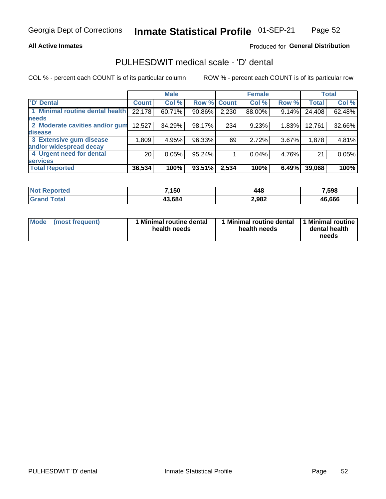## **All Active Inmates**

## Produced for General Distribution

# PULHESDWIT medical scale - 'D' dental

COL % - percent each COUNT is of its particular column

|                                 |                 | <b>Male</b> |           |              | <b>Female</b> |          |              | <b>Total</b> |
|---------------------------------|-----------------|-------------|-----------|--------------|---------------|----------|--------------|--------------|
| <b>D'</b> Dental                | <b>Count</b>    | Col %       | Row %     | <b>Count</b> | Col %         | Row %    | <b>Total</b> | Col %        |
| 1 Minimal routine dental health | 22,178          | 60.71%      | 90.86%    | 2,230        | 88.00%        | $9.14\%$ | 24,408       | $62.48\%$    |
| <b>needs</b>                    |                 |             |           |              |               |          |              |              |
| 2 Moderate cavities and/or gum  | 12,527          | 34.29%      | 98.17%    | 234          | 9.23%         | 1.83%    | 12,761       | 32.66%       |
| disease                         |                 |             |           |              |               |          |              |              |
| 3 Extensive gum disease         | 1,809           | 4.95%       | 96.33%    | 69           | 2.72%         | 3.67%    | 1,878        | 4.81%        |
| and/or widespread decay         |                 |             |           |              |               |          |              |              |
| 4 Urgent need for dental        | 20 <sub>1</sub> | 0.05%       | $95.24\%$ |              | 0.04%         | 4.76%    | 21           | 0.05%        |
| <b>services</b>                 |                 |             |           |              |               |          |              |              |
| <b>Total Reported</b>           | 36,534          | 100%        | 93.51%    | 2,534        | 100%          | 6.49%    | 39,068       | 100%         |

| Reported<br>NO. | ,150   | 448   | 7,598  |
|-----------------|--------|-------|--------|
| 'otal           | 13,684 | 2,982 | 46.666 |

| <b>Mode</b> | (most frequent) | <b>Minimal routine dental</b><br>health needs | 1 Minimal routine dental   1 Minimal routine  <br>health needs | dental health<br>needs |
|-------------|-----------------|-----------------------------------------------|----------------------------------------------------------------|------------------------|
|-------------|-----------------|-----------------------------------------------|----------------------------------------------------------------|------------------------|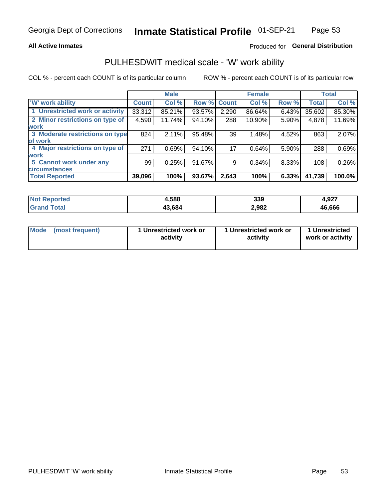## **All Active Inmates**

## Produced for General Distribution

## PULHESDWIT medical scale - 'W' work ability

COL % - percent each COUNT is of its particular column

|                                 |              | <b>Male</b> |        |             | <b>Female</b> |       |              | <b>Total</b> |
|---------------------------------|--------------|-------------|--------|-------------|---------------|-------|--------------|--------------|
| <b>W' work ability</b>          | <b>Count</b> | Col %       |        | Row % Count | Col %         | Row % | <b>Total</b> | Col %        |
| 1 Unrestricted work or activity | 33,312       | 85.21%      | 93.57% | 2,290       | 86.64%        | 6.43% | 35,602       | 85.30%       |
| 2 Minor restrictions on type of | 4,590        | 11.74%      | 94.10% | 288         | 10.90%        | 5.90% | 4,878        | 11.69%       |
| <b>work</b>                     |              |             |        |             |               |       |              |              |
| 3 Moderate restrictions on type | 824          | 2.11%       | 95.48% | 39          | 1.48%         | 4.52% | 863          | 2.07%        |
| lof work                        |              |             |        |             |               |       |              |              |
| 4 Major restrictions on type of | 271          | 0.69%       | 94.10% | 17          | 0.64%         | 5.90% | 288          | 0.69%        |
| <b>work</b>                     |              |             |        |             |               |       |              |              |
| 5 Cannot work under any         | 99           | 0.25%       | 91.67% | 9           | 0.34%         | 8.33% | 108          | 0.26%        |
| <b>circumstances</b>            |              |             |        |             |               |       |              |              |
| <b>Total Reported</b>           | 39,096       | 100%        | 93.67% | 2,643       | 100%          | 6.33% | 41,739       | 100.0%       |

| <b>Not Reported</b>   | 4,588  | 339   | 4,927  |
|-----------------------|--------|-------|--------|
| <b>Total</b><br>Grand | 43,684 | 2,982 | 46,666 |

| Mode (most frequent) | 1 Unrestricted work or | 1 Unrestricted work or | 1 Unrestricted   |
|----------------------|------------------------|------------------------|------------------|
|                      | activity               | activity               | work or activity |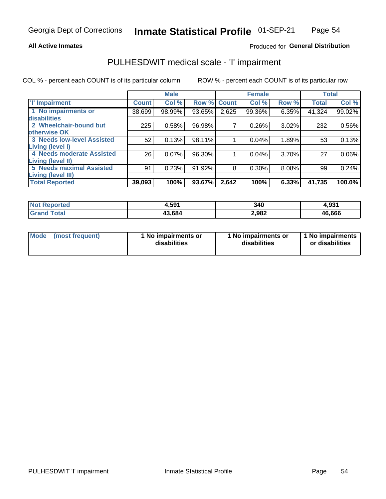## **All Active Inmates**

## Produced for General Distribution

# PULHESDWIT medical scale - 'I' impairment

COL % - percent each COUNT is of its particular column

|                                                              |              | <b>Male</b> |        |                    | <b>Female</b> |       |              | <b>Total</b> |
|--------------------------------------------------------------|--------------|-------------|--------|--------------------|---------------|-------|--------------|--------------|
| <b>T' Impairment</b>                                         | <b>Count</b> | Col %       |        | <b>Row % Count</b> | Col %         | Row % | <b>Total</b> | Col %        |
| 1 No impairments or<br>disabilities                          | 38,699       | 98.99%      | 93.65% | 2,625              | 99.36%        | 6.35% | 41,324       | 99.02%       |
| 2 Wheelchair-bound but<br>otherwise OK                       | 225          | 0.58%       | 96.98% | 7                  | 0.26%         | 3.02% | 232          | 0.56%        |
| <b>3 Needs low-level Assisted</b><br>Living (level I)        | 52           | 0.13%       | 98.11% |                    | 0.04%         | 1.89% | 53           | 0.13%        |
| 4 Needs moderate Assisted<br>Living (level II)               | 26           | 0.07%       | 96.30% |                    | 0.04%         | 3.70% | 27           | $0.06\%$     |
| <b>5 Needs maximal Assisted</b><br><b>Living (level III)</b> | 91           | 0.23%       | 91.92% | 8                  | 0.30%         | 8.08% | 99           | 0.24%        |
| <b>Total Reported</b>                                        | 39,093       | 100%        | 93.67% | 2,642              | 100%          | 6.33% | 41,735       | $100.0\%$    |

| Not I<br>Reported | 4,591  | 340   | 4,931  |
|-------------------|--------|-------|--------|
| Гоtal             | 43.684 | 2,982 | 46,666 |

| Mode | (most frequent) | 1 No impairments or<br>disabilities | 1 No impairments or<br>disabilities | 1 No impairments<br>or disabilities |
|------|-----------------|-------------------------------------|-------------------------------------|-------------------------------------|
|------|-----------------|-------------------------------------|-------------------------------------|-------------------------------------|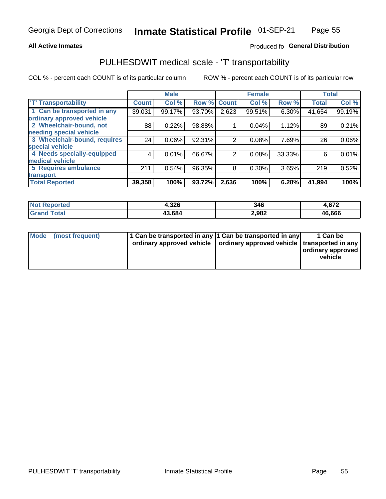## **All Active Inmates**

## Produced fo General Distribution

# PULHESDWIT medical scale - 'T' transportability

COL % - percent each COUNT is of its particular column

|                              |              | <b>Male</b> |        |                | <b>Female</b> |        |              | <b>Total</b> |
|------------------------------|--------------|-------------|--------|----------------|---------------|--------|--------------|--------------|
| <b>T' Transportability</b>   | <b>Count</b> | Col %       | Row %  | <b>Count</b>   | Col %         | Row %  | <b>Total</b> | Col %        |
| 1 Can be transported in any  | 39,031       | 99.17%      | 93.70% | 2,623          | 99.51%        | 6.30%  | 41,654       | 99.19%       |
| ordinary approved vehicle    |              |             |        |                |               |        |              |              |
| 2 Wheelchair-bound, not      | 88           | 0.22%       | 98.88% |                | 0.04%         | 1.12%  | 89           | 0.21%        |
| needing special vehicle      |              |             |        |                |               |        |              |              |
| 3 Wheelchair-bound, requires | 24           | 0.06%       | 92.31% | $\overline{2}$ | 0.08%         | 7.69%  | 26           | $0.06\%$     |
| special vehicle              |              |             |        |                |               |        |              |              |
| 4 Needs specially-equipped   | 4            | 0.01%       | 66.67% | 2              | 0.08%         | 33.33% | 6            | 0.01%        |
| medical vehicle              |              |             |        |                |               |        |              |              |
| <b>5 Requires ambulance</b>  | 211          | 0.54%       | 96.35% | 8              | 0.30%         | 3.65%  | 219          | 0.52%        |
| transport                    |              |             |        |                |               |        |              |              |
| <b>Total Reported</b>        | 39,358       | 100%        | 93.72% | 2,636          | 100%          | 6.28%  | 41,994       | 100%         |

| eported     | 1,326  | 346   | 1,672  |
|-------------|--------|-------|--------|
| <b>otal</b> | 43.684 | 2,982 | 46,666 |

|  | Mode (most frequent) | 1 Can be transported in any 1 Can be transported in any<br>ordinary approved vehicle   ordinary approved vehicle   transported in any |  | 1 Can be<br>  ordinary approved  <br>vehicle |
|--|----------------------|---------------------------------------------------------------------------------------------------------------------------------------|--|----------------------------------------------|
|--|----------------------|---------------------------------------------------------------------------------------------------------------------------------------|--|----------------------------------------------|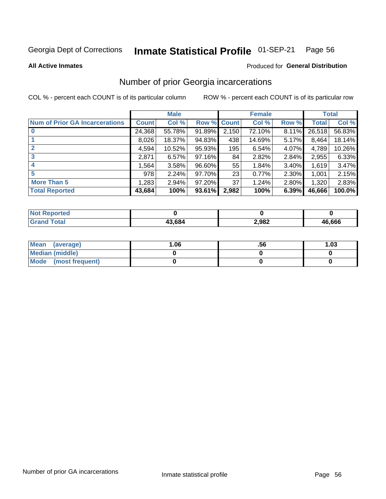### Inmate Statistical Profile 01-SEP-21 Page 56

**All Active Inmates** 

### Produced for General Distribution

## Number of prior Georgia incarcerations

COL % - percent each COUNT is of its particular column

|                                       |              | <b>Male</b> |             |       | <b>Female</b> |          |        | <b>Total</b> |
|---------------------------------------|--------------|-------------|-------------|-------|---------------|----------|--------|--------------|
| <b>Num of Prior GA Incarcerations</b> | <b>Count</b> | Col %       | Row % Count |       | Col %         | Row %    | Total  | Col %        |
|                                       | 24,368       | 55.78%      | 91.89%      | 2,150 | 72.10%        | 8.11%    | 26,518 | 56.83%       |
|                                       | 8,026        | 18.37%      | 94.83%      | 438   | 14.69%        | 5.17%    | 8,464  | 18.14%       |
| $\overline{2}$                        | 4,594        | 10.52%      | 95.93%      | 195   | 6.54%         | 4.07%    | 4,789  | 10.26%       |
| 3                                     | 2,871        | 6.57%       | 97.16%      | 84    | 2.82%         | 2.84%    | 2,955  | 6.33%        |
| $\boldsymbol{4}$                      | 1,564        | 3.58%       | 96.60%      | 55    | 1.84%         | $3.40\%$ | 1,619  | 3.47%        |
| 5                                     | 978          | 2.24%       | 97.70%      | 23    | 0.77%         | 2.30%    | 1,001  | 2.15%        |
| <b>More Than 5</b>                    | 1,283        | 2.94%       | 97.20%      | 37    | 1.24%         | 2.80%    | 1,320  | 2.83%        |
| <b>Total Reported</b>                 | 43,684       | 100%        | 93.61%      | 2,982 | 100%          | 6.39%    | 46,666 | 100.0%       |

| <b>Not</b><br>Reported  |        |       |        |
|-------------------------|--------|-------|--------|
| Total<br><b>'</b> Gran⊾ | 13,684 | 2,982 | 46,666 |

| Mean (average)       | 06.، | .56 | 1.03 |
|----------------------|------|-----|------|
| Median (middle)      |      |     |      |
| Mode (most frequent) |      |     |      |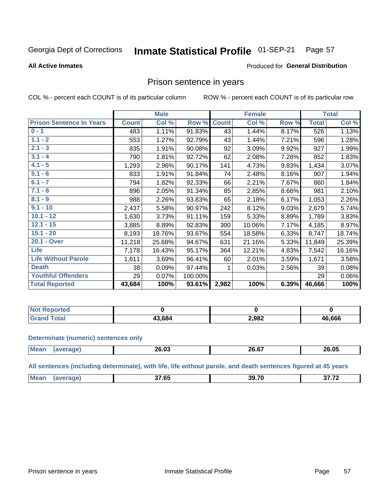#### Inmate Statistical Profile 01-SEP-21 Page 57

**All Active Inmates** 

## Produced for General Distribution

## Prison sentence in years

COL % - percent each COUNT is of its particular column

ROW % - percent each COUNT is of its particular row

|                                 |              | <b>Male</b> |         |              | <b>Female</b> |       |              | <b>Total</b> |
|---------------------------------|--------------|-------------|---------|--------------|---------------|-------|--------------|--------------|
| <b>Prison Sentence In Years</b> | <b>Count</b> | Col %       | Row %   | <b>Count</b> | Col %         | Row % | <b>Total</b> | Col %        |
| $0 - 1$                         | 483          | 1.11%       | 91.83%  | 43           | 1.44%         | 8.17% | 526          | 1.13%        |
| $1.1 - 2$                       | 553          | 1.27%       | 92.79%  | 43           | 1.44%         | 7.21% | 596          | 1.28%        |
| $2.1 - 3$                       | 835          | 1.91%       | 90.08%  | 92           | 3.09%         | 9.92% | 927          | 1.99%        |
| $3.1 - 4$                       | 790          | 1.81%       | 92.72%  | 62           | 2.08%         | 7.28% | 852          | 1.83%        |
| $4.1 - 5$                       | 1,293        | 2.96%       | 90.17%  | 141          | 4.73%         | 9.83% | 1,434        | 3.07%        |
| $5.1 - 6$                       | 833          | 1.91%       | 91.84%  | 74           | 2.48%         | 8.16% | 907          | 1.94%        |
| $6.1 - 7$                       | 794          | 1.82%       | 92.33%  | 66           | 2.21%         | 7.67% | 860          | 1.84%        |
| $7.1 - 8$                       | 896          | 2.05%       | 91.34%  | 85           | 2.85%         | 8.66% | 981          | 2.10%        |
| $8.1 - 9$                       | 988          | 2.26%       | 93.83%  | 65           | 2.18%         | 6.17% | 1,053        | 2.26%        |
| $9.1 - 10$                      | 2,437        | 5.58%       | 90.97%  | 242          | 8.12%         | 9.03% | 2,679        | 5.74%        |
| $10.1 - 12$                     | 1,630        | 3.73%       | 91.11%  | 159          | 5.33%         | 8.89% | 1,789        | 3.83%        |
| $12.1 - 15$                     | 3,885        | 8.89%       | 92.83%  | 300          | 10.06%        | 7.17% | 4,185        | 8.97%        |
| $15.1 - 20$                     | 8,193        | 18.76%      | 93.67%  | 554          | 18.58%        | 6.33% | 8,747        | 18.74%       |
| 20.1 - Over                     | 11,218       | 25.68%      | 94.67%  | 631          | 21.16%        | 5.33% | 11,849       | 25.39%       |
| <b>Life</b>                     | 7,178        | 16.43%      | 95.17%  | 364          | 12.21%        | 4.83% | 7,542        | 16.16%       |
| <b>Life Without Parole</b>      | 1,611        | 3.69%       | 96.41%  | 60           | 2.01%         | 3.59% | 1,671        | 3.58%        |
| <b>Death</b>                    | 38           | 0.09%       | 97.44%  |              | 0.03%         | 2.56% | 39           | 0.08%        |
| <b>Youthful Offenders</b>       | 29           | 0.07%       | 100.00% |              |               |       | 29           | 0.06%        |
| <b>Total Reported</b>           | 43,684       | 100%        | 93.61%  | 2,982        | 100%          | 6.39% | 46,666       | 100%         |

| ported<br><b>NOT</b> |       |       |        |
|----------------------|-------|-------|--------|
|                      | 3.684 | 2,982 | 46,666 |

### **Determinate (numeric) sentences only**

| <b>Mean</b> | <b>_</b> _.u | 20.07 | 26.05 |
|-------------|--------------|-------|-------|
|             |              |       |       |

All sentences (including determinate), with life, life without parole, and death sentences figured at 45 years

| $\sim$ $\sim$ $\sim$<br>Me:<br>39.70<br>$\sim$ $\sim$ $\sim$<br>. .<br>__ |  |  |  |
|---------------------------------------------------------------------------|--|--|--|
|                                                                           |  |  |  |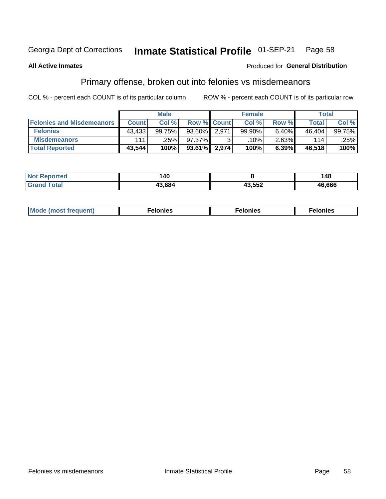#### Inmate Statistical Profile 01-SEP-21 Page 58

### **All Active Inmates**

## Produced for General Distribution

## Primary offense, broken out into felonies vs misdemeanors

COL % - percent each COUNT is of its particular column

|                                  |              | <b>Male</b> |                    |       | <b>Female</b> |          | Total        |        |
|----------------------------------|--------------|-------------|--------------------|-------|---------------|----------|--------------|--------|
| <b>Felonies and Misdemeanors</b> | <b>Count</b> | Col %       | <b>Row % Count</b> |       | Col %         | Row %    | <b>Total</b> | Col %  |
| <b>Felonies</b>                  | 43,433       | 99.75%      | $93.60\%$          | 2.971 | 99.90%        | 6.40%    | 46.404       | 99.75% |
| <b>Misdemeanors</b>              | 111          | .25%        | 97.37%             |       | .10%          | $2.63\%$ | 114          | .25%   |
| <b>Total Reported</b>            | 43,544       | 100%        | $93.61\%$          | 2,974 | 100%          | 6.39%    | 46.518       | 100%   |

| <b>Not</b><br>Reported | 40،   |        | 48     |
|------------------------|-------|--------|--------|
| ™otai<br>Gran          | 3.684 | 13,552 | 46,666 |

| Mo | ____ | 11 C.S<br>. | onies<br>. |
|----|------|-------------|------------|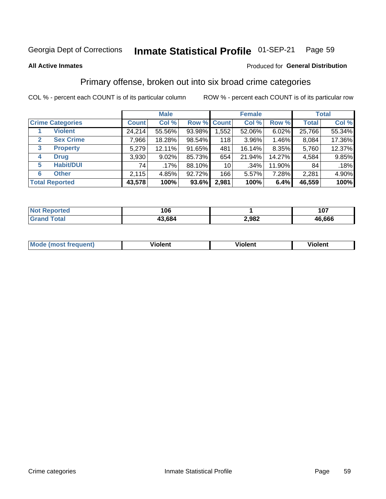#### Inmate Statistical Profile 01-SEP-21 Page 59

**All Active Inmates** 

## Produced for General Distribution

## Primary offense, broken out into six broad crime categories

COL % - percent each COUNT is of its particular column

|                         |                  | <b>Male</b>  |          |        | <b>Female</b>   |          |        | <b>Total</b> |        |  |
|-------------------------|------------------|--------------|----------|--------|-----------------|----------|--------|--------------|--------|--|
| <b>Crime Categories</b> |                  | <b>Count</b> | Col %    |        | Row % Count     | Col %    | Row %  | <b>Total</b> | Col %  |  |
|                         | <b>Violent</b>   | 24,214       | 55.56%   | 93.98% | 1,552           | 52.06%   | 6.02%  | 25,766       | 55.34% |  |
| $\mathbf{2}$            | <b>Sex Crime</b> | 7,966        | 18.28%   | 98.54% | 118             | $3.96\%$ | 1.46%  | 8,084        | 17.36% |  |
| 3                       | <b>Property</b>  | 5,279        | 12.11%   | 91.65% | 481             | 16.14%   | 8.35%  | 5,760        | 12.37% |  |
| 4                       | <b>Drug</b>      | 3,930        | $9.02\%$ | 85.73% | 654             | 21.94%   | 14.27% | 4,584        | 9.85%  |  |
| 5                       | <b>Habit/DUI</b> | 74           | $.17\%$  | 88.10% | 10 <sup>1</sup> | .34%     | 11.90% | 84           | .18%   |  |
| 6                       | <b>Other</b>     | 2,115        | 4.85%    | 92.72% | 166             | 5.57%    | 7.28%  | 2,281        | 4.90%  |  |
| <b>Total Reported</b>   |                  | 43,578       | 100%     | 93.6%  | 2,981           | 100%     | 6.4%   | 46,559       | 100%   |  |

| Reported<br>Not I | 106    |       | 107    |
|-------------------|--------|-------|--------|
| Гоtal             | 43,684 | 2,982 | 46,666 |

| M | $\overline{\phantom{a}}$<br>- --<br>100011 | .<br><b>VIOIGIIL</b> | 1.91311 |
|---|--------------------------------------------|----------------------|---------|
|   |                                            |                      |         |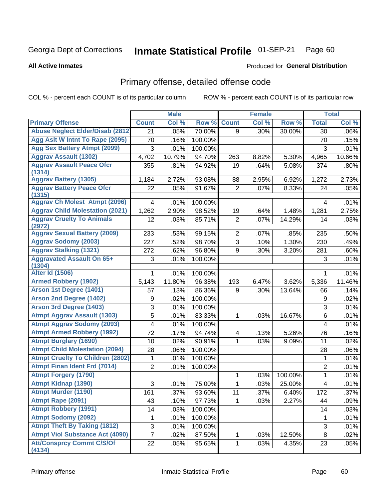### Inmate Statistical Profile 01-SEP-21 Page 60

**All Active Inmates** 

## Produced for General Distribution

# Primary offense, detailed offense code

COL % - percent each COUNT is of its particular column

|                                            |                | <b>Male</b> |         |                         | <b>Female</b> |         |                  | <b>Total</b> |
|--------------------------------------------|----------------|-------------|---------|-------------------------|---------------|---------|------------------|--------------|
| <b>Primary Offense</b>                     | <b>Count</b>   | Col %       | Row %   | <b>Count</b>            | Col %         | Row %   | <b>Total</b>     | Col %        |
| <b>Abuse Neglect Elder/Disab (2812)</b>    | 21             | .05%        | 70.00%  | 9                       | .30%          | 30.00%  | 30               | $.06\%$      |
| Agg Aslt W Intnt To Rape (2095)            | 70             | .16%        | 100.00% |                         |               |         | 70               | .15%         |
| <b>Agg Sex Battery Atmpt (2099)</b>        | 3              | .01%        | 100.00% |                         |               |         | 3                | .01%         |
| <b>Aggrav Assault (1302)</b>               | 4,702          | 10.79%      | 94.70%  | 263                     | 8.82%         | 5.30%   | 4,965            | 10.66%       |
| <b>Aggrav Assault Peace Ofcr</b><br>(1314) | 355            | .81%        | 94.92%  | 19                      | .64%          | 5.08%   | 374              | .80%         |
| <b>Aggrav Battery (1305)</b>               | 1,184          | 2.72%       | 93.08%  | 88                      | 2.95%         | 6.92%   | 1,272            | 2.73%        |
| <b>Aggrav Battery Peace Ofcr</b><br>(1315) | 22             | .05%        | 91.67%  | $\overline{2}$          | .07%          | 8.33%   | 24               | .05%         |
| <b>Aggrav Ch Molest Atmpt (2096)</b>       | 4              | .01%        | 100.00% |                         |               |         | 4                | .01%         |
| <b>Aggrav Child Molestation (2021)</b>     | 1,262          | 2.90%       | 98.52%  | 19                      | .64%          | 1.48%   | 1,281            | 2.75%        |
| <b>Aggrav Cruelty To Animals</b>           | 12             | .03%        | 85.71%  | $\overline{2}$          | .07%          | 14.29%  | 14               | .03%         |
| (2972)                                     |                |             |         |                         |               |         |                  |              |
| <b>Aggrav Sexual Battery (2009)</b>        | 233            | .53%        | 99.15%  | $\overline{2}$          | .07%          | .85%    | 235              | .50%         |
| <b>Aggrav Sodomy (2003)</b>                | 227            | .52%        | 98.70%  | $\overline{3}$          | .10%          | 1.30%   | 230              | .49%         |
| <b>Aggrav Stalking (1321)</b>              | 272            | .62%        | 96.80%  | 9                       | .30%          | 3.20%   | 281              | .60%         |
| <b>Aggravated Assault On 65+</b><br>(1304) | 3              | .01%        | 100.00% |                         |               |         | 3                | .01%         |
| <b>Alter Id (1506)</b>                     | 1              | .01%        | 100.00% |                         |               |         | 1                | .01%         |
| <b>Armed Robbery (1902)</b>                | 5,143          | 11.80%      | 96.38%  | 193                     | 6.47%         | 3.62%   | 5,336            | 11.46%       |
| Arson 1st Degree (1401)                    | 57             | .13%        | 86.36%  | 9                       | .30%          | 13.64%  | 66               | .14%         |
| <b>Arson 2nd Degree (1402)</b>             | 9              | .02%        | 100.00% |                         |               |         | 9                | .02%         |
| <b>Arson 3rd Degree (1403)</b>             | $\sqrt{3}$     | .01%        | 100.00% |                         |               |         | 3                | .01%         |
| <b>Atmpt Aggrav Assault (1303)</b>         | 5              | .01%        | 83.33%  | 1                       | .03%          | 16.67%  | 6                | .01%         |
| <b>Atmpt Aggrav Sodomy (2093)</b>          | 4              | .01%        | 100.00% |                         |               |         | 4                | .01%         |
| <b>Atmpt Armed Robbery (1992)</b>          | 72             | .17%        | 94.74%  | $\overline{\mathbf{4}}$ | .13%          | 5.26%   | 76               | .16%         |
| <b>Atmpt Burglary (1690)</b>               | 10             | .02%        | 90.91%  | 1                       | .03%          | 9.09%   | 11               | .02%         |
| <b>Atmpt Child Molestation (2094)</b>      | 28             | .06%        | 100.00% |                         |               |         | 28               | .06%         |
| <b>Atmpt Cruelty To Children (2802)</b>    | 1              | .01%        | 100.00% |                         |               |         | 1                | .01%         |
| <b>Atmpt Finan Ident Frd (7014)</b>        | $\overline{2}$ | .01%        | 100.00% |                         |               |         | $\overline{2}$   | .01%         |
| <b>Atmpt Forgery (1790)</b>                |                |             |         | 1                       | .03%          | 100.00% | $\mathbf{1}$     | .01%         |
| <b>Atmpt Kidnap (1390)</b>                 | $\mathbf{3}$   | .01%        | 75.00%  | 1                       | .03%          | 25.00%  | 4                | .01%         |
| <b>Atmpt Murder (1190)</b>                 | 161            | .37%        | 93.60%  | 11                      | .37%          | 6.40%   | $\overline{172}$ | .37%         |
| Atmpt Rape (2091)                          | 43             | .10%        | 97.73%  |                         | .03%          | 2.27%   | 44               | .09%         |
| <b>Atmpt Robbery (1991)</b>                | 14             | .03%        | 100.00% |                         |               |         | 14               | .03%         |
| <b>Atmpt Sodomy (2092)</b>                 | 1              | .01%        | 100.00% |                         |               |         | 1                | .01%         |
| <b>Atmpt Theft By Taking (1812)</b>        | 3              | .01%        | 100.00% |                         |               |         | 3                | .01%         |
| <b>Atmpt Viol Substance Act (4090)</b>     | $\overline{7}$ | .02%        | 87.50%  | 1                       | .03%          | 12.50%  | 8                | .02%         |
| <b>Att/Consprcy Commt C/S/Of</b><br>(4134) | 22             | .05%        | 95.65%  | 1.                      | .03%          | 4.35%   | 23               | .05%         |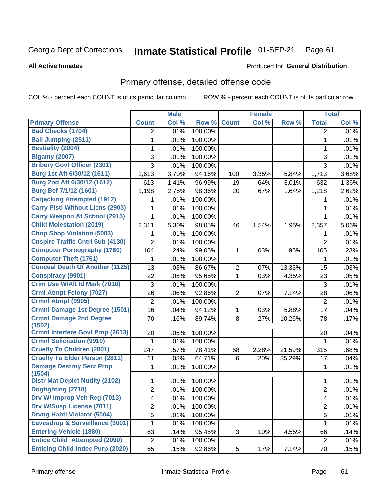### Inmate Statistical Profile 01-SEP-21 Page 61

**All Active Inmates** 

## **Produced for General Distribution**

# Primary offense, detailed offense code

COL % - percent each COUNT is of its particular column

|                                           |                | <b>Male</b> |         |                | <b>Female</b> |        |                | <b>Total</b> |
|-------------------------------------------|----------------|-------------|---------|----------------|---------------|--------|----------------|--------------|
| <b>Primary Offense</b>                    | <b>Count</b>   | Col %       | Row %   | <b>Count</b>   | Col %         | Row %  | <b>Total</b>   | Col %        |
| <b>Bad Checks (1704)</b>                  | $\overline{2}$ | .01%        | 100.00% |                |               |        | 2              | .01%         |
| <b>Bail Jumping (2511)</b>                | 1              | .01%        | 100.00% |                |               |        | 1              | .01%         |
| <b>Bestiality (2004)</b>                  | 1              | .01%        | 100.00% |                |               |        | 1              | .01%         |
| <b>Bigamy (2007)</b>                      | 3              | .01%        | 100.00% |                |               |        | 3              | .01%         |
| <b>Bribery Govt Officer (2301)</b>        | 3              | .01%        | 100.00% |                |               |        | 3              | .01%         |
| Burg 1st Aft 6/30/12 (1611)               | 1,613          | 3.70%       | 94.16%  | 100            | 3.35%         | 5.84%  | 1,713          | 3.68%        |
| Burg 2nd Aft 6/30/12 (1612)               | 613            | 1.41%       | 96.99%  | 19             | .64%          | 3.01%  | 632            | 1.36%        |
| <b>Burg Bef 7/1/12 (1601)</b>             | 1,198          | 2.75%       | 98.36%  | 20             | .67%          | 1.64%  | 1,218          | 2.62%        |
| <b>Carjacking Attempted (1912)</b>        | 1              | .01%        | 100.00% |                |               |        | 1              | .01%         |
| <b>Carry Pistl Without Licns (2903)</b>   | 1              | .01%        | 100.00% |                |               |        | 1              | .01%         |
| <b>Carry Weapon At School (2915)</b>      | 1              | .01%        | 100.00% |                |               |        | 1              | .01%         |
| <b>Child Molestation (2019)</b>           | 2,311          | 5.30%       | 98.05%  | 46             | 1.54%         | 1.95%  | 2,357          | 5.06%        |
| <b>Chop Shop Violation (5003)</b>         | 1              | .01%        | 100.00% |                |               |        | 1              | .01%         |
| <b>Cnspire Traffic Cntrl Sub (4130)</b>   | $\overline{2}$ | .01%        | 100.00% |                |               |        | $\overline{2}$ | .01%         |
| <b>Computer Pornography (1760)</b>        | 104            | .24%        | 99.05%  | 1              | .03%          | .95%   | 105            | .23%         |
| <b>Computer Theft (1761)</b>              | 1              | .01%        | 100.00% |                |               |        | 1              | .01%         |
| <b>Conceal Death Of Another (1125)</b>    | 13             | .03%        | 86.67%  | $\overline{2}$ | .07%          | 13.33% | 15             | .03%         |
| <b>Conspiracy (9901)</b>                  | 22             | .05%        | 95.65%  | 1              | .03%          | 4.35%  | 23             | .05%         |
| Crim Use W/Alt Id Mark (7010)             | 3              | .01%        | 100.00% |                |               |        | 3              | .01%         |
| <b>Crml Atmpt Felony (7027)</b>           | 26             | .06%        | 92.86%  | $\overline{2}$ | .07%          | 7.14%  | 28             | .06%         |
| Crmnl Atmpt (9905)                        | $\overline{2}$ | .01%        | 100.00% |                |               |        | $\overline{2}$ | .01%         |
| Crmnl Damage 1st Degree (1501)            | 16             | .04%        | 94.12%  | $\mathbf{1}$   | .03%          | 5.88%  | 17             | .04%         |
| <b>Crmnl Damage 2nd Degree</b><br>(1502)  | 70             | .16%        | 89.74%  | 8              | .27%          | 10.26% | 78             | .17%         |
| <b>Crmnl Interfere Govt Prop (2613)</b>   | 20             | .05%        | 100.00% |                |               |        | 20             | .04%         |
| <b>Crmnl Solicitation (9910)</b>          | 1              | .01%        | 100.00% |                |               |        | 1              | .01%         |
| <b>Cruelty To Children (2801)</b>         | 247            | .57%        | 78.41%  | 68             | 2.28%         | 21.59% | 315            | .68%         |
| <b>Cruelty To Elder Person (2811)</b>     | 11             | .03%        | 64.71%  | 6              | .20%          | 35.29% | 17             | .04%         |
| <b>Damage Destroy Secr Prop</b><br>(1504) | 1              | .01%        | 100.00% |                |               |        | 1              | .01%         |
| <b>Distr Mat Depict Nudity (2102)</b>     | 1              | .01%        | 100.00% |                |               |        | 1              | $.01\%$      |
| Dogfighting (2718)                        | $\overline{2}$ | .01%        | 100.00% |                |               |        | $\overline{2}$ | .01%         |
| Drv W/ Improp Veh Reg (7013)              | 4              | .01%        | 100.00% |                |               |        | 4              | .01%         |
| <b>Drv W/Susp License (7011)</b>          | $\overline{2}$ | .01%        | 100.00% |                |               |        | 2              | .01%         |
| <b>Drvng Habtl Violator (5004)</b>        | 5              | .01%        | 100.00% |                |               |        | 5              | .01%         |
| Eavesdrop & Surveillance (3001)           | 1              | .01%        | 100.00% |                |               |        | 1              | .01%         |
| <b>Entering Vehicle (1880)</b>            | 63             | .14%        | 95.45%  | 3              | .10%          | 4.55%  | 66             | .14%         |
| <b>Entice Child Attempted (2090)</b>      | $\overline{c}$ | .01%        | 100.00% |                |               |        | $\overline{2}$ | .01%         |
| <b>Enticing Child-Indec Purp (2020)</b>   | 65             | .15%        | 92.86%  | 5 <sup>1</sup> | .17%          | 7.14%  | 70             | .15%         |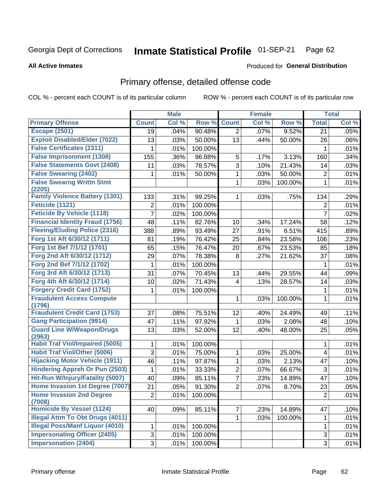### Inmate Statistical Profile 01-SEP-21 Page 62

### **All Active Inmates**

## **Produced for General Distribution**

## Primary offense, detailed offense code

COL % - percent each COUNT is of its particular column

|                                            |                | <b>Male</b> |         |                | <b>Female</b> |         |                           | <b>Total</b> |
|--------------------------------------------|----------------|-------------|---------|----------------|---------------|---------|---------------------------|--------------|
| <b>Primary Offense</b>                     | <b>Count</b>   | Col %       | Row %   | <b>Count</b>   | Col %         | Row %   | <b>Total</b>              | Col %        |
| <b>Escape (2501)</b>                       | 19             | .04%        | 90.48%  | $\overline{2}$ | .07%          | 9.52%   | 21                        | .05%         |
| <b>Exploit Disabled/Elder (7022)</b>       | 13             | .03%        | 50.00%  | 13             | .44%          | 50.00%  | 26                        | .06%         |
| <b>False Certificates (2311)</b>           | 1              | .01%        | 100.00% |                |               |         | 1                         | .01%         |
| <b>False Imprisonment (1308)</b>           | 155            | .36%        | 96.88%  | 5              | .17%          | 3.13%   | 160                       | .34%         |
| <b>False Statements Govt (2408)</b>        | 11             | .03%        | 78.57%  | $\overline{3}$ | .10%          | 21.43%  | 14                        | .03%         |
| <b>False Swearing (2402)</b>               | 1              | .01%        | 50.00%  | 1              | .03%          | 50.00%  | $\overline{2}$            | .01%         |
| <b>False Swearng Writtn Stmt</b><br>(2205) |                |             |         | 1              | .03%          | 100.00% | $\mathbf 1$               | .01%         |
| <b>Family Violence Battery (1301)</b>      | 133            | .31%        | 99.25%  | 1              | .03%          | .75%    | 134                       | .29%         |
| Feticide (1121)                            | $\overline{2}$ | .01%        | 100.00% |                |               |         | $\overline{2}$            | .01%         |
| <b>Feticide By Vehicle (1118)</b>          | $\overline{7}$ | .02%        | 100.00% |                |               |         | $\overline{7}$            | .02%         |
| <b>Financial Identity Fraud (1756)</b>     | 48             | .11%        | 82.76%  | 10             | .34%          | 17.24%  | 58                        | .12%         |
| <b>Fleeing/Eluding Police (2316)</b>       | 388            | .89%        | 93.49%  | 27             | .91%          | 6.51%   | 415                       | .89%         |
| Forg 1st Aft 6/30/12 (1711)                | 81             | .19%        | 76.42%  | 25             | .84%          | 23.58%  | 106                       | .23%         |
| Forg 1st Bef 7/1/12 (1701)                 | 65             | .15%        | 76.47%  | 20             | .67%          | 23.53%  | 85                        | .18%         |
| Forg 2nd Aft 6/30/12 (1712)                | 29             | .07%        | 78.38%  | 8              | .27%          | 21.62%  | 37                        | .08%         |
| Forg 2nd Bef 7/1/12 (1702)                 | 1              | .01%        | 100.00% |                |               |         | 1                         | .01%         |
| Forg 3rd Aft 6/30/12 (1713)                | 31             | .07%        | 70.45%  | 13             | .44%          | 29.55%  | 44                        | .09%         |
| Forg 4th Aft 6/30/12 (1714)                | 10             | .02%        | 71.43%  | 4              | .13%          | 28.57%  | 14                        | .03%         |
| <b>Forgery Credit Card (1752)</b>          | 1              | .01%        | 100.00% |                |               |         | 1                         | .01%         |
| <b>Fraudulent Access Compute</b><br>(1796) |                |             |         | 1              | .03%          | 100.00% | $\mathbf{1}$              | .01%         |
| <b>Fraudulent Credit Card (1753)</b>       | 37             | .08%        | 75.51%  | 12             | .40%          | 24.49%  | 49                        | .11%         |
| <b>Gang Participation (9914)</b>           | 47             | .11%        | 97.92%  | 1              | .03%          | 2.08%   | 48                        | .10%         |
| <b>Guard Line W/Weapon/Drugs</b><br>(2963) | 13             | .03%        | 52.00%  | 12             | .40%          | 48.00%  | 25                        | .05%         |
| <b>Habit Traf Viol/Impaired (5005)</b>     | 1              | .01%        | 100.00% |                |               |         | 1                         | .01%         |
| <b>Habit Traf Viol/Other (5006)</b>        | 3              | .01%        | 75.00%  | $\mathbf{1}$   | .03%          | 25.00%  | 4                         | .01%         |
| <b>Hijacking Motor Vehicle (1911)</b>      | 46             | .11%        | 97.87%  | $\mathbf 1$    | .03%          | 2.13%   | 47                        | .10%         |
| <b>Hindering Appreh Or Pun (2503)</b>      | 1              | .01%        | 33.33%  | $\overline{2}$ | .07%          | 66.67%  | 3                         | .01%         |
| Hit-Run W/Injury/Fatality (5007)           | 40             | .09%        | 85.11%  | $\overline{7}$ | .23%          | 14.89%  | 47                        | .10%         |
| Home Invasion 1st Degree (7007)            | 21             | .05%        | 91.30%  | $\overline{2}$ | .07%          | 8.70%   | 23                        | .05%         |
| <b>Home Invasion 2nd Degree</b><br>(7008)  | $\overline{2}$ | .01%        | 100.00% |                |               |         | $\overline{c}$            | .01%         |
| <b>Homicide By Vessel (1124)</b>           | 40             | .09%        | 85.11%  | 7 <sup>1</sup> | .23%          | 14.89%  | 47                        | .10%         |
| <b>Illegal Attm To Obt Drugs (4011)</b>    |                |             |         | $\mathbf{1}$   | .03%          | 100.00% | 1                         | .01%         |
| <b>Illegal Poss/Manf Liquor (4010)</b>     | 1              | .01%        | 100.00% |                |               |         | $\mathbf{1}$              | .01%         |
| <b>Impersonating Officer (2405)</b>        | 3              | .01%        | 100.00% |                |               |         | $\ensuremath{\mathsf{3}}$ | .01%         |
| <b>Impersonation (2404)</b>                | $\overline{3}$ | .01%        | 100.00% |                |               |         | 3                         | .01%         |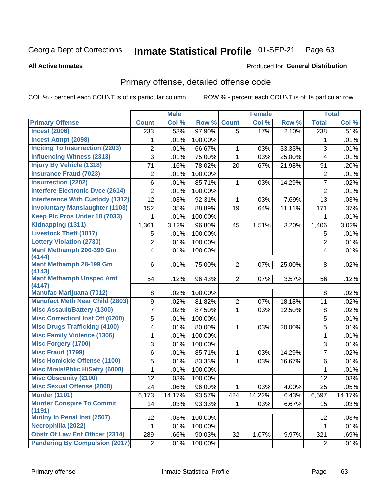### Inmate Statistical Profile 01-SEP-21 Page 63

**All Active Inmates** 

### Produced for General Distribution

# Primary offense, detailed offense code

COL % - percent each COUNT is of its particular column

|                                           |                 | <b>Male</b> |         |                | <b>Female</b> |        |                         | <b>Total</b> |
|-------------------------------------------|-----------------|-------------|---------|----------------|---------------|--------|-------------------------|--------------|
| <b>Primary Offense</b>                    | <b>Count</b>    | Col %       | Row %   | <b>Count</b>   | Col %         | Row %  | <b>Total</b>            | Col %        |
| <b>Incest (2006)</b>                      | 233             | .53%        | 97.90%  | 5              | .17%          | 2.10%  | 238                     | .51%         |
| <b>Incest Atmpt (2098)</b>                | 1               | .01%        | 100.00% |                |               |        | 1                       | .01%         |
| <b>Inciting To Insurrection (2203)</b>    | $\overline{2}$  | .01%        | 66.67%  | 1              | .03%          | 33.33% | 3                       | .01%         |
| <b>Influencing Witness (2313)</b>         | 3               | .01%        | 75.00%  | 1              | .03%          | 25.00% | 4                       | .01%         |
| <b>Injury By Vehicle (1318)</b>           | 71              | .16%        | 78.02%  | 20             | .67%          | 21.98% | 91                      | .20%         |
| <b>Insurance Fraud (7023)</b>             | $\overline{2}$  | .01%        | 100.00% |                |               |        | $\overline{2}$          | .01%         |
| <b>Insurrection (2202)</b>                | 6               | .01%        | 85.71%  | 1              | .03%          | 14.29% | $\overline{7}$          | .02%         |
| <b>Interfere Electronic Dvce (2614)</b>   | $\overline{2}$  | .01%        | 100.00% |                |               |        | $\overline{2}$          | .01%         |
| <b>Interference With Custody (1312)</b>   | $\overline{12}$ | .03%        | 92.31%  | 1              | .03%          | 7.69%  | 13                      | .03%         |
| <b>Involuntary Manslaughter (1103)</b>    | 152             | .35%        | 88.89%  | 19             | .64%          | 11.11% | 171                     | .37%         |
| Keep Plc Pros Under 18 (7033)             | 1               | .01%        | 100.00% |                |               |        | 1                       | .01%         |
| Kidnapping (1311)                         | 1,361           | 3.12%       | 96.80%  | 45             | 1.51%         | 3.20%  | 1,406                   | 3.02%        |
| <b>Livestock Theft (1817)</b>             | 5               | .01%        | 100.00% |                |               |        | 5                       | .01%         |
| <b>Lottery Violation (2730)</b>           | $\overline{2}$  | .01%        | 100.00% |                |               |        | $\overline{2}$          | .01%         |
| Manf Methamph 200-399 Gm                  | 4               | .01%        | 100.00% |                |               |        | $\overline{\mathbf{4}}$ | .01%         |
| (4144)                                    |                 |             |         |                |               |        |                         |              |
| Manf Methamph 28-199 Gm                   | 6               | .01%        | 75.00%  | $\overline{2}$ | .07%          | 25.00% | 8                       | .02%         |
| (4143)<br><b>Manf Methamph Unspec Amt</b> | 54              | .12%        | 96.43%  | $\overline{2}$ | .07%          | 3.57%  | 56                      | .12%         |
| (4147)                                    |                 |             |         |                |               |        |                         |              |
| <b>Manufac Marijuana (7012)</b>           | 8               | .02%        | 100.00% |                |               |        | 8                       | .02%         |
| <b>Manufact Meth Near Child (2803)</b>    | 9               | .02%        | 81.82%  | $\overline{2}$ | .07%          | 18.18% | 11                      | .02%         |
| <b>Misc Assault/Battery (1300)</b>        | 7               | .02%        | 87.50%  | 1              | .03%          | 12.50% | 8                       | .02%         |
| <b>Misc Correctionl Inst Off (6200)</b>   | 5               | .01%        | 100.00% |                |               |        | 5                       | .01%         |
| <b>Misc Drugs Trafficking (4100)</b>      | 4               | .01%        | 80.00%  | 1              | .03%          | 20.00% | 5                       | .01%         |
| <b>Misc Family Violence (1306)</b>        | 1               | .01%        | 100.00% |                |               |        | 1                       | .01%         |
| <b>Misc Forgery (1700)</b>                | 3               | .01%        | 100.00% |                |               |        | $\overline{3}$          | .01%         |
| <b>Misc Fraud (1799)</b>                  | $6\phantom{a}$  | .01%        | 85.71%  | 1              | .03%          | 14.29% | $\overline{7}$          | .02%         |
| <b>Misc Homicide Offense (1100)</b>       | 5               | .01%        | 83.33%  | 1              | .03%          | 16.67% | 6                       | .01%         |
| <b>Misc Mrals/Pblic H/Safty (6000)</b>    | 1               | .01%        | 100.00% |                |               |        | 1                       | .01%         |
| <b>Misc Obscenity (2100)</b>              | 12              | .03%        | 100.00% |                |               |        | 12                      | .03%         |
| <b>Misc Sexual Offense (2000)</b>         | $\overline{24}$ | .06%        | 96.00%  | 1              | .03%          | 4.00%  | 25                      | .05%         |
| <b>Murder (1101)</b>                      | 6,173           | 14.17%      | 93.57%  | 424            | 14.22%        | 6.43%  | 6,597                   | 14.17%       |
| <b>Murder Conspire To Commit</b>          | 14              | .03%        | 93.33%  |                | .03%          | 6.67%  | 15                      | .03%         |
| (1191)                                    |                 |             |         |                |               |        |                         |              |
| Mutiny In Penal Inst (2507)               | 12              | .03%        | 100.00% |                |               |        | 12                      | .03%         |
| Necrophilia (2022)                        | 1               | .01%        | 100.00% |                |               |        | 1                       | .01%         |
| <b>Obstr Of Law Enf Officer (2314)</b>    | 289             | .66%        | 90.03%  | 32             | 1.07%         | 9.97%  | 321                     | .69%         |
| <b>Pandering By Compulsion (2017)</b>     | 2               | .01%        | 100.00% |                |               |        | $\overline{2}$          | .01%         |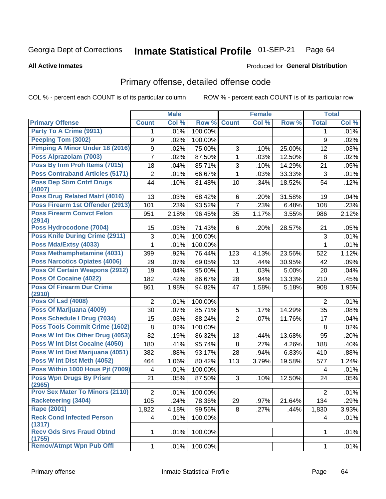### Inmate Statistical Profile 01-SEP-21 Page 64

**All Active Inmates** 

## Produced for General Distribution

# Primary offense, detailed offense code

COL % - percent each COUNT is of its particular column

|                                            |                | <b>Male</b> |                 |                | <b>Female</b> |        |                | <b>Total</b> |
|--------------------------------------------|----------------|-------------|-----------------|----------------|---------------|--------|----------------|--------------|
| <b>Primary Offense</b>                     | <b>Count</b>   | Col %       | Row %           | <b>Count</b>   | Col %         | Row %  | <b>Total</b>   | Col %        |
| Party To A Crime (9911)                    | 1              | .01%        | 100.00%         |                |               |        | 1.             | .01%         |
| Peeping Tom (3002)                         | 9              | .02%        | 100.00%         |                |               |        | 9              | .02%         |
| Pimping A Minor Under 18 (2016)            | 9              | .02%        | 75.00%          | 3              | .10%          | 25.00% | 12             | .03%         |
| Poss Alprazolam (7003)                     | 7              | .02%        | 87.50%          | $\mathbf{1}$   | .03%          | 12.50% | 8              | .02%         |
| Poss By Inm Proh Items (7015)              | 18             | .04%        | 85.71%          | 3              | .10%          | 14.29% | 21             | .05%         |
| <b>Poss Contraband Articles (5171)</b>     | 2              | .01%        | 66.67%          | $\mathbf{1}$   | .03%          | 33.33% | 3              | .01%         |
| <b>Poss Dep Stim Cntrf Drugs</b><br>(4007) | 44             | .10%        | 81.48%          | 10             | .34%          | 18.52% | 54             | .12%         |
| Poss Drug Related Matrl (4016)             | 13             | .03%        | 68.42%          | 6              | .20%          | 31.58% | 19             | .04%         |
| Poss Firearm 1st Offender (2913)           | 101            | .23%        | 93.52%          | $\overline{7}$ | .23%          | 6.48%  | 108            | .23%         |
| <b>Poss Firearm Convct Felon</b><br>(2914) | 951            | 2.18%       | 96.45%          | 35             | 1.17%         | 3.55%  | 986            | 2.12%        |
| Poss Hydrocodone (7004)                    | 15             | .03%        | 71.43%          | 6              | .20%          | 28.57% | 21             | .05%         |
| <b>Poss Knife During Crime (2911)</b>      | 3              | .01%        | 100.00%         |                |               |        | 3              | .01%         |
| Poss Mda/Extsy (4033)                      | 1              | .01%        | 100.00%         |                |               |        | $\mathbf{1}$   | .01%         |
| Poss Methamphetamine (4031)                | 399            | .92%        | 76.44%          | 123            | 4.13%         | 23.56% | 522            | 1.12%        |
| <b>Poss Narcotics Opiates (4006)</b>       | 29             | .07%        | 69.05%          | 13             | .44%          | 30.95% | 42             | .09%         |
| <b>Poss Of Certain Weapons (2912)</b>      | 19             | .04%        | 95.00%          | 1              | .03%          | 5.00%  | 20             | .04%         |
| <b>Poss Of Cocaine (4022)</b>              | 182            | .42%        | 86.67%          | 28             | .94%          | 13.33% | 210            | .45%         |
| <b>Poss Of Firearm Dur Crime</b><br>(2910) | 861            | 1.98%       | 94.82%          | 47             | 1.58%         | 5.18%  | 908            | 1.95%        |
| <b>Poss Of Lsd (4008)</b>                  | $\overline{2}$ | .01%        | 100.00%         |                |               |        | $\overline{2}$ | .01%         |
| Poss Of Marijuana (4009)                   | 30             | .07%        | 85.71%          | $\sqrt{5}$     | .17%          | 14.29% | 35             | .08%         |
| Poss Schedule I Drug (7034)                | 15             | .03%        | 88.24%          | $\overline{2}$ | .07%          | 11.76% | 17             | .04%         |
| <b>Poss Tools Commit Crime (1602)</b>      | 8              | .02%        | 100.00%         |                |               |        | 8              | .02%         |
| Poss W Int Dis Other Drug (4053)           | 82             | .19%        | 86.32%          | 13             | .44%          | 13.68% | 95             | .20%         |
| Poss W Int Dist Cocaine (4050)             | 180            | .41%        | 95.74%          | 8              | .27%          | 4.26%  | 188            | .40%         |
| Poss W Int Dist Marijuana (4051)           | 382            | .88%        | 93.17%          | 28             | .94%          | 6.83%  | 410            | .88%         |
| Poss W Int Dist Meth (4052)                | 464            | 1.06%       | 80.42%          | 113            | 3.79%         | 19.58% | 577            | 1.24%        |
| Poss Within 1000 Hous Pjt (7009)           | 4              | .01%        | 100.00%         |                |               |        | 4              | .01%         |
| <b>Poss Wpn Drugs By Prisnr</b><br>(2965)  | 21             | .05%        | 87.50%          | 3              | .10%          | 12.50% | 24             | .05%         |
| <b>Prov Sex Mater To Minors (2110)</b>     | $\mathbf{2}$   |             | $.01\%$ 100.00% |                |               |        | $\overline{2}$ | .01%         |
| <b>Racketeering (3404)</b>                 | 105            | .24%        | 78.36%          | 29             | .97%          | 21.64% | 134            | .29%         |
| <b>Rape (2001)</b>                         | 1,822          | 4.18%       | 99.56%          | 8              | .27%          | .44%   | 1,830          | 3.93%        |
| <b>Reck Cond Infected Person</b><br>(1317) | $\overline{4}$ | .01%        | 100.00%         |                |               |        | 4              | .01%         |
| <b>Recv Gds Srvs Fraud Obtnd</b><br>(1755) | $\mathbf{1}$   | .01%        | 100.00%         |                |               |        | 1              | .01%         |
| <b>Remov/Atmpt Wpn Pub Offl</b>            | $\mathbf{1}$   | .01%        | 100.00%         |                |               |        | $\mathbf{1}$   | .01%         |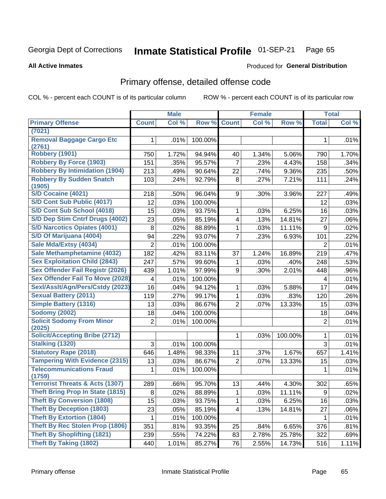### Inmate Statistical Profile 01-SEP-21 Page 65

### **All Active Inmates**

## **Produced for General Distribution**

## Primary offense, detailed offense code

COL % - percent each COUNT is of its particular column

|                                            |                | <b>Male</b> |         |                         | <b>Female</b> |         |                  | <b>Total</b> |
|--------------------------------------------|----------------|-------------|---------|-------------------------|---------------|---------|------------------|--------------|
| <b>Primary Offense</b>                     | <b>Count</b>   | Col %       | Row %   | <b>Count</b>            | Col %         | Row %   | <b>Total</b>     | Col %        |
| (7021)                                     |                |             |         |                         |               |         |                  |              |
| <b>Removal Baggage Cargo Etc</b><br>(2761) | 1              | .01%        | 100.00% |                         |               |         | 1                | .01%         |
| <b>Robbery (1901)</b>                      | 750            | 1.72%       | 94.94%  | 40                      | 1.34%         | 5.06%   | 790              | 1.70%        |
| <b>Robbery By Force (1903)</b>             | 151            | .35%        | 95.57%  | $\overline{7}$          | .23%          | 4.43%   | 158              | .34%         |
| <b>Robbery By Intimidation (1904)</b>      | 213            | .49%        | 90.64%  | 22                      | .74%          | 9.36%   | 235              | .50%         |
| <b>Robbery By Sudden Snatch</b>            | 103            | .24%        | 92.79%  | 8                       | .27%          | 7.21%   | 111              | .24%         |
| (1905)                                     |                |             |         |                         |               |         |                  |              |
| S/D Cocaine (4021)                         | 218            | .50%        | 96.04%  | 9                       | .30%          | 3.96%   | 227              | .49%         |
| S/D Cont Sub Public (4017)                 | 12             | .03%        | 100.00% |                         |               |         | 12               | .03%         |
| S/D Cont Sub School (4018)                 | 15             | .03%        | 93.75%  | 1                       | .03%          | 6.25%   | 16               | .03%         |
| S/D Dep Stim Cntrf Drugs (4002)            | 23             | .05%        | 85.19%  | $\overline{\mathbf{4}}$ | .13%          | 14.81%  | 27               | .06%         |
| <b>S/D Narcotics Opiates (4001)</b>        | 8              | .02%        | 88.89%  | 1                       | .03%          | 11.11%  | 9                | .02%         |
| S/D Of Marijuana (4004)                    | 94             | .22%        | 93.07%  | $\overline{7}$          | .23%          | 6.93%   | 101              | .22%         |
| Sale Mda/Extsy (4034)                      | $\overline{2}$ | .01%        | 100.00% |                         |               |         | $\overline{2}$   | .01%         |
| Sale Methamphetamine (4032)                | 182            | .42%        | 83.11%  | 37                      | 1.24%         | 16.89%  | 219              | .47%         |
| <b>Sex Exploitation Child (2843)</b>       | 247            | .57%        | 99.60%  | 1                       | .03%          | .40%    | 248              | .53%         |
| <b>Sex Offender Fail Registr (2026)</b>    | 439            | 1.01%       | 97.99%  | 9                       | .30%          | 2.01%   | 448              | .96%         |
| <b>Sex Offender Fail To Move (2028)</b>    | 4              | .01%        | 100.00% |                         |               |         | 4                | .01%         |
| Sexl/Asslt/Agn/Pers/Cstdy (2023)           | 16             | .04%        | 94.12%  | 1                       | .03%          | 5.88%   | 17               | .04%         |
| <b>Sexual Battery (2011)</b>               | 119            | .27%        | 99.17%  | 1                       | .03%          | .83%    | 120              | .26%         |
| <b>Simple Battery (1316)</b>               | 13             | .03%        | 86.67%  | $\overline{2}$          | .07%          | 13.33%  | 15               | .03%         |
| <b>Sodomy (2002)</b>                       | 18             | .04%        | 100.00% |                         |               |         | 18               | .04%         |
| <b>Solicit Sodomy From Minor</b>           | $\overline{2}$ | .01%        | 100.00% |                         |               |         | $\overline{2}$   | .01%         |
| (2025)                                     |                |             |         |                         |               |         |                  |              |
| <b>Solicit/Accepting Bribe (2712)</b>      |                |             |         | 1                       | .03%          | 100.00% | 1                | .01%         |
| <b>Stalking (1320)</b>                     | 3              | .01%        | 100.00% |                         |               |         | 3                | .01%         |
| <b>Statutory Rape (2018)</b>               | 646            | 1.48%       | 98.33%  | 11                      | .37%          | 1.67%   | 657              | 1.41%        |
| <b>Tampering With Evidence (2315)</b>      | 13             | .03%        | 86.67%  | $\overline{2}$          | .07%          | 13.33%  | 15               | .03%         |
| <b>Telecommunications Fraud</b>            | 1              | .01%        | 100.00% |                         |               |         | $\mathbf 1$      | .01%         |
| (1759)                                     |                |             |         |                         |               |         |                  |              |
| <b>Terrorist Threats &amp; Acts (1307)</b> | 289            | .66%        | 95.70%  | 13                      | .44%          | 4.30%   | 302              | .65%         |
| <b>Theft Bring Prop In State (1815)</b>    | $\bf 8$        | .02%        | 88.89%  | $\mathbf 1$             | .03%          | 11.11%  | $\boldsymbol{9}$ | .02%         |
| <b>Theft By Conversion (1808)</b>          | 15             | .03%        | 93.75%  | $\mathbf{1}$            | .03%          | 6.25%   | 16               | .03%         |
| <b>Theft By Deception (1803)</b>           | 23             | .05%        | 85.19%  | $\overline{4}$          | .13%          | 14.81%  | 27               | .06%         |
| <b>Theft By Extortion (1804)</b>           | 1              | .01%        | 100.00% |                         |               |         | $\mathbf{1}$     | .01%         |
| Theft By Rec Stolen Prop (1806)            | 351            | .81%        | 93.35%  | 25                      | .84%          | 6.65%   | 376              | .81%         |
| <b>Theft By Shoplifting (1821)</b>         | 239            | .55%        | 74.22%  | 83                      | 2.78%         | 25.78%  | 322              | .69%         |
| <b>Theft By Taking (1802)</b>              | 440            | 1.01%       | 85.27%  | 76                      | 2.55%         | 14.73%  | 516              | 1.11%        |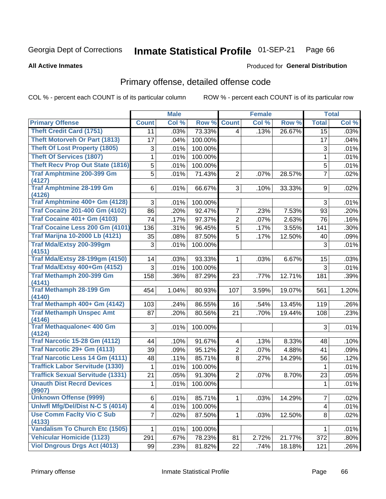### Inmate Statistical Profile 01-SEP-21 Page 66

**All Active Inmates** 

## **Produced for General Distribution**

## Primary offense, detailed offense code

COL % - percent each COUNT is of its particular column

|                                           |                 | <b>Male</b> |         |                | <b>Female</b> |        |                 | <b>Total</b> |
|-------------------------------------------|-----------------|-------------|---------|----------------|---------------|--------|-----------------|--------------|
| <b>Primary Offense</b>                    | <b>Count</b>    | Col %       | Row %   | <b>Count</b>   | Col %         | Row %  | <b>Total</b>    | Col %        |
| <b>Theft Credit Card (1751)</b>           | 11              | .03%        | 73.33%  | 4              | .13%          | 26.67% | $\overline{15}$ | .03%         |
| <b>Theft Motorveh Or Part (1813)</b>      | 17              | .04%        | 100.00% |                |               |        | 17              | .04%         |
| <b>Theft Of Lost Property (1805)</b>      | $\sqrt{3}$      | .01%        | 100.00% |                |               |        | $\sqrt{3}$      | .01%         |
| <b>Theft Of Services (1807)</b>           | 1               | .01%        | 100.00% |                |               |        | 1               | .01%         |
| <b>Theft Recv Prop Out State (1816)</b>   | 5               | .01%        | 100.00% |                |               |        | 5               | .01%         |
| <b>Traf Amphtmine 200-399 Gm</b>          | 5               | .01%        | 71.43%  | $\overline{2}$ | .07%          | 28.57% | $\overline{7}$  | .02%         |
| (4127)                                    |                 |             |         |                |               |        |                 |              |
| <b>Traf Amphtmine 28-199 Gm</b>           | 6               | .01%        | 66.67%  | 3              | .10%          | 33.33% | 9               | .02%         |
| (4126)<br>Traf Amphtmine 400+ Gm (4128)   | 3               | .01%        | 100.00% |                |               |        | 3               | .01%         |
| <b>Traf Cocaine 201-400 Gm (4102)</b>     | 86              | .20%        | 92.47%  | 7              | .23%          | 7.53%  | 93              | .20%         |
| <b>Traf Cocaine 401+ Gm (4103)</b>        | $\overline{74}$ | .17%        | 97.37%  | $\overline{2}$ | .07%          | 2.63%  | 76              | .16%         |
| Traf Cocaine Less 200 Gm (4101)           | 136             | .31%        | 96.45%  | 5              | .17%          | 3.55%  | 141             | .30%         |
| <b>Traf Marijna 10-2000 Lb (4121)</b>     | 35              | .08%        | 87.50%  | 5              | .17%          | 12.50% | 40              | .09%         |
| Traf Mda/Extsy 200-399gm                  | 3               | .01%        | 100.00% |                |               |        | 3               | .01%         |
| (4151)                                    |                 |             |         |                |               |        |                 |              |
| <b>Traf Mda/Extsy 28-199gm (4150)</b>     | 14              | .03%        | 93.33%  | 1              | .03%          | 6.67%  | 15              | .03%         |
| Traf Mda/Extsy 400+Gm (4152)              | 3               | .01%        | 100.00% |                |               |        | 3               | .01%         |
| <b>Traf Methamph 200-399 Gm</b>           | 158             | .36%        | 87.29%  | 23             | .77%          | 12.71% | 181             | .39%         |
| (4141)                                    |                 |             |         |                |               |        |                 |              |
| <b>Traf Methamph 28-199 Gm</b>            | 454             | 1.04%       | 80.93%  | 107            | 3.59%         | 19.07% | 561             | 1.20%        |
| (4140)                                    |                 |             |         |                |               |        |                 |              |
| Traf Methamph 400+ Gm (4142)              | 103             | .24%        | 86.55%  | 16             | .54%          | 13.45% | 119             | .26%         |
| <b>Traf Methamph Unspec Amt</b><br>(4146) | 87              | .20%        | 80.56%  | 21             | .70%          | 19.44% | 108             | .23%         |
| <b>Traf Methaqualone&lt; 400 Gm</b>       | 3               | .01%        | 100.00% |                |               |        | 3               | .01%         |
| (4124)                                    |                 |             |         |                |               |        |                 |              |
| <b>Traf Narcotic 15-28 Gm (4112)</b>      | 44              | .10%        | 91.67%  | 4              | .13%          | 8.33%  | 48              | .10%         |
| Traf Narcotic 29+ Gm (4113)               | 39              | .09%        | 95.12%  | $\overline{2}$ | .07%          | 4.88%  | 41              | .09%         |
| <b>Traf Narcotic Less 14 Gm (4111)</b>    | 48              | .11%        | 85.71%  | 8              | .27%          | 14.29% | 56              | .12%         |
| <b>Traffick Labor Servitude (1330)</b>    | 1               | .01%        | 100.00% |                |               |        | 1               | .01%         |
| <b>Traffick Sexual Servitude (1331)</b>   | 21              | .05%        | 91.30%  | $\overline{2}$ | .07%          | 8.70%  | 23              | .05%         |
| <b>Unauth Dist Recrd Devices</b>          | 1               | .01%        | 100.00% |                |               |        | $\mathbf 1$     | .01%         |
| (9907)                                    |                 |             |         |                |               |        |                 |              |
| <b>Unknown Offense (9999)</b>             | 6               | .01%        | 85.71%  | 1              | .03%          | 14.29% | $\overline{7}$  | .02%         |
| Uniwfl Mfg/Del/Dist N-C S (4014)          | 4               | .01%        | 100.00% |                |               |        | 4               | .01%         |
| <b>Use Comm Facity Vio C Sub</b>          | $\overline{7}$  | .02%        | 87.50%  | $\mathbf 1$    | .03%          | 12.50% | 8               | .02%         |
| (4133)                                    |                 |             |         |                |               |        |                 |              |
| <b>Vandalism To Church Etc (1505)</b>     | 1               | .01%        | 100.00% |                |               |        | 1               | .01%         |
| <b>Vehicular Homicide (1123)</b>          | 291             | .67%        | 78.23%  | 81             | 2.72%         | 21.77% | 372             | .80%         |
| <b>Viol Dngrous Drgs Act (4013)</b>       | 99              | .23%        | 81.82%  | 22             | .74%          | 18.18% | 121             | .26%         |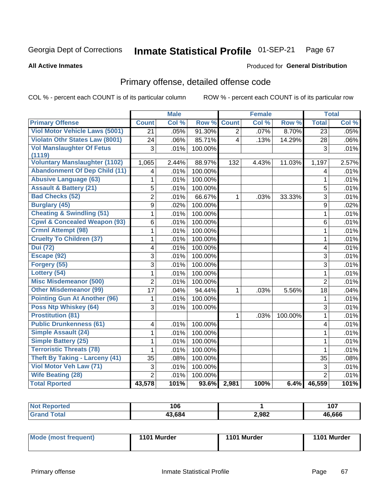### Inmate Statistical Profile 01-SEP-21 Page 67

**All Active Inmates** 

## Produced for General Distribution

# Primary offense, detailed offense code

COL % - percent each COUNT is of its particular column

|                                         |                         | <b>Male</b> |         |                         | <b>Female</b> |         |                 | <b>Total</b> |
|-----------------------------------------|-------------------------|-------------|---------|-------------------------|---------------|---------|-----------------|--------------|
| <b>Primary Offense</b>                  | <b>Count</b>            | Col %       | Row %   | <b>Count</b>            | Col %         | Row %   | <b>Total</b>    | Col %        |
| <b>Viol Motor Vehicle Laws (5001)</b>   | $\overline{21}$         | .05%        | 91.30%  | $\overline{2}$          | .07%          | 8.70%   | $\overline{23}$ | .05%         |
| <b>Violatn Othr States Law (8001)</b>   | 24                      | .06%        | 85.71%  | $\overline{\mathbf{4}}$ | .13%          | 14.29%  | 28              | .06%         |
| <b>Vol Manslaughter Of Fetus</b>        | 3                       | .01%        | 100.00% |                         |               |         | 3               | .01%         |
| (1119)                                  |                         |             |         |                         |               |         |                 |              |
| <b>Voluntary Manslaughter (1102)</b>    | 1,065                   | 2.44%       | 88.97%  | 132                     | 4.43%         | 11.03%  | 1,197           | 2.57%        |
| <b>Abandonment Of Dep Child (11)</b>    | $\overline{\mathbf{4}}$ | .01%        | 100.00% |                         |               |         | 4               | .01%         |
| <b>Abusive Language (63)</b>            | 1                       | .01%        | 100.00% |                         |               |         | $\mathbf{1}$    | .01%         |
| <b>Assault &amp; Battery (21)</b>       | 5                       | .01%        | 100.00% |                         |               |         | 5               | .01%         |
| <b>Bad Checks (52)</b>                  | $\overline{2}$          | .01%        | 66.67%  | 1                       | .03%          | 33.33%  | 3               | .01%         |
| <b>Burglary (45)</b>                    | 9                       | .02%        | 100.00% |                         |               |         | 9               | .02%         |
| <b>Cheating &amp; Swindling (51)</b>    | 1                       | .01%        | 100.00% |                         |               |         | 1               | .01%         |
| <b>Cpwl &amp; Concealed Weapon (93)</b> | 6                       | .01%        | 100.00% |                         |               |         | 6               | .01%         |
| <b>Crmnl Attempt (98)</b>               | 1                       | .01%        | 100.00% |                         |               |         | $\mathbf{1}$    | .01%         |
| <b>Cruelty To Children (37)</b>         | 1                       | .01%        | 100.00% |                         |               |         | $\mathbf{1}$    | .01%         |
| <b>Dui (72)</b>                         | 4                       | .01%        | 100.00% |                         |               |         | 4               | .01%         |
| Escape (92)                             | $\overline{3}$          | .01%        | 100.00% |                         |               |         | $\overline{3}$  | .01%         |
| Forgery (55)                            | 3                       | .01%        | 100.00% |                         |               |         | 3               | .01%         |
| Lottery (54)                            | $\mathbf{1}$            | $.01\%$     | 100.00% |                         |               |         | $\mathbf{1}$    | .01%         |
| <b>Misc Misdemeanor (500)</b>           | $\overline{2}$          | .01%        | 100.00% |                         |               |         | $\overline{2}$  | .01%         |
| <b>Other Misdemeanor (99)</b>           | 17                      | .04%        | 94.44%  | 1                       | .03%          | 5.56%   | 18              | .04%         |
| <b>Pointing Gun At Another (96)</b>     | 1                       | .01%        | 100.00% |                         |               |         | 1               | .01%         |
| Poss Ntp Whiskey (64)                   | 3                       | .01%        | 100.00% |                         |               |         | $\overline{3}$  | .01%         |
| <b>Prostitution (81)</b>                |                         |             |         | 1                       | .03%          | 100.00% | $\mathbf{1}$    | .01%         |
| <b>Public Drunkenness (61)</b>          | 4                       | .01%        | 100.00% |                         |               |         | 4               | .01%         |
| <b>Simple Assault (24)</b>              | $\mathbf{1}$            | .01%        | 100.00% |                         |               |         | $\mathbf{1}$    | .01%         |
| <b>Simple Battery (25)</b>              | 1                       | .01%        | 100.00% |                         |               |         | $\mathbf{1}$    | .01%         |
| <b>Terroristic Threats (78)</b>         | 1                       | .01%        | 100.00% |                         |               |         | 1               | .01%         |
| <b>Theft By Taking - Larceny (41)</b>   | 35                      | .08%        | 100.00% |                         |               |         | 35              | .08%         |
| Viol Motor Veh Law (71)                 | 3                       | .01%        | 100.00% |                         |               |         | 3               | .01%         |
| <b>Wife Beating (28)</b>                | $\overline{2}$          | .01%        | 100.00% |                         |               |         | $\overline{2}$  | .01%         |
| <b>Total Rported</b>                    | 43,578                  | 101%        |         | $93.6\%$ 2,981          | 100%          | 6.4%    | 46,559          | 101%         |

| 106   |       | 107    |
|-------|-------|--------|
| 3.684 | 2,982 | 46.666 |

| Mode (most frequent) | 1101 Murder | 1101 Murder | 1101 Murder |
|----------------------|-------------|-------------|-------------|
|----------------------|-------------|-------------|-------------|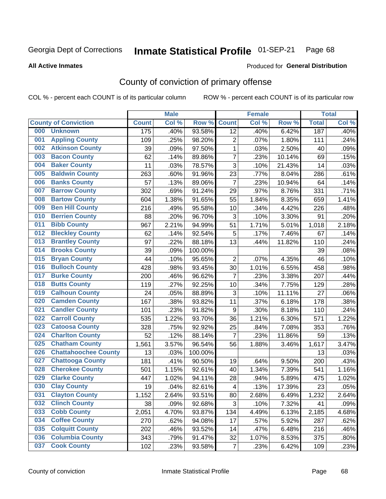### Inmate Statistical Profile 01-SEP-21 Page 68

**All Active Inmates** 

## Produced for General Distribution

# County of conviction of primary offense

COL % - percent each COUNT is of its particular column

|     |                             |              | <b>Male</b> |         |                  | <b>Female</b> |        |              | <b>Total</b> |
|-----|-----------------------------|--------------|-------------|---------|------------------|---------------|--------|--------------|--------------|
|     | <b>County of Conviction</b> | <b>Count</b> | Col %       | Row %   | <b>Count</b>     | Col %         | Row %  | <b>Total</b> | Col %        |
| 000 | <b>Unknown</b>              | 175          | .40%        | 93.58%  | 12               | .40%          | 6.42%  | 187          | .40%         |
| 001 | <b>Appling County</b>       | 109          | .25%        | 98.20%  | $\overline{c}$   | .07%          | 1.80%  | 111          | .24%         |
| 002 | <b>Atkinson County</b>      | 39           | .09%        | 97.50%  | $\mathbf 1$      | .03%          | 2.50%  | 40           | .09%         |
| 003 | <b>Bacon County</b>         | 62           | .14%        | 89.86%  | $\overline{7}$   | .23%          | 10.14% | 69           | .15%         |
| 004 | <b>Baker County</b>         | 11           | .03%        | 78.57%  | 3                | .10%          | 21.43% | 14           | .03%         |
| 005 | <b>Baldwin County</b>       | 263          | .60%        | 91.96%  | 23               | .77%          | 8.04%  | 286          | .61%         |
| 006 | <b>Banks County</b>         | 57           | .13%        | 89.06%  | $\overline{7}$   | .23%          | 10.94% | 64           | .14%         |
| 007 | <b>Barrow County</b>        | 302          | .69%        | 91.24%  | 29               | .97%          | 8.76%  | 331          | .71%         |
| 008 | <b>Bartow County</b>        | 604          | 1.38%       | 91.65%  | 55               | 1.84%         | 8.35%  | 659          | 1.41%        |
| 009 | <b>Ben Hill County</b>      | 216          | .49%        | 95.58%  | 10               | .34%          | 4.42%  | 226          | .48%         |
| 010 | <b>Berrien County</b>       | 88           | .20%        | 96.70%  | 3                | .10%          | 3.30%  | 91           | .20%         |
| 011 | <b>Bibb County</b>          | 967          | 2.21%       | 94.99%  | 51               | 1.71%         | 5.01%  | 1,018        | 2.18%        |
| 012 | <b>Bleckley County</b>      | 62           | .14%        | 92.54%  | 5                | .17%          | 7.46%  | 67           | .14%         |
| 013 | <b>Brantley County</b>      | 97           | .22%        | 88.18%  | 13               | .44%          | 11.82% | 110          | .24%         |
| 014 | <b>Brooks County</b>        | 39           | .09%        | 100.00% |                  |               |        | 39           | .08%         |
| 015 | <b>Bryan County</b>         | 44           | .10%        | 95.65%  | $\overline{2}$   | .07%          | 4.35%  | 46           | .10%         |
| 016 | <b>Bulloch County</b>       | 428          | .98%        | 93.45%  | 30               | 1.01%         | 6.55%  | 458          | .98%         |
| 017 | <b>Burke County</b>         | 200          | .46%        | 96.62%  | $\overline{7}$   | .23%          | 3.38%  | 207          | .44%         |
| 018 | <b>Butts County</b>         | 119          | .27%        | 92.25%  | 10               | .34%          | 7.75%  | 129          | .28%         |
| 019 | <b>Calhoun County</b>       | 24           | .05%        | 88.89%  | 3                | .10%          | 11.11% | 27           | .06%         |
| 020 | <b>Camden County</b>        | 167          | .38%        | 93.82%  | 11               | .37%          | 6.18%  | 178          | .38%         |
| 021 | <b>Candler County</b>       | 101          | .23%        | 91.82%  | $\boldsymbol{9}$ | .30%          | 8.18%  | 110          | .24%         |
| 022 | <b>Carroll County</b>       | 535          | 1.22%       | 93.70%  | 36               | 1.21%         | 6.30%  | 571          | 1.22%        |
| 023 | <b>Catoosa County</b>       | 328          | .75%        | 92.92%  | 25               | .84%          | 7.08%  | 353          | .76%         |
| 024 | <b>Charlton County</b>      | 52           | .12%        | 88.14%  | $\overline{7}$   | .23%          | 11.86% | 59           | .13%         |
| 025 | <b>Chatham County</b>       | 1,561        | 3.57%       | 96.54%  | 56               | 1.88%         | 3.46%  | 1,617        | 3.47%        |
| 026 | <b>Chattahoochee County</b> | 13           | .03%        | 100.00% |                  |               |        | 13           | .03%         |
| 027 | <b>Chattooga County</b>     | 181          | .41%        | 90.50%  | 19               | .64%          | 9.50%  | 200          | .43%         |
| 028 | <b>Cherokee County</b>      | 501          | 1.15%       | 92.61%  | 40               | 1.34%         | 7.39%  | 541          | 1.16%        |
| 029 | <b>Clarke County</b>        | 447          | 1.02%       | 94.11%  | 28               | .94%          | 5.89%  | 475          | 1.02%        |
| 030 | <b>Clay County</b>          | 19           | .04%        | 82.61%  | 4                | .13%          | 17.39% | 23           | .05%         |
| 031 | <b>Clayton County</b>       | 1,152        | 2.64%       | 93.51%  | 80               | 2.68%         | 6.49%  | 1,232        | 2.64%        |
| 032 | <b>Clinch County</b>        | 38           | .09%        | 92.68%  | 3                | .10%          | 7.32%  | 41           | .09%         |
| 033 | <b>Cobb County</b>          | 2,051        | 4.70%       | 93.87%  | 134              | 4.49%         | 6.13%  | 2,185        | 4.68%        |
| 034 | <b>Coffee County</b>        | 270          | .62%        | 94.08%  | 17               | .57%          | 5.92%  | 287          | .62%         |
| 035 | <b>Colquitt County</b>      | 202          | .46%        | 93.52%  | 14               | .47%          | 6.48%  | 216          | .46%         |
| 036 | <b>Columbia County</b>      | 343          | .79%        | 91.47%  | 32               | 1.07%         | 8.53%  | 375          | .80%         |
| 037 | <b>Cook County</b>          | 102          | .23%        | 93.58%  | $\overline{7}$   | .23%          | 6.42%  | 109          | .23%         |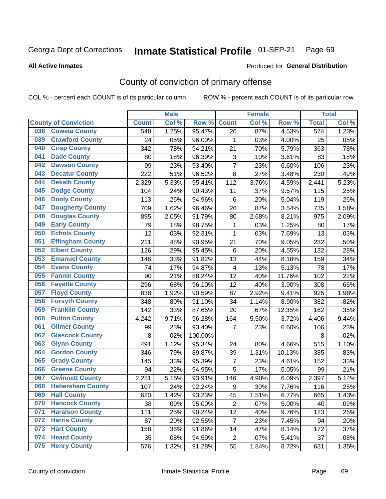### Inmate Statistical Profile 01-SEP-21 Page 69

**All Active Inmates** 

### Produced for General Distribution

# County of conviction of primary offense

COL % - percent each COUNT is of its particular column

|     |                             |              | <b>Male</b> |         |                           | <b>Female</b> |        |                  | <b>Total</b> |
|-----|-----------------------------|--------------|-------------|---------|---------------------------|---------------|--------|------------------|--------------|
|     | <b>County of Conviction</b> | <b>Count</b> | Col %       | Row %   | <b>Count</b>              | Col %         | Row %  | <b>Total</b>     | Col %        |
| 038 | <b>Coweta County</b>        | 548          | 1.25%       | 95.47%  | 26                        | .87%          | 4.53%  | $\overline{574}$ | 1.23%        |
| 039 | <b>Crawford County</b>      | 24           | .05%        | 96.00%  | 1                         | .03%          | 4.00%  | 25               | .05%         |
| 040 | <b>Crisp County</b>         | 342          | .78%        | 94.21%  | 21                        | .70%          | 5.79%  | 363              | .78%         |
| 041 | <b>Dade County</b>          | 80           | .18%        | 96.39%  | $\ensuremath{\mathsf{3}}$ | .10%          | 3.61%  | 83               | .18%         |
| 042 | <b>Dawson County</b>        | 99           | .23%        | 93.40%  | $\overline{7}$            | .23%          | 6.60%  | 106              | .23%         |
| 043 | <b>Decatur County</b>       | 222          | .51%        | 96.52%  | 8                         | .27%          | 3.48%  | 230              | .49%         |
| 044 | <b>Dekalb County</b>        | 2,329        | 5.33%       | 95.41%  | 112                       | 3.76%         | 4.59%  | 2,441            | 5.23%        |
| 045 | <b>Dodge County</b>         | 104          | .24%        | 90.43%  | 11                        | .37%          | 9.57%  | 115              | .25%         |
| 046 | <b>Dooly County</b>         | 113          | .26%        | 94.96%  | 6                         | .20%          | 5.04%  | 119              | .26%         |
| 047 | <b>Dougherty County</b>     | 709          | 1.62%       | 96.46%  | 26                        | .87%          | 3.54%  | 735              | 1.58%        |
| 048 | <b>Douglas County</b>       | 895          | 2.05%       | 91.79%  | 80                        | 2.68%         | 8.21%  | 975              | 2.09%        |
| 049 | <b>Early County</b>         | 79           | .18%        | 98.75%  | 1                         | .03%          | 1.25%  | 80               | .17%         |
| 050 | <b>Echols County</b>        | 12           | .03%        | 92.31%  | $\mathbf{1}$              | .03%          | 7.69%  | 13               | .03%         |
| 051 | <b>Effingham County</b>     | 211          | .48%        | 90.95%  | 21                        | .70%          | 9.05%  | 232              | .50%         |
| 052 | <b>Elbert County</b>        | 126          | .29%        | 95.45%  | 6                         | .20%          | 4.55%  | 132              | .28%         |
| 053 | <b>Emanuel County</b>       | 146          | .33%        | 91.82%  | 13                        | .44%          | 8.18%  | 159              | .34%         |
| 054 | <b>Evans County</b>         | 74           | .17%        | 94.87%  | 4                         | .13%          | 5.13%  | 78               | .17%         |
| 055 | <b>Fannin County</b>        | 90           | .21%        | 88.24%  | 12                        | .40%          | 11.76% | 102              | .22%         |
| 056 | <b>Fayette County</b>       | 296          | .68%        | 96.10%  | 12                        | .40%          | 3.90%  | 308              | .66%         |
| 057 | <b>Floyd County</b>         | 838          | 1.92%       | 90.59%  | 87                        | 2.92%         | 9.41%  | 925              | 1.98%        |
| 058 | <b>Forsyth County</b>       | 348          | .80%        | 91.10%  | 34                        | 1.14%         | 8.90%  | 382              | .82%         |
| 059 | <b>Franklin County</b>      | 142          | .33%        | 87.65%  | 20                        | .67%          | 12.35% | 162              | .35%         |
| 060 | <b>Fulton County</b>        | 4,242        | 9.71%       | 96.28%  | 164                       | 5.50%         | 3.72%  | 4,406            | 9.44%        |
| 061 | <b>Gilmer County</b>        | 99           | .23%        | 93.40%  | 7                         | .23%          | 6.60%  | 106              | .23%         |
| 062 | <b>Glascock County</b>      | 8            | .02%        | 100.00% |                           |               |        | 8                | .02%         |
| 063 | <b>Glynn County</b>         | 491          | 1.12%       | 95.34%  | 24                        | .80%          | 4.66%  | 515              | 1.10%        |
| 064 | <b>Gordon County</b>        | 346          | .79%        | 89.87%  | 39                        | 1.31%         | 10.13% | 385              | .83%         |
| 065 | <b>Grady County</b>         | 145          | .33%        | 95.39%  | $\overline{7}$            | .23%          | 4.61%  | 152              | .33%         |
| 066 | <b>Greene County</b>        | 94           | .22%        | 94.95%  | 5                         | .17%          | 5.05%  | 99               | .21%         |
| 067 | <b>Gwinnett County</b>      | 2,251        | 5.15%       | 93.91%  | 146                       | 4.90%         | 6.09%  | 2,397            | 5.14%        |
| 068 | <b>Habersham County</b>     | 107          | .24%        | 92.24%  | 9                         | .30%          | 7.76%  | 116              | .25%         |
| 069 | <b>Hall County</b>          | 620          | 1.42%       | 93.23%  | 45                        | 1.51%         | 6.77%  | 665              | 1.43%        |
| 070 | <b>Hancock County</b>       | 38           | .09%        | 95.00%  | $\overline{2}$            | .07%          | 5.00%  | 40               | .09%         |
| 071 | <b>Haralson County</b>      | 111          | .25%        | 90.24%  | 12                        | .40%          | 9.76%  | 123              | .26%         |
| 072 | <b>Harris County</b>        | 87           | .20%        | 92.55%  | $\overline{7}$            | .23%          | 7.45%  | 94               | .20%         |
| 073 | <b>Hart County</b>          | 158          | .36%        | 91.86%  | 14                        | .47%          | 8.14%  | 172              | .37%         |
| 074 | <b>Heard County</b>         | 35           | .08%        | 94.59%  | $\overline{2}$            | .07%          | 5.41%  | 37               | .08%         |
| 075 | <b>Henry County</b>         | 576          | 1.32%       | 91.28%  | 55                        | 1.84%         | 8.72%  | 631              | 1.35%        |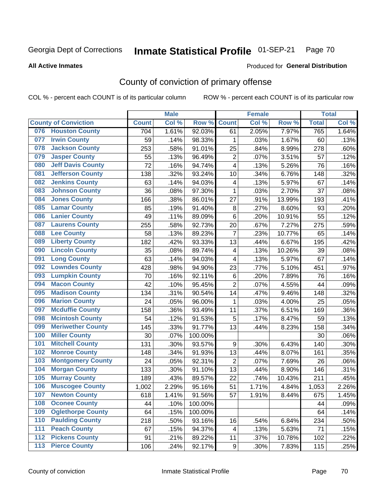### Inmate Statistical Profile 01-SEP-21 Page 70

### **All Active Inmates**

## Produced for General Distribution

# County of conviction of primary offense

COL % - percent each COUNT is of its particular column

|       |                             |              | <b>Male</b> |         |                         | <b>Female</b> |        |              | <b>Total</b> |
|-------|-----------------------------|--------------|-------------|---------|-------------------------|---------------|--------|--------------|--------------|
|       | <b>County of Conviction</b> | <b>Count</b> | Col %       | Row %   | <b>Count</b>            | Col %         | Row %  | <b>Total</b> | Col %        |
| 076   | <b>Houston County</b>       | 704          | 1.61%       | 92.03%  | 61                      | 2.05%         | 7.97%  | 765          | 1.64%        |
| 077   | <b>Irwin County</b>         | 59           | .14%        | 98.33%  | 1                       | .03%          | 1.67%  | 60           | .13%         |
| 078   | <b>Jackson County</b>       | 253          | .58%        | 91.01%  | 25                      | .84%          | 8.99%  | 278          | .60%         |
| 079   | <b>Jasper County</b>        | 55           | .13%        | 96.49%  | $\overline{2}$          | .07%          | 3.51%  | 57           | .12%         |
| 080   | <b>Jeff Davis County</b>    | 72           | .16%        | 94.74%  | $\overline{\mathbf{4}}$ | .13%          | 5.26%  | 76           | .16%         |
| 081   | <b>Jefferson County</b>     | 138          | .32%        | 93.24%  | 10                      | .34%          | 6.76%  | 148          | .32%         |
| 082   | <b>Jenkins County</b>       | 63           | .14%        | 94.03%  | 4                       | .13%          | 5.97%  | 67           | .14%         |
| 083   | <b>Johnson County</b>       | 36           | .08%        | 97.30%  | $\mathbf{1}$            | .03%          | 2.70%  | 37           | .08%         |
| 084   | <b>Jones County</b>         | 166          | .38%        | 86.01%  | 27                      | .91%          | 13.99% | 193          | .41%         |
| 085   | <b>Lamar County</b>         | 85           | .19%        | 91.40%  | 8                       | .27%          | 8.60%  | 93           | .20%         |
| 086   | <b>Lanier County</b>        | 49           | .11%        | 89.09%  | $\,6$                   | .20%          | 10.91% | 55           | .12%         |
| 087   | <b>Laurens County</b>       | 255          | .58%        | 92.73%  | 20                      | .67%          | 7.27%  | 275          | .59%         |
| 088   | <b>Lee County</b>           | 58           | .13%        | 89.23%  | $\overline{7}$          | .23%          | 10.77% | 65           | .14%         |
| 089   | <b>Liberty County</b>       | 182          | .42%        | 93.33%  | 13                      | .44%          | 6.67%  | 195          | .42%         |
| 090   | <b>Lincoln County</b>       | 35           | .08%        | 89.74%  | $\overline{\mathbf{4}}$ | .13%          | 10.26% | 39           | .08%         |
| 091   | <b>Long County</b>          | 63           | .14%        | 94.03%  | 4                       | .13%          | 5.97%  | 67           | .14%         |
| 092   | <b>Lowndes County</b>       | 428          | .98%        | 94.90%  | 23                      | .77%          | 5.10%  | 451          | .97%         |
| 093   | <b>Lumpkin County</b>       | 70           | .16%        | 92.11%  | $\,6$                   | .20%          | 7.89%  | 76           | .16%         |
| 094   | <b>Macon County</b>         | 42           | .10%        | 95.45%  | $\overline{2}$          | .07%          | 4.55%  | 44           | .09%         |
| 095   | <b>Madison County</b>       | 134          | .31%        | 90.54%  | 14                      | .47%          | 9.46%  | 148          | .32%         |
| 096   | <b>Marion County</b>        | 24           | .05%        | 96.00%  | $\mathbf{1}$            | .03%          | 4.00%  | 25           | .05%         |
| 097   | <b>Mcduffie County</b>      | 158          | .36%        | 93.49%  | 11                      | .37%          | 6.51%  | 169          | .36%         |
| 098   | <b>Mcintosh County</b>      | 54           | .12%        | 91.53%  | 5                       | .17%          | 8.47%  | 59           | .13%         |
| 099   | <b>Meriwether County</b>    | 145          | .33%        | 91.77%  | 13                      | .44%          | 8.23%  | 158          | .34%         |
| 100   | <b>Miller County</b>        | 30           | .07%        | 100.00% |                         |               |        | 30           | .06%         |
| 101   | <b>Mitchell County</b>      | 131          | .30%        | 93.57%  | $\boldsymbol{9}$        | .30%          | 6.43%  | 140          | .30%         |
| 102   | <b>Monroe County</b>        | 148          | .34%        | 91.93%  | 13                      | .44%          | 8.07%  | 161          | .35%         |
| 103   | <b>Montgomery County</b>    | 24           | .05%        | 92.31%  | $\overline{c}$          | .07%          | 7.69%  | 26           | .06%         |
| 104   | <b>Morgan County</b>        | 133          | .30%        | 91.10%  | 13                      | .44%          | 8.90%  | 146          | .31%         |
| 105   | <b>Murray County</b>        | 189          | .43%        | 89.57%  | 22                      | .74%          | 10.43% | 211          | .45%         |
| 106   | <b>Muscogee County</b>      | 1,002        | 2.29%       | 95.16%  | 51                      | 1.71%         | 4.84%  | 1,053        | 2.26%        |
| 107   | <b>Newton County</b>        | 618          | 1.41%       | 91.56%  | 57                      | 1.91%         | 8.44%  | 675          | 1.45%        |
| 108   | <b>Oconee County</b>        | 44           | .10%        | 100.00% |                         |               |        | 44           | .09%         |
| 109   | <b>Oglethorpe County</b>    | 64           | .15%        | 100.00% |                         |               |        | 64           | .14%         |
| 110   | <b>Paulding County</b>      | 218          | .50%        | 93.16%  | 16                      | .54%          | 6.84%  | 234          | .50%         |
| 111   | <b>Peach County</b>         | 67           | .15%        | 94.37%  | 4                       | .13%          | 5.63%  | 71           | .15%         |
| $112$ | <b>Pickens County</b>       | 91           | .21%        | 89.22%  | 11                      | .37%          | 10.78% | 102          | .22%         |
| 113   | <b>Pierce County</b>        | 106          | .24%        | 92.17%  | 9                       | .30%          | 7.83%  | 115          | .25%         |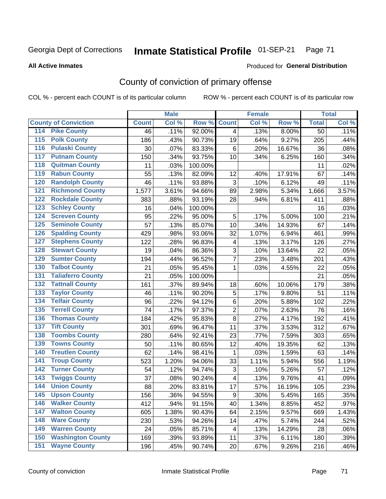### Inmate Statistical Profile 01-SEP-21 Page 71

**All Active Inmates** 

## **Produced for General Distribution**

# County of conviction of primary offense

COL % - percent each COUNT is of its particular column

|                                          |              | <b>Male</b> |         |                         | <b>Female</b> |        |              | <b>Total</b> |
|------------------------------------------|--------------|-------------|---------|-------------------------|---------------|--------|--------------|--------------|
| <b>County of Conviction</b>              | <b>Count</b> | Col %       | Row %   | <b>Count</b>            | Col %         | Row %  | <b>Total</b> | Col %        |
| 114 Pike County                          | 46           | .11%        | 92.00%  | $\overline{4}$          | .13%          | 8.00%  | 50           | .11%         |
| <b>Polk County</b><br>$\overline{115}$   | 186          | .43%        | 90.73%  | 19                      | .64%          | 9.27%  | 205          | .44%         |
| <b>Pulaski County</b><br>116             | 30           | .07%        | 83.33%  | $6\phantom{1}$          | .20%          | 16.67% | 36           | .08%         |
| 117<br><b>Putnam County</b>              | 150          | .34%        | 93.75%  | 10                      | .34%          | 6.25%  | 160          | .34%         |
| <b>Quitman County</b><br>118             | 11           | .03%        | 100.00% |                         |               |        | 11           | .02%         |
| <b>Rabun County</b><br>119               | 55           | .13%        | 82.09%  | 12                      | .40%          | 17.91% | 67           | .14%         |
| <b>Randolph County</b><br>120            | 46           | .11%        | 93.88%  | 3                       | .10%          | 6.12%  | 49           | .11%         |
| <b>Richmond County</b><br>121            | 1,577        | 3.61%       | 94.66%  | 89                      | 2.98%         | 5.34%  | 1,666        | 3.57%        |
| <b>Rockdale County</b><br>122            | 383          | .88%        | 93.19%  | 28                      | .94%          | 6.81%  | 411          | .88%         |
| <b>Schley County</b><br>123              | 16           | .04%        | 100.00% |                         |               |        | 16           | .03%         |
| <b>Screven County</b><br>124             | 95           | .22%        | 95.00%  | 5                       | .17%          | 5.00%  | 100          | .21%         |
| <b>Seminole County</b><br>125            | 57           | .13%        | 85.07%  | 10                      | .34%          | 14.93% | 67           | .14%         |
| <b>Spalding County</b><br>126            | 429          | .98%        | 93.06%  | 32                      | 1.07%         | 6.94%  | 461          | .99%         |
| <b>Stephens County</b><br>127            | 122          | .28%        | 96.83%  | $\overline{\mathbf{4}}$ | .13%          | 3.17%  | 126          | .27%         |
| <b>Stewart County</b><br>128             | 19           | .04%        | 86.36%  | 3                       | .10%          | 13.64% | 22           | .05%         |
| <b>Sumter County</b><br>129              | 194          | .44%        | 96.52%  | $\overline{7}$          | .23%          | 3.48%  | 201          | .43%         |
| <b>Talbot County</b><br>130              | 21           | .05%        | 95.45%  | 1                       | .03%          | 4.55%  | 22           | .05%         |
| <b>Taliaferro County</b><br>131          | 21           | .05%        | 100.00% |                         |               |        | 21           | .05%         |
| <b>Tattnall County</b><br>132            | 161          | .37%        | 89.94%  | 18                      | .60%          | 10.06% | 179          | .38%         |
| <b>Taylor County</b><br>133              | 46           | .11%        | 90.20%  | 5                       | .17%          | 9.80%  | 51           | .11%         |
| <b>Telfair County</b><br>134             | 96           | .22%        | 94.12%  | $\,6$                   | .20%          | 5.88%  | 102          | .22%         |
| <b>Terrell County</b><br>135             | 74           | .17%        | 97.37%  | $\overline{2}$          | .07%          | 2.63%  | 76           | .16%         |
| <b>Thomas County</b><br>136              | 184          | .42%        | 95.83%  | 8                       | .27%          | 4.17%  | 192          | .41%         |
| <b>Tift County</b><br>137                | 301          | .69%        | 96.47%  | 11                      | .37%          | 3.53%  | 312          | .67%         |
| <b>Toombs County</b><br>138              | 280          | .64%        | 92.41%  | 23                      | .77%          | 7.59%  | 303          | .65%         |
| <b>Towns County</b><br>139               | 50           | .11%        | 80.65%  | 12                      | .40%          | 19.35% | 62           | .13%         |
| <b>Treutlen County</b><br>140            | 62           | .14%        | 98.41%  | $\mathbf{1}$            | .03%          | 1.59%  | 63           | .14%         |
| <b>Troup County</b><br>141               | 523          | 1.20%       | 94.06%  | 33                      | 1.11%         | 5.94%  | 556          | 1.19%        |
| <b>Turner County</b><br>142              | 54           | .12%        | 94.74%  | 3                       | .10%          | 5.26%  | 57           | .12%         |
| <b>Twiggs County</b><br>$\overline{143}$ | 37           | .08%        | 90.24%  | $\overline{\mathbf{4}}$ | .13%          | 9.76%  | 41           | .09%         |
| <b>Union County</b><br>144               | 88           | .20%        | 83.81%  | 17                      | .57%          | 16.19% | 105          | .23%         |
| 145<br><b>Upson County</b>               | 156          | .36%        | 94.55%  | 9                       | .30%          | 5.45%  | 165          | .35%         |
| <b>Walker County</b><br>146              | 412          | .94%        | 91.15%  | 40                      | 1.34%         | 8.85%  | 452          | .97%         |
| <b>Walton County</b><br>147              | 605          | 1.38%       | 90.43%  | 64                      | 2.15%         | 9.57%  | 669          | 1.43%        |
| <b>Ware County</b><br>148                | 230          | .53%        | 94.26%  | 14                      | .47%          | 5.74%  | 244          | .52%         |
| <b>Warren County</b><br>149              | 24           | .05%        | 85.71%  | 4                       | .13%          | 14.29% | 28           | .06%         |
| <b>Washington County</b><br>150          | 169          | .39%        | 93.89%  | 11                      | .37%          | 6.11%  | 180          | .39%         |
| <b>Wayne County</b><br>151               | 196          | .45%        | 90.74%  | 20                      | .67%          | 9.26%  | 216          | .46%         |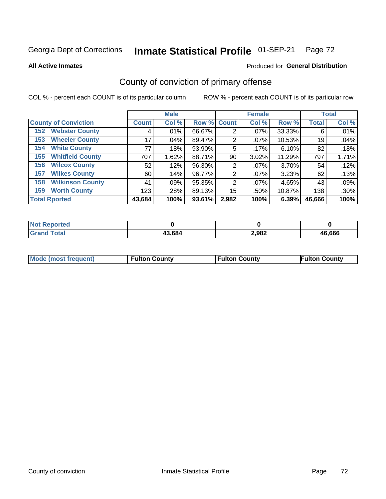### Inmate Statistical Profile 01-SEP-21 Page 72

**All Active Inmates** 

### Produced for General Distribution

# County of conviction of primary offense

COL % - percent each COUNT is of its particular column

|                                |              | <b>Male</b> |             |                | <b>Female</b> |        |              | <b>Total</b> |
|--------------------------------|--------------|-------------|-------------|----------------|---------------|--------|--------------|--------------|
| <b>County of Conviction</b>    | <b>Count</b> | Col %       | Row % Count |                | Col %         | Row %  | <b>Total</b> | Col %        |
| <b>Webster County</b><br>152   | 4            | .01%        | 66.67%      | 2              | $.07\%$       | 33.33% | 6            | .01%         |
| <b>Wheeler County</b><br>153   | 17           | $.04\%$     | 89.47%      | 2              | $.07\%$       | 10.53% | 19           | .04%         |
| <b>White County</b><br>154     | 77           | .18%        | 93.90%      | 5              | .17%          | 6.10%  | 82           | .18%         |
| <b>Whitfield County</b><br>155 | 707          | 1.62%       | 88.71%      | 90             | 3.02%         | 11.29% | 797          | 1.71%        |
| <b>Wilcox County</b><br>156    | 52           | .12%        | 96.30%      | 2              | $.07\%$       | 3.70%  | 54           | .12%         |
| <b>Wilkes County</b><br>157    | 60           | .14%        | 96.77%      | 2              | $.07\%$       | 3.23%  | 62           | .13%         |
| <b>Wilkinson County</b><br>158 | 41           | .09%        | 95.35%      | $\overline{2}$ | $.07\%$       | 4.65%  | 43           | .09%         |
| <b>Worth County</b><br>159     | 123          | .28%        | 89.13%      | 15             | .50%          | 10.87% | 138          | .30%         |
| <b>Total Rported</b>           | 43,684       | 100%        | 93.61%      | 2,982          | 100%          | 6.39%  | 46,666       | 100%         |

| <b>Not Reported</b> |        |       |        |
|---------------------|--------|-------|--------|
| <b>Grand Total</b>  | 43,684 | 2,982 | 46,666 |

| <b>Mode (most frequent)</b> | <b>Fulton County</b> | <b>Fulton County</b> | <b>Fulton County</b> |
|-----------------------------|----------------------|----------------------|----------------------|
|                             |                      |                      |                      |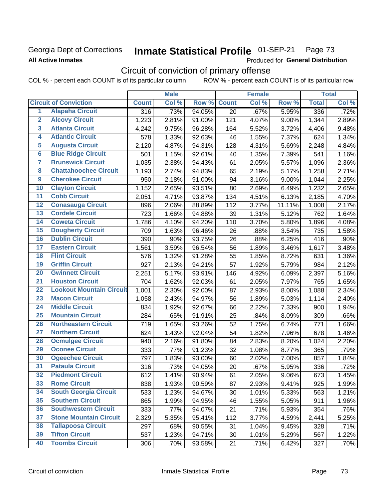## Georgia Dept of Corrections **All Active Inmates**

### Inmate Statistical Profile 01-SEP-21 Page 73

Produced for General Distribution

# Circuit of conviction of primary offense

COL % - percent each COUNT is of its particular column ROW % - percent each COUNT is of its particular row

|                         |                                 | <b>Male</b>  |       |        | <b>Female</b> |       |        | <b>Total</b> |       |
|-------------------------|---------------------------------|--------------|-------|--------|---------------|-------|--------|--------------|-------|
|                         | <b>Circuit of Conviction</b>    | <b>Count</b> | Col % | Row %  | <b>Count</b>  | Col % | Row %  | <b>Total</b> | Col % |
| 1                       | <b>Alapaha Circuit</b>          | 316          | .73%  | 94.05% | 20            | .67%  | 5.95%  | 336          | .72%  |
| $\overline{2}$          | <b>Alcovy Circuit</b>           | 1,223        | 2.81% | 91.00% | 121           | 4.07% | 9.00%  | 1,344        | 2.89% |
| $\overline{\mathbf{3}}$ | <b>Atlanta Circuit</b>          | 4,242        | 9.75% | 96.28% | 164           | 5.52% | 3.72%  | 4,406        | 9.48% |
| 4                       | <b>Atlantic Circuit</b>         | 578          | 1.33% | 92.63% | 46            | 1.55% | 7.37%  | 624          | 1.34% |
| 5                       | <b>Augusta Circuit</b>          | 2,120        | 4.87% | 94.31% | 128           | 4.31% | 5.69%  | 2,248        | 4.84% |
| $\overline{\mathbf{6}}$ | <b>Blue Ridge Circuit</b>       | 501          | 1.15% | 92.61% | 40            | 1.35% | 7.39%  | 541          | 1.16% |
| $\overline{\mathbf{7}}$ | <b>Brunswick Circuit</b>        | 1,035        | 2.38% | 94.43% | 61            | 2.05% | 5.57%  | 1,096        | 2.36% |
| 8                       | <b>Chattahoochee Circuit</b>    | 1,193        | 2.74% | 94.83% | 65            | 2.19% | 5.17%  | 1,258        | 2.71% |
| $\overline{9}$          | <b>Cherokee Circuit</b>         | 950          | 2.18% | 91.00% | 94            | 3.16% | 9.00%  | 1,044        | 2.25% |
| 10                      | <b>Clayton Circuit</b>          | 1,152        | 2.65% | 93.51% | 80            | 2.69% | 6.49%  | 1,232        | 2.65% |
| $\overline{11}$         | <b>Cobb Circuit</b>             | 2,051        | 4.71% | 93.87% | 134           | 4.51% | 6.13%  | 2,185        | 4.70% |
| 12                      | <b>Conasauga Circuit</b>        | 896          | 2.06% | 88.89% | 112           | 3.77% | 11.11% | 1,008        | 2.17% |
| $\overline{13}$         | <b>Cordele Circuit</b>          | 723          | 1.66% | 94.88% | 39            | 1.31% | 5.12%  | 762          | 1.64% |
| $\overline{14}$         | <b>Coweta Circuit</b>           | 1,786        | 4.10% | 94.20% | 110           | 3.70% | 5.80%  | 1,896        | 4.08% |
| 15                      | <b>Dougherty Circuit</b>        | 709          | 1.63% | 96.46% | 26            | .88%  | 3.54%  | 735          | 1.58% |
| 16                      | <b>Dublin Circuit</b>           | 390          | .90%  | 93.75% | 26            | .88%  | 6.25%  | 416          | .90%  |
| $\overline{17}$         | <b>Eastern Circuit</b>          | 1,561        | 3.59% | 96.54% | 56            | 1.89% | 3.46%  | 1,617        | 3.48% |
| 18                      | <b>Flint Circuit</b>            | 576          | 1.32% | 91.28% | 55            | 1.85% | 8.72%  | 631          | 1.36% |
| 19                      | <b>Griffin Circuit</b>          | 927          | 2.13% | 94.21% | 57            | 1.92% | 5.79%  | 984          | 2.12% |
| 20                      | <b>Gwinnett Circuit</b>         | 2,251        | 5.17% | 93.91% | 146           | 4.92% | 6.09%  | 2,397        | 5.16% |
| $\overline{21}$         | <b>Houston Circuit</b>          | 704          | 1.62% | 92.03% | 61            | 2.05% | 7.97%  | 765          | 1.65% |
| $\overline{22}$         | <b>Lookout Mountain Circuit</b> | 1,001        | 2.30% | 92.00% | 87            | 2.93% | 8.00%  | 1,088        | 2.34% |
| 23                      | <b>Macon Circuit</b>            | 1,058        | 2.43% | 94.97% | 56            | 1.89% | 5.03%  | 1,114        | 2.40% |
| 24                      | <b>Middle Circuit</b>           | 834          | 1.92% | 92.67% | 66            | 2.22% | 7.33%  | 900          | 1.94% |
| $\overline{25}$         | <b>Mountain Circuit</b>         | 284          | .65%  | 91.91% | 25            | .84%  | 8.09%  | 309          | .66%  |
| 26                      | <b>Northeastern Circuit</b>     | 719          | 1.65% | 93.26% | 52            | 1.75% | 6.74%  | 771          | 1.66% |
| 27                      | <b>Northern Circuit</b>         | 624          | 1.43% | 92.04% | 54            | 1.82% | 7.96%  | 678          | 1.46% |
| 28                      | <b>Ocmulgee Circuit</b>         | 940          | 2.16% | 91.80% | 84            | 2.83% | 8.20%  | 1,024        | 2.20% |
| 29                      | <b>Oconee Circuit</b>           | 333          | .77%  | 91.23% | 32            | 1.08% | 8.77%  | 365          | .79%  |
| 30                      | <b>Ogeechee Circuit</b>         | 797          | 1.83% | 93.00% | 60            | 2.02% | 7.00%  | 857          | 1.84% |
| $\overline{31}$         | <b>Pataula Circuit</b>          | 316          | .73%  | 94.05% | 20            | .67%  | 5.95%  | 336          | .72%  |
| 32                      | <b>Piedmont Circuit</b>         | 612          | 1.41% | 90.94% | 61            | 2.05% | 9.06%  | 673          | 1.45% |
| 33                      | <b>Rome Circuit</b>             | 838          | 1.93% | 90.59% | 87            | 2.93% | 9.41%  | 925          | 1.99% |
| 34                      | <b>South Georgia Circuit</b>    | 533          | 1.23% | 94.67% | 30            | 1.01% | 5.33%  | 563          | 1.21% |
| 35                      | <b>Southern Circuit</b>         | 865          | 1.99% | 94.95% | 46            | 1.55% | 5.05%  | 911          | 1.96% |
| 36                      | <b>Southwestern Circuit</b>     | 333          | .77%  | 94.07% | 21            | .71%  | 5.93%  | 354          | .76%  |
| 37                      | <b>Stone Mountain Circuit</b>   | 2,329        | 5.35% | 95.41% | 112           | 3.77% | 4.59%  | 2,441        | 5.25% |
| 38                      | <b>Tallapoosa Circuit</b>       | 297          | .68%  | 90.55% | 31            | 1.04% | 9.45%  | 328          | .71%  |
| 39                      | <b>Tifton Circuit</b>           | 537          | 1.23% | 94.71% | 30            | 1.01% | 5.29%  | 567          | 1.22% |
| 40                      | <b>Toombs Circuit</b>           | 306          | .70%  | 93.58% | 21            | .71%  | 6.42%  | 327          | .70%  |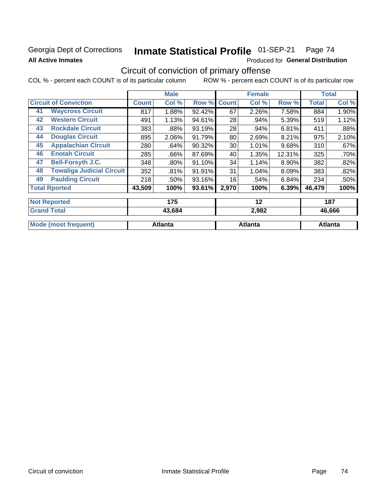### Georgia Dept of Corrections **All Active Inmates**

#### Inmate Statistical Profile 01-SEP-21 Page 74

Produced for General Distribution

# Circuit of conviction of primary offense

|    |                                  |              | <b>Male</b> |        |              | <b>Female</b> |        |              | <b>Total</b> |
|----|----------------------------------|--------------|-------------|--------|--------------|---------------|--------|--------------|--------------|
|    | <b>Circuit of Conviction</b>     | <b>Count</b> | Col %       | Row %  | <b>Count</b> | Col %         | Row %  | <b>Total</b> | Col %        |
| 41 | <b>Waycross Circuit</b>          | 817          | 1.88%       | 92.42% | 67           | 2.26%         | 7.58%  | 884          | 1.90%        |
| 42 | <b>Western Circuit</b>           | 491          | 1.13%       | 94.61% | 28           | .94%          | 5.39%  | 519          | 1.12%        |
| 43 | <b>Rockdale Circuit</b>          | 383          | .88%        | 93.19% | 28           | .94%          | 6.81%  | 411          | .88%         |
| 44 | <b>Douglas Circuit</b>           | 895          | 2.06%       | 91.79% | 80           | 2.69%         | 8.21%  | 975          | 2.10%        |
| 45 | <b>Appalachian Circuit</b>       | 280          | .64%        | 90.32% | 30           | 1.01%         | 9.68%  | 310          | .67%         |
| 46 | <b>Enotah Circuit</b>            | 285          | .66%        | 87.69% | 40           | 1.35%         | 12.31% | 325          | .70%         |
| 47 | <b>Bell-Forsyth J.C.</b>         | 348          | .80%        | 91.10% | 34           | 1.14%         | 8.90%  | 382          | .82%         |
| 48 | <b>Towaliga Judicial Circuit</b> | 352          | .81%        | 91.91% | 31           | 1.04%         | 8.09%  | 383          | .82%         |
| 49 | <b>Paulding Circuit</b>          | 218          | .50%        | 93.16% | 16           | .54%          | 6.84%  | 234          | .50%         |
|    | <b>Total Rported</b>             | 43,509       | 100%        | 93.61% | 2,970        | 100%          | 6.39%  | 46,479       | 100%         |
|    | <b>Not Reported</b>              |              | 175         |        |              | 12            |        |              | 187          |
|    | <b>Grand Total</b>               |              | 43,684      |        |              | 2,982         |        |              | 46,666       |

| <b>Mo</b><br>Atlanta<br>frequent) | Atlanta | Atlanta |
|-----------------------------------|---------|---------|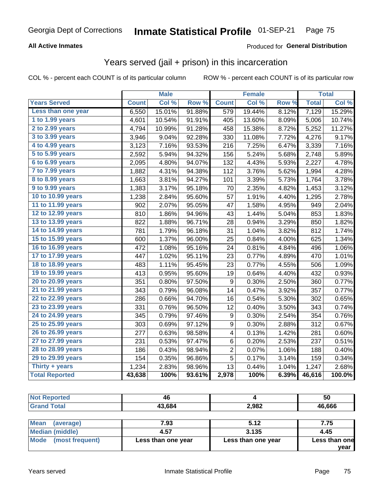### **All Active Inmates**

#### Produced for **General Distribution**

## Years served (jail + prison) in this incarceration

|                              |              | <b>Male</b> |        |                  | <b>Female</b> |                  |              | <b>Total</b> |
|------------------------------|--------------|-------------|--------|------------------|---------------|------------------|--------------|--------------|
| <b>Years Served</b>          | <b>Count</b> | Col %       | Row %  | <b>Count</b>     | Col %         | Row <sub>%</sub> | <b>Total</b> | Col%         |
| Less than one year           | 6,550        | 15.01%      | 91.88% | 579              | 19.44%        | 8.12%            | 7,129        | 15.29%       |
| 1 to 1.99 years              | 4,601        | 10.54%      | 91.91% | 405              | 13.60%        | 8.09%            | 5,006        | 10.74%       |
| 2 to 2.99 years              | 4,794        | 10.99%      | 91.28% | 458              | 15.38%        | 8.72%            | 5,252        | 11.27%       |
| $3$ to $3.99$ years          | 3,946        | 9.04%       | 92.28% | 330              | 11.08%        | 7.72%            | 4,276        | 9.17%        |
| $\overline{4}$ to 4.99 years | 3,123        | 7.16%       | 93.53% | 216              | 7.25%         | 6.47%            | 3,339        | 7.16%        |
| $\overline{5}$ to 5.99 years | 2,592        | 5.94%       | 94.32% | 156              | 5.24%         | 5.68%            | 2,748        | 5.89%        |
| 6 to 6.99 years              | 2,095        | 4.80%       | 94.07% | 132              | 4.43%         | 5.93%            | 2,227        | 4.78%        |
| 7 to 7.99 years              | 1,882        | 4.31%       | 94.38% | 112              | 3.76%         | 5.62%            | 1,994        | 4.28%        |
| 8 to 8.99 years              | 1,663        | 3.81%       | 94.27% | 101              | 3.39%         | 5.73%            | 1,764        | 3.78%        |
| 9 to 9.99 years              | 1,383        | 3.17%       | 95.18% | 70               | 2.35%         | 4.82%            | 1,453        | 3.12%        |
| 10 to 10.99 years            | 1,238        | 2.84%       | 95.60% | 57               | 1.91%         | 4.40%            | 1,295        | 2.78%        |
| 11 to 11.99 years            | 902          | 2.07%       | 95.05% | 47               | 1.58%         | 4.95%            | 949          | 2.04%        |
| 12 to 12.99 years            | 810          | 1.86%       | 94.96% | 43               | 1.44%         | 5.04%            | 853          | 1.83%        |
| 13 to 13.99 years            | 822          | 1.88%       | 96.71% | 28               | 0.94%         | 3.29%            | 850          | 1.82%        |
| 14 to 14.99 years            | 781          | 1.79%       | 96.18% | 31               | 1.04%         | 3.82%            | 812          | 1.74%        |
| 15 to 15.99 years            | 600          | 1.37%       | 96.00% | 25               | 0.84%         | 4.00%            | 625          | 1.34%        |
| 16 to 16.99 years            | 472          | 1.08%       | 95.16% | 24               | 0.81%         | 4.84%            | 496          | 1.06%        |
| 17 to 17.99 years            | 447          | 1.02%       | 95.11% | 23               | 0.77%         | 4.89%            | 470          | 1.01%        |
| 18 to 18.99 years            | 483          | 1.11%       | 95.45% | 23               | 0.77%         | 4.55%            | 506          | 1.09%        |
| 19 to 19.99 years            | 413          | 0.95%       | 95.60% | 19               | 0.64%         | 4.40%            | 432          | 0.93%        |
| 20 to 20.99 years            | 351          | 0.80%       | 97.50% | 9                | 0.30%         | 2.50%            | 360          | 0.77%        |
| 21 to 21.99 years            | 343          | 0.79%       | 96.08% | 14               | 0.47%         | 3.92%            | 357          | 0.77%        |
| 22 to 22.99 years            | 286          | 0.66%       | 94.70% | 16               | 0.54%         | 5.30%            | 302          | 0.65%        |
| 23 to 23.99 years            | 331          | 0.76%       | 96.50% | 12               | 0.40%         | 3.50%            | 343          | 0.74%        |
| 24 to 24.99 years            | 345          | 0.79%       | 97.46% | $\boldsymbol{9}$ | 0.30%         | 2.54%            | 354          | 0.76%        |
| 25 to 25.99 years            | 303          | 0.69%       | 97.12% | 9                | 0.30%         | 2.88%            | 312          | 0.67%        |
| 26 to 26.99 years            | 277          | 0.63%       | 98.58% | 4                | 0.13%         | 1.42%            | 281          | 0.60%        |
| 27 to 27.99 years            | 231          | 0.53%       | 97.47% | 6                | 0.20%         | 2.53%            | 237          | 0.51%        |
| 28 to 28.99 years            | 186          | 0.43%       | 98.94% | $\overline{2}$   | 0.07%         | 1.06%            | 188          | 0.40%        |
| 29 to 29.99 years            | 154          | 0.35%       | 96.86% | 5                | 0.17%         | 3.14%            | 159          | 0.34%        |
| Thirty + years               | 1,234        | 2.83%       | 98.96% | 13               | 0.44%         | 1.04%            | 1,247        | 2.68%        |
| <b>Total Reported</b>        | 43,638       | 100%        | 93.61% | 2,978            | 100%          | 6.39%            | 46,616       | 100.0%       |

| <b>Not Reported</b> | 46     |       | 50     |
|---------------------|--------|-------|--------|
| <b>Grand Total</b>  | 43,684 | 2,982 | 46,666 |
|                     |        |       |        |

| Mean<br>(average)    | 7.93               | 5.12               | 7.75          |
|----------------------|--------------------|--------------------|---------------|
| Median (middle)      | 4.57               | 3.135              | 4.45          |
| Mode (most frequent) | Less than one year | Less than one year | Less than one |
|                      |                    |                    | vear          |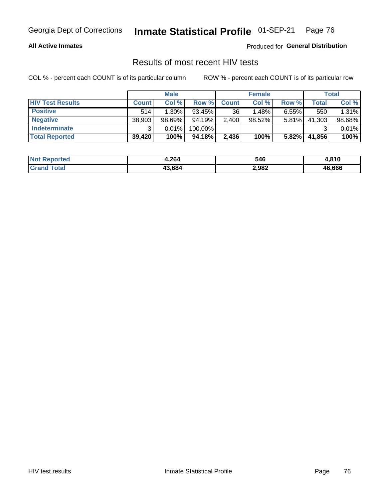#### **All Active Inmates**

Produced for **General Distribution**

## Results of most recent HIV tests

|                         | <b>Male</b>  |          | <b>Female</b> |              |           | Total    |        |        |
|-------------------------|--------------|----------|---------------|--------------|-----------|----------|--------|--------|
| <b>HIV Test Results</b> | <b>Count</b> | Col %    | Row %I        | <b>Count</b> | Col %     | Row %    | Total  | Col %  |
| <b>Positive</b>         | 514          | $1.30\%$ | $93.45\%$     | 36           | 1.48%     | $6.55\%$ | 550    | 1.31%  |
| <b>Negative</b>         | 38,903       | 98.69%   | 94.19%        | 2,400        | $98.52\%$ | $5.81\%$ | 41,303 | 98.68% |
| Indeterminate           | ີ            | 0.01%    | 100.00%       |              |           |          |        | 0.01%  |
| <b>Total Reported</b>   | 39,420       | 100%     | 94.18%        | 2,436        | 100%      | 5.82%    | 41,856 | 100%   |

| <b>Not Reported</b>   | 4,264  | 546   | 1,810  |
|-----------------------|--------|-------|--------|
| Total<br><b>Grand</b> | 43,684 | 2,982 | 46,666 |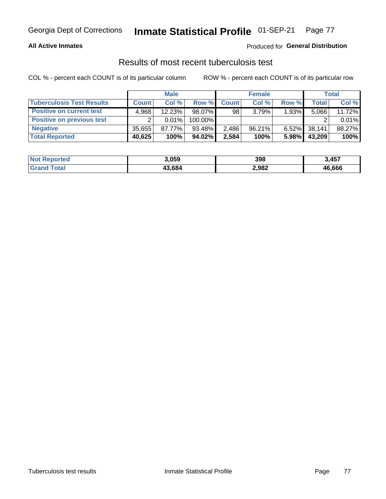#### **All Active Inmates**

### Produced for **General Distribution**

### Results of most recent tuberculosis test

|                                  | <b>Male</b>  |        | <b>Female</b> |              |        | Total    |        |        |
|----------------------------------|--------------|--------|---------------|--------------|--------|----------|--------|--------|
| <b>Tuberculosis Test Results</b> | <b>Count</b> | Col %  | Row %         | <b>Count</b> | Col %  | Row %    | Total  | Col %  |
| <b>Positive on current test</b>  | 4.968        | 12.23% | 98.07%        | 98           | 3.79%  | 1.93%    | 5,066  | 11.72% |
| <b>Positive on previous test</b> |              | 0.01%  | 100.00%       |              |        |          |        | 0.01%  |
| <b>Negative</b>                  | 35.655       | 87.77% | 93.48%        | 2,486        | 96.21% | $6.52\%$ | 38,141 | 88.27% |
| <b>Total Reported</b>            | 40,625       | 100%   | $94.02\%$     | 2,584        | 100%   | 5.98%    | 43,209 | 100%   |

| <b>Not Reported</b> | 3,059  | 398   | 3,457  |
|---------------------|--------|-------|--------|
| <b>Total</b>        | 43,684 | 2,982 | 46,666 |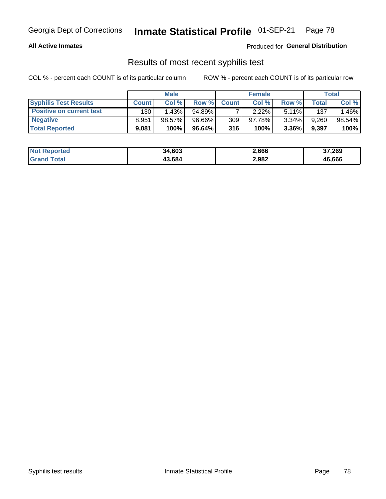#### **All Active Inmates**

Produced for **General Distribution**

### Results of most recent syphilis test

|                                 | <b>Male</b>  |        | <b>Female</b> |              |        | Total    |       |        |
|---------------------------------|--------------|--------|---------------|--------------|--------|----------|-------|--------|
| <b>Syphilis Test Results</b>    | <b>Count</b> | Col%   | Row %         | <b>Count</b> | Col %  | Row %    | Total | Col %  |
| <b>Positive on current test</b> | 130          | 1.43%  | $94.89\%$     |              | 2.22%  | $5.11\%$ | 137   | .46%   |
| <b>Negative</b>                 | 8.951        | 98.57% | 96.66%        | 309          | 97.78% | 3.34%    | 9,260 | 98.54% |
| <b>Total Reported</b>           | 9,081        | 100%   | 96.64%        | 316          | 100%   | $3.36\%$ | 9,397 | 100%   |

| <b>Not Reported</b> | 34,603 | 2,666 | 37,269 |
|---------------------|--------|-------|--------|
| <b>Grand Total</b>  | 43.684 | 2,982 | 46,666 |